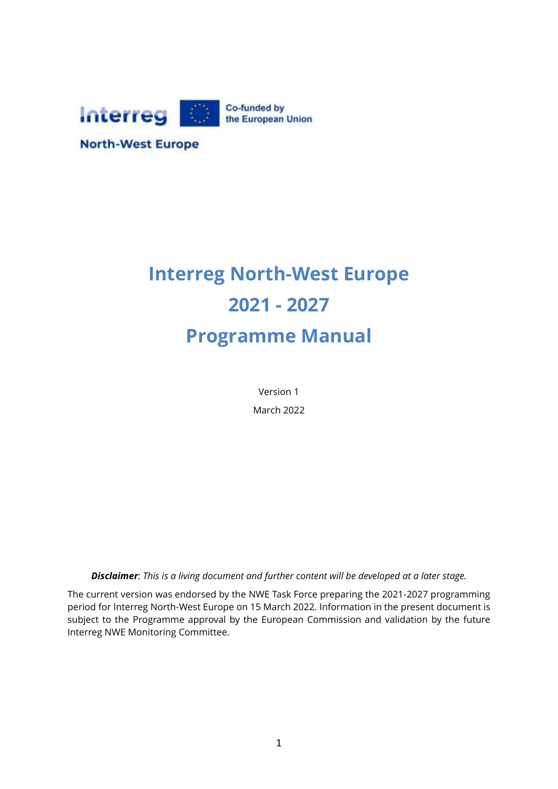

**North-West Europe** 

# **Interreg North-West Europe 2021 - 2027 Programme Manual**

Version 1 March 2022

*Disclaimer: This is a living document and further content will be developed at a later stage.*

The current version was endorsed by the NWE Task Force preparing the 2021-2027 programming period for Interreg North-West Europe on 15 March 2022. Information in the present document is subject to the Programme approval by the European Commission and validation by the future Interreg NWE Monitoring Committee.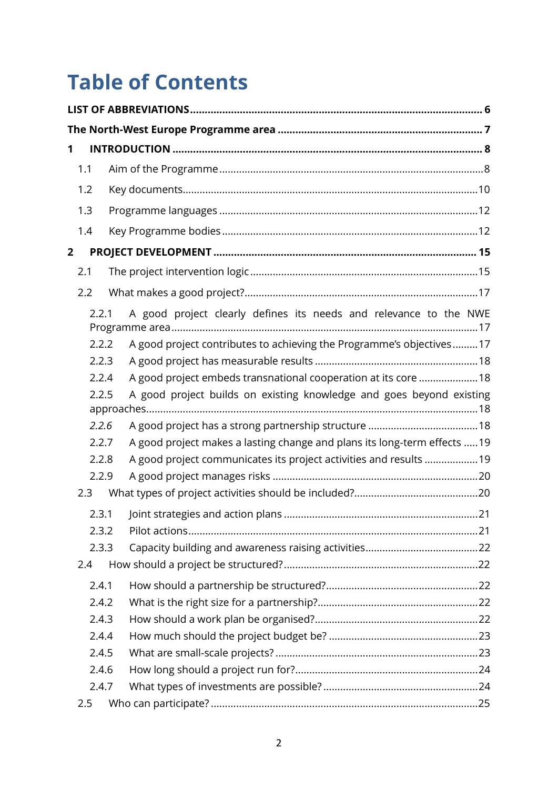# **Table of Contents**

| 1              |       |                                                                           |  |  |  |
|----------------|-------|---------------------------------------------------------------------------|--|--|--|
|                | 1.1   |                                                                           |  |  |  |
|                | 1.2   |                                                                           |  |  |  |
|                | 1.3   |                                                                           |  |  |  |
|                | 1.4   |                                                                           |  |  |  |
| $\overline{2}$ |       |                                                                           |  |  |  |
|                | 2.1   |                                                                           |  |  |  |
|                | 2.2   |                                                                           |  |  |  |
|                | 2.2.1 | A good project clearly defines its needs and relevance to the NWE         |  |  |  |
|                | 2.2.2 | A good project contributes to achieving the Programme's objectives17      |  |  |  |
|                | 2.2.3 |                                                                           |  |  |  |
|                | 2.2.4 | A good project embeds transnational cooperation at its core 18            |  |  |  |
|                | 2.2.5 | A good project builds on existing knowledge and goes beyond existing      |  |  |  |
|                | 2.2.6 |                                                                           |  |  |  |
|                | 2.2.7 | A good project makes a lasting change and plans its long-term effects  19 |  |  |  |
|                | 2.2.8 | A good project communicates its project activities and results 19         |  |  |  |
|                | 2.2.9 |                                                                           |  |  |  |
|                | 2.3   |                                                                           |  |  |  |
|                | 2.3.1 |                                                                           |  |  |  |
|                | 2.3.2 |                                                                           |  |  |  |
|                | 2.3.3 |                                                                           |  |  |  |
|                | 2.4   |                                                                           |  |  |  |
|                | 2.4.1 |                                                                           |  |  |  |
|                | 2.4.2 |                                                                           |  |  |  |
|                | 2.4.3 |                                                                           |  |  |  |
|                | 2.4.4 |                                                                           |  |  |  |
|                | 2.4.5 |                                                                           |  |  |  |
|                | 2.4.6 |                                                                           |  |  |  |
|                | 2.4.7 |                                                                           |  |  |  |
|                | 2.5   |                                                                           |  |  |  |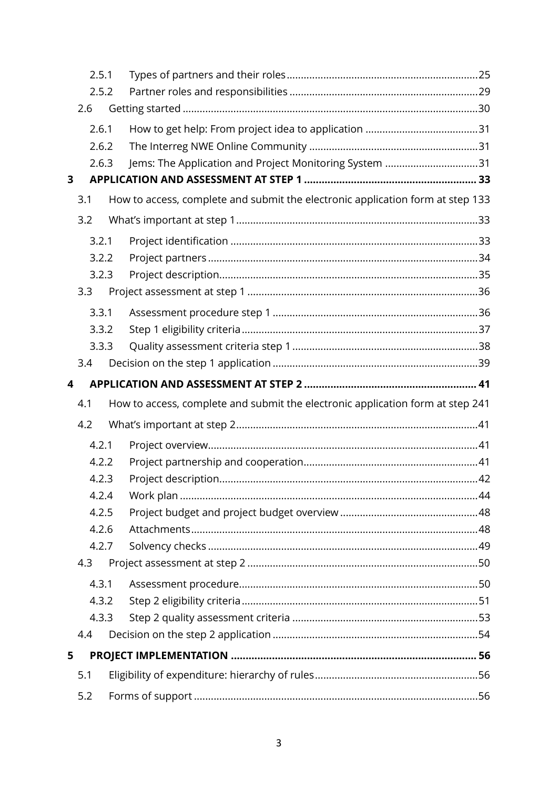|              | 2.5.1<br>2.5.2 |       |  |                                                                                |  |
|--------------|----------------|-------|--|--------------------------------------------------------------------------------|--|
|              |                |       |  |                                                                                |  |
| 2.6          |                |       |  |                                                                                |  |
| 2.6.1        |                |       |  |                                                                                |  |
|              |                | 2.6.2 |  |                                                                                |  |
|              |                | 2.6.3 |  | Jems: The Application and Project Monitoring System 31                         |  |
| $\mathbf{3}$ |                |       |  |                                                                                |  |
|              | 3.1            |       |  | How to access, complete and submit the electronic application form at step 133 |  |
|              | 3.2            |       |  |                                                                                |  |
|              |                | 3.2.1 |  |                                                                                |  |
|              |                | 3.2.2 |  |                                                                                |  |
|              |                | 3.2.3 |  |                                                                                |  |
|              | 3.3            |       |  |                                                                                |  |
|              |                | 3.3.1 |  |                                                                                |  |
|              |                | 3.3.2 |  |                                                                                |  |
|              |                | 3.3.3 |  |                                                                                |  |
|              | 3.4            |       |  |                                                                                |  |
| 4            |                |       |  |                                                                                |  |
|              | 4.1            |       |  | How to access, complete and submit the electronic application form at step 241 |  |
|              | 4.2            |       |  |                                                                                |  |
|              |                | 4.2.1 |  |                                                                                |  |
|              |                | 4.2.2 |  |                                                                                |  |
|              |                | 4.2.3 |  |                                                                                |  |
|              |                | 4.2.4 |  |                                                                                |  |
|              |                | 4.2.5 |  |                                                                                |  |
|              |                | 4.2.6 |  |                                                                                |  |
|              |                | 4.2.7 |  |                                                                                |  |
|              | 4.3            |       |  |                                                                                |  |
|              |                | 4.3.1 |  |                                                                                |  |
|              |                | 4.3.2 |  |                                                                                |  |
|              |                | 4.3.3 |  |                                                                                |  |
|              | 4.4            |       |  |                                                                                |  |
| 5            |                |       |  |                                                                                |  |
|              | 5.1            |       |  |                                                                                |  |
| 5.2          |                |       |  |                                                                                |  |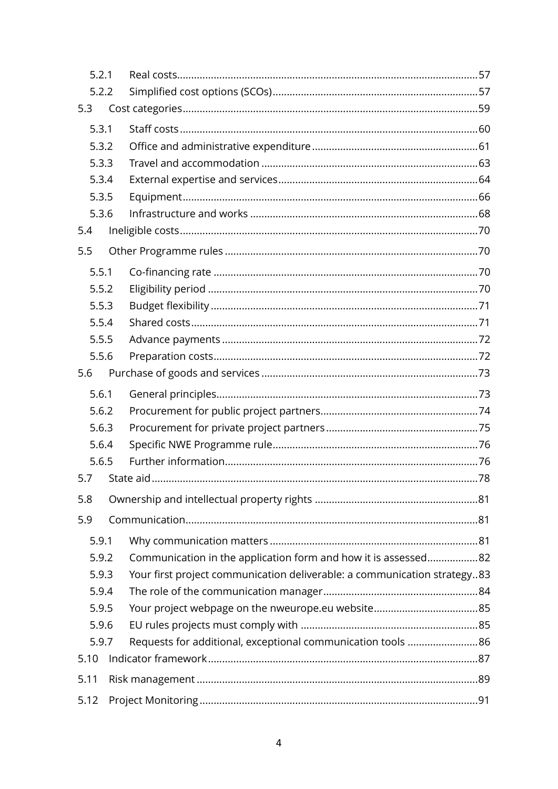| 5.2.1 |  |                                                                          |  |
|-------|--|--------------------------------------------------------------------------|--|
| 5.2.2 |  |                                                                          |  |
| 5.3   |  |                                                                          |  |
| 5.3.1 |  |                                                                          |  |
| 5.3.2 |  |                                                                          |  |
| 5.3.3 |  |                                                                          |  |
| 5.3.4 |  |                                                                          |  |
| 5.3.5 |  |                                                                          |  |
| 5.3.6 |  |                                                                          |  |
| 5.4   |  |                                                                          |  |
| 5.5   |  |                                                                          |  |
| 5.5.1 |  |                                                                          |  |
| 5.5.2 |  |                                                                          |  |
| 5.5.3 |  |                                                                          |  |
| 5.5.4 |  |                                                                          |  |
| 5.5.5 |  |                                                                          |  |
| 5.5.6 |  |                                                                          |  |
| 5.6   |  |                                                                          |  |
| 5.6.1 |  |                                                                          |  |
| 5.6.2 |  |                                                                          |  |
| 5.6.3 |  |                                                                          |  |
| 5.6.4 |  |                                                                          |  |
| 5.6.5 |  |                                                                          |  |
| 5.7   |  |                                                                          |  |
| 5.8   |  |                                                                          |  |
| 5.9   |  |                                                                          |  |
| 5.9.1 |  |                                                                          |  |
| 5.9.2 |  | Communication in the application form and how it is assessed82           |  |
| 5.9.3 |  | Your first project communication deliverable: a communication strategy83 |  |
| 5.9.4 |  |                                                                          |  |
| 5.9.5 |  |                                                                          |  |
| 5.9.6 |  |                                                                          |  |
| 5.9.7 |  | Requests for additional, exceptional communication tools 86              |  |
| 5.10  |  |                                                                          |  |
| 5.11  |  |                                                                          |  |
| 5.12  |  |                                                                          |  |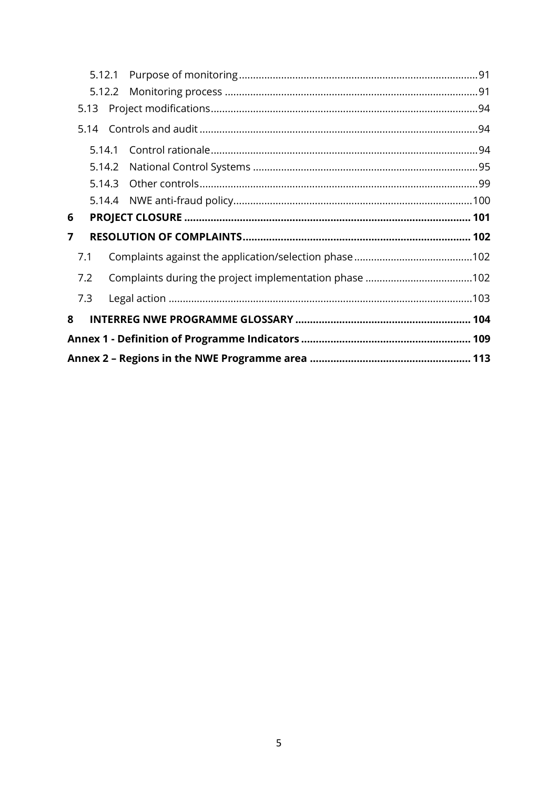| 5.12.1                                                              |  |  |  |  |  |
|---------------------------------------------------------------------|--|--|--|--|--|
| 5.12.2                                                              |  |  |  |  |  |
| 5.13                                                                |  |  |  |  |  |
|                                                                     |  |  |  |  |  |
| 5.14.1                                                              |  |  |  |  |  |
| 5.14.2                                                              |  |  |  |  |  |
|                                                                     |  |  |  |  |  |
|                                                                     |  |  |  |  |  |
| 6                                                                   |  |  |  |  |  |
| 7                                                                   |  |  |  |  |  |
| 7.1                                                                 |  |  |  |  |  |
| 7.2                                                                 |  |  |  |  |  |
| 7.3                                                                 |  |  |  |  |  |
| 8                                                                   |  |  |  |  |  |
|                                                                     |  |  |  |  |  |
| Annex 2 – Regions in the NWE Programme area ………………………………………………… 113 |  |  |  |  |  |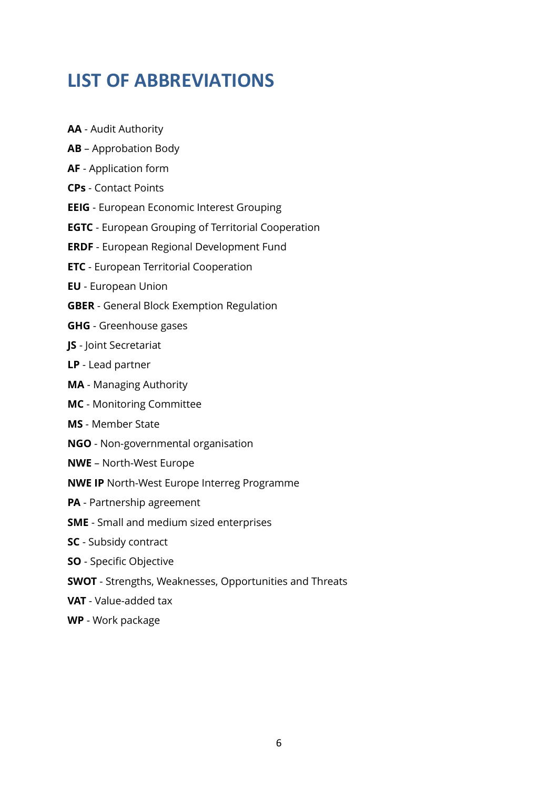## <span id="page-5-0"></span>**LIST OF ABBREVIATIONS**

- **AA** Audit Authority
- **AB** Approbation Body
- **AF**  Application form
- **CPs** Contact Points
- **EEIG** European Economic Interest Grouping
- **EGTC** European Grouping of Territorial Cooperation
- **ERDF** European Regional Development Fund
- **ETC** European Territorial Cooperation
- **EU**  European Union
- **GBER**  General Block Exemption Regulation
- **GHG** Greenhouse gases
- **JS** Joint Secretariat
- **LP**  Lead partner
- **MA** Managing Authority
- **MC** Monitoring Committee
- **MS** Member State
- **NGO** Non-governmental organisation
- **NWE** North-West Europe
- **NWE IP** North-West Europe Interreg Programme
- **PA** Partnership agreement
- **SME** Small and medium sized enterprises
- **SC** Subsidy contract
- **SO** Specific Objective
- **SWOT** Strengths, Weaknesses, Opportunities and Threats
- **VAT**  Value-added tax
- **WP** Work package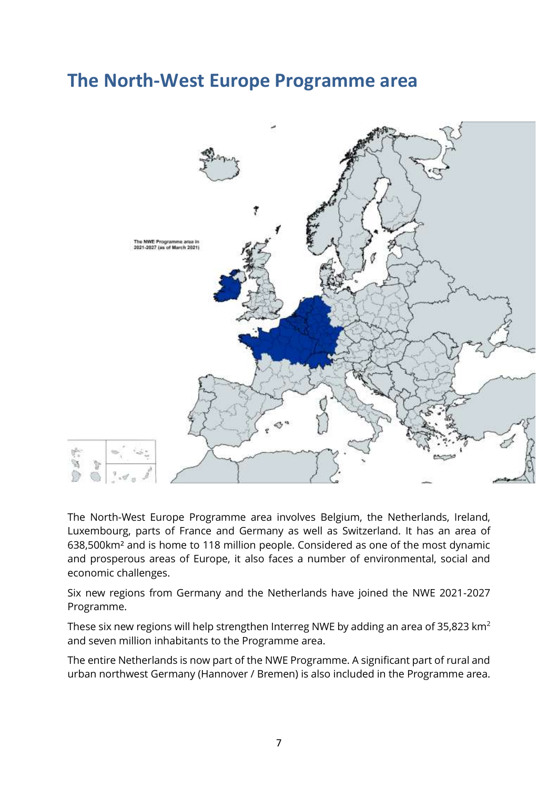## <span id="page-6-0"></span>**The North-West Europe Programme area**



The North-West Europe Programme area involves Belgium, the Netherlands, Ireland, Luxembourg, parts of France and Germany as well as Switzerland. It has an area of 638,500km² and is home to 118 million people. Considered as one of the most dynamic and prosperous areas of Europe, it also faces a number of environmental, social and economic challenges.

Six new regions from Germany and the Netherlands have joined the NWE 2021-2027 Programme.

These six new regions will help strengthen Interreg NWE by adding an area of 35,823  $\text{km}^2$ and seven million inhabitants to the Programme area.

The entire Netherlands is now part of the NWE Programme. A significant part of rural and urban northwest Germany (Hannover / Bremen) is also included in the Programme area.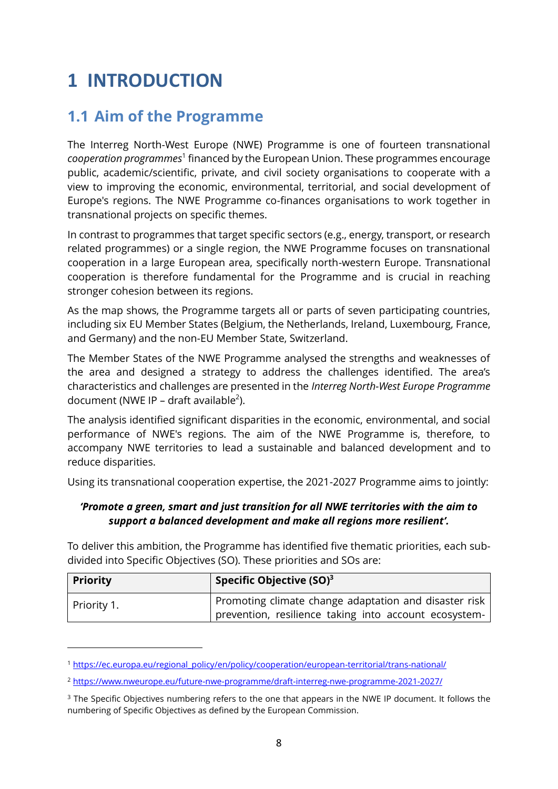## <span id="page-7-0"></span>**1 INTRODUCTION**

## <span id="page-7-1"></span>**1.1 Aim of the Programme**

The Interreg North-West Europe (NWE) Programme is one of fourteen transnational cooperation programmes<sup>1</sup> financed by the European Union. These programmes encourage public, academic/scientific, private, and civil society organisations to cooperate with a view to improving the economic, environmental, territorial, and social development of Europe's regions. The NWE Programme co-finances organisations to work together in transnational projects on specific themes.

In contrast to programmes that target specific sectors (e.g., energy, transport, or research related programmes) or a single region, the NWE Programme focuses on transnational cooperation in a large European area, specifically north-western Europe. Transnational cooperation is therefore fundamental for the Programme and is crucial in reaching stronger cohesion between its regions.

As the map shows, the Programme targets all or parts of seven participating countries, including six EU Member States (Belgium, the Netherlands, Ireland, Luxembourg, France, and Germany) and the non-EU Member State, Switzerland.

The Member States of the NWE Programme analysed the strengths and weaknesses of the area and designed a strategy to address the challenges identified. The area's characteristics and challenges are presented in the *Interreg North-West Europe Programme* document (NWE IP – draft available<sup>2</sup>).

The analysis identified significant disparities in the economic, environmental, and social performance of NWE's regions. The aim of the NWE Programme is, therefore, to accompany NWE territories to lead a sustainable and balanced development and to reduce disparities.

Using its transnational cooperation expertise, the 2021-2027 Programme aims to jointly:

#### *'Promote a green, smart and just transition for all NWE territories with the aim to support a balanced development and make all regions more resilient'.*

To deliver this ambition, the Programme has identified five thematic priorities, each subdivided into Specific Objectives (SO). These priorities and SOs are:

| <b>Priority</b> | Specific Objective $(SO)^3$                                                                                    |
|-----------------|----------------------------------------------------------------------------------------------------------------|
| Priority 1.     | Promoting climate change adaptation and disaster risk<br>prevention, resilience taking into account ecosystem- |

<sup>1</sup> [https://ec.europa.eu/regional\\_policy/en/policy/cooperation/european-territorial/trans-national/](https://ec.europa.eu/regional_policy/en/policy/cooperation/european-territorial/trans-national/)

<sup>2</sup> <https://www.nweurope.eu/future-nwe-programme/draft-interreg-nwe-programme-2021-2027/>

<sup>&</sup>lt;sup>3</sup> The Specific Objectives numbering refers to the one that appears in the NWE IP document. It follows the numbering of Specific Objectives as defined by the European Commission.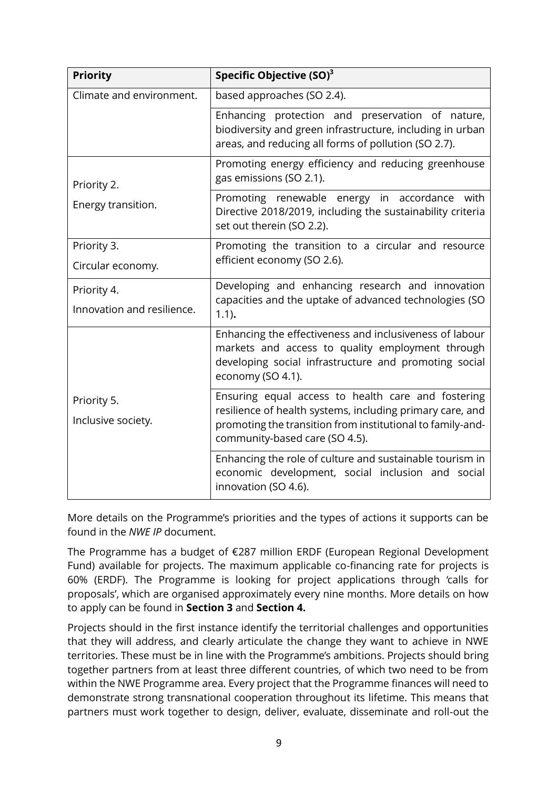| <b>Priority</b>                           | Specific Objective (SO) <sup>3</sup>                                                                                                                                                                            |  |  |
|-------------------------------------------|-----------------------------------------------------------------------------------------------------------------------------------------------------------------------------------------------------------------|--|--|
| Climate and environment.                  | based approaches (SO 2.4).                                                                                                                                                                                      |  |  |
|                                           | Enhancing protection and preservation of nature,<br>biodiversity and green infrastructure, including in urban<br>areas, and reducing all forms of pollution (SO 2.7).                                           |  |  |
| Priority 2.                               | Promoting energy efficiency and reducing greenhouse<br>gas emissions (SO 2.1).                                                                                                                                  |  |  |
| Energy transition.                        | Promoting renewable energy in accordance<br>with<br>Directive 2018/2019, including the sustainability criteria<br>set out therein (SO 2.2).                                                                     |  |  |
| Priority 3.                               | Promoting the transition to a circular and resource                                                                                                                                                             |  |  |
| Circular economy.                         | efficient economy (SO 2.6).                                                                                                                                                                                     |  |  |
| Priority 4.<br>Innovation and resilience. | Developing and enhancing research and innovation<br>capacities and the uptake of advanced technologies (SO<br>$1.1$ ).                                                                                          |  |  |
|                                           | Enhancing the effectiveness and inclusiveness of labour<br>markets and access to quality employment through<br>developing social infrastructure and promoting social<br>economy (SO 4.1).                       |  |  |
| Priority 5.<br>Inclusive society.         | Ensuring equal access to health care and fostering<br>resilience of health systems, including primary care, and<br>promoting the transition from institutional to family-and-<br>community-based care (SO 4.5). |  |  |
|                                           | Enhancing the role of culture and sustainable tourism in<br>economic development, social inclusion and social<br>innovation (SO 4.6).                                                                           |  |  |

More details on the Programme's priorities and the types of actions it supports can be found in the *NWE IP* document.

The Programme has a budget of €287 million ERDF (European Regional Development Fund) available for projects. The maximum applicable co-financing rate for projects is 60% (ERDF). The Programme is looking for project applications through 'calls for proposals', which are organised approximately every nine months. More details on how to apply can be found in **Section [3](#page-32-0)** and **Section [4.](#page-40-0)**

Projects should in the first instance identify the territorial challenges and opportunities that they will address, and clearly articulate the change they want to achieve in NWE territories. These must be in line with the Programme's ambitions. Projects should bring together partners from at least three different countries, of which two need to be from within the NWE Programme area. Every project that the Programme finances will need to demonstrate strong transnational cooperation throughout its lifetime. This means that partners must work together to design, deliver, evaluate, disseminate and roll-out the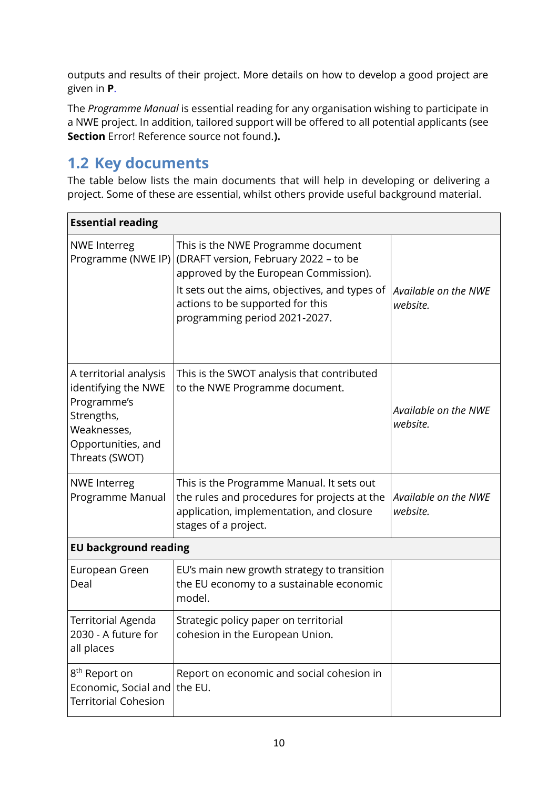outputs and results of their project. More details on how to develop a good project are given in **[P](#page-14-0)**.

The *Programme Manual* is essential reading for any organisation wishing to participate in a NWE project. In addition, tailored support will be offered to all potential applicants (see **Section** Error! Reference source not found.**).**

## <span id="page-9-0"></span>**1.2 Key documents**

The table below lists the main documents that will help in developing or delivering a project. Some of these are essential, whilst others provide useful background material.

| <b>Essential reading</b>                                                                                                          |                                                                                                                                                                                                                                             |                                  |  |  |
|-----------------------------------------------------------------------------------------------------------------------------------|---------------------------------------------------------------------------------------------------------------------------------------------------------------------------------------------------------------------------------------------|----------------------------------|--|--|
| <b>NWE Interreg</b><br>Programme (NWE IP)                                                                                         | This is the NWE Programme document<br>(DRAFT version, February 2022 - to be<br>approved by the European Commission).<br>It sets out the aims, objectives, and types of<br>actions to be supported for this<br>programming period 2021-2027. | Available on the NWE<br>website. |  |  |
| A territorial analysis<br>identifying the NWE<br>Programme's<br>Strengths,<br>Weaknesses,<br>Opportunities, and<br>Threats (SWOT) | This is the SWOT analysis that contributed<br>to the NWE Programme document.                                                                                                                                                                | Available on the NWE<br>website. |  |  |
| <b>NWE Interreg</b><br>Programme Manual                                                                                           | This is the Programme Manual. It sets out<br>the rules and procedures for projects at the<br>application, implementation, and closure<br>stages of a project.                                                                               | Available on the NWE<br>website. |  |  |
| <b>EU background reading</b>                                                                                                      |                                                                                                                                                                                                                                             |                                  |  |  |
| European Green<br>Deal                                                                                                            | EU's main new growth strategy to transition<br>the EU economy to a sustainable economic<br>model.                                                                                                                                           |                                  |  |  |
| Territorial Agenda<br>2030 - A future for<br>all places                                                                           | Strategic policy paper on territorial<br>cohesion in the European Union.                                                                                                                                                                    |                                  |  |  |
| 8 <sup>th</sup> Report on<br>Economic, Social and<br><b>Territorial Cohesion</b>                                                  | Report on economic and social cohesion in<br>the EU.                                                                                                                                                                                        |                                  |  |  |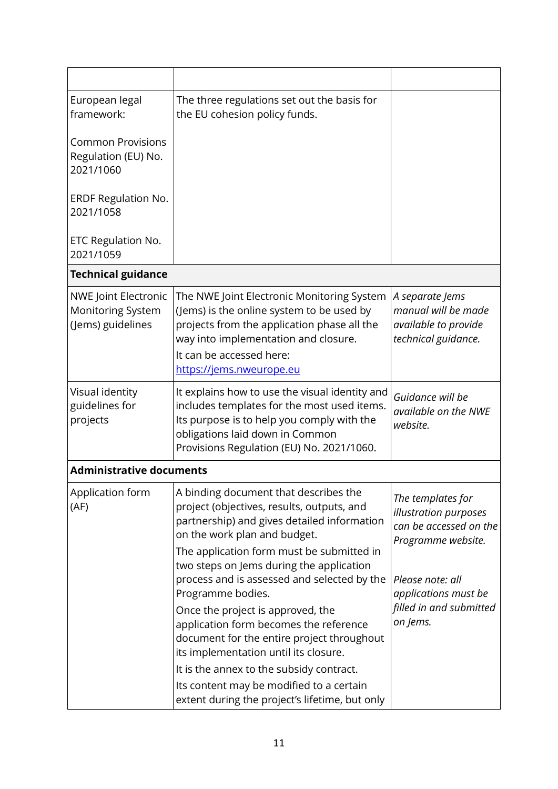| European legal<br>framework:                                                 | The three regulations set out the basis for<br>the EU cohesion policy funds.                                                                                                                                                                                                       |                                                                                            |
|------------------------------------------------------------------------------|------------------------------------------------------------------------------------------------------------------------------------------------------------------------------------------------------------------------------------------------------------------------------------|--------------------------------------------------------------------------------------------|
| <b>Common Provisions</b><br>Regulation (EU) No.<br>2021/1060                 |                                                                                                                                                                                                                                                                                    |                                                                                            |
| <b>ERDF Regulation No.</b><br>2021/1058                                      |                                                                                                                                                                                                                                                                                    |                                                                                            |
| ETC Regulation No.<br>2021/1059                                              |                                                                                                                                                                                                                                                                                    |                                                                                            |
| <b>Technical guidance</b>                                                    |                                                                                                                                                                                                                                                                                    |                                                                                            |
| <b>NWE Joint Electronic</b><br><b>Monitoring System</b><br>(Jems) guidelines | The NWE Joint Electronic Monitoring System<br>(Jems) is the online system to be used by<br>projects from the application phase all the<br>way into implementation and closure.<br>It can be accessed here:<br>https://jems.nweurope.eu                                             | A separate Jems<br>manual will be made<br>available to provide<br>technical guidance.      |
| Visual identity<br>guidelines for<br>projects                                | It explains how to use the visual identity and<br>includes templates for the most used items.<br>Its purpose is to help you comply with the<br>obligations laid down in Common<br>Provisions Regulation (EU) No. 2021/1060.                                                        | Guidance will be<br>available on the NWE<br>website.                                       |
| <b>Administrative documents</b>                                              |                                                                                                                                                                                                                                                                                    |                                                                                            |
| Application form<br>(AF)                                                     | A binding document that describes the<br>project (objectives, results, outputs, and<br>partnership) and gives detailed information<br>on the work plan and budget.<br>The application form must be submitted in                                                                    | The templates for<br>illustration purposes<br>can be accessed on the<br>Programme website. |
|                                                                              | two steps on Jems during the application<br>process and is assessed and selected by the<br>Programme bodies.<br>Once the project is approved, the<br>application form becomes the reference<br>document for the entire project throughout<br>its implementation until its closure. | Please note: all<br>applications must be<br>filled in and submitted<br>on Jems.            |
|                                                                              | It is the annex to the subsidy contract.                                                                                                                                                                                                                                           |                                                                                            |
|                                                                              | Its content may be modified to a certain<br>extent during the project's lifetime, but only                                                                                                                                                                                         |                                                                                            |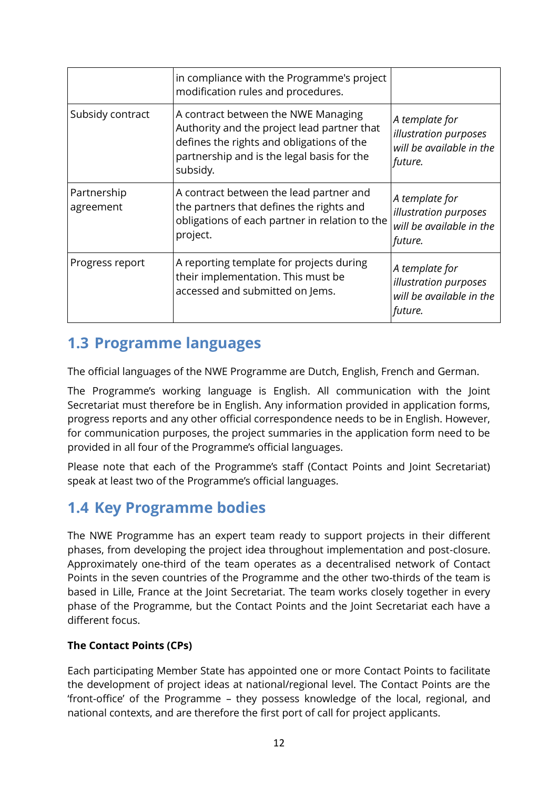|                          | in compliance with the Programme's project<br>modification rules and procedures.                                                                                                          |                                                                                |
|--------------------------|-------------------------------------------------------------------------------------------------------------------------------------------------------------------------------------------|--------------------------------------------------------------------------------|
| Subsidy contract         | A contract between the NWE Managing<br>Authority and the project lead partner that<br>defines the rights and obligations of the<br>partnership and is the legal basis for the<br>subsidy. | A template for<br>illustration purposes<br>will be available in the<br>future. |
| Partnership<br>agreement | A contract between the lead partner and<br>the partners that defines the rights and<br>obligations of each partner in relation to the<br>project.                                         | A template for<br>illustration purposes<br>will be available in the<br>future. |
| Progress report          | A reporting template for projects during<br>their implementation. This must be<br>accessed and submitted on Jems.                                                                         | A template for<br>illustration purposes<br>will be available in the<br>future. |

### <span id="page-11-0"></span>**1.3 Programme languages**

The official languages of the NWE Programme are Dutch, English, French and German.

The Programme's working language is English. All communication with the Joint Secretariat must therefore be in English. Any information provided in application forms, progress reports and any other official correspondence needs to be in English. However, for communication purposes, the project summaries in the application form need to be provided in all four of the Programme's official languages.

Please note that each of the Programme's staff (Contact Points and Joint Secretariat) speak at least two of the Programme's official languages.

### <span id="page-11-1"></span>**1.4 Key Programme bodies**

The NWE Programme has an expert team ready to support projects in their different phases, from developing the project idea throughout implementation and post-closure. Approximately one-third of the team operates as a decentralised network of Contact Points in the seven countries of the Programme and the other two-thirds of the team is based in Lille, France at the Joint Secretariat. The team works closely together in every phase of the Programme, but the Contact Points and the Joint Secretariat each have a different focus.

#### **The Contact Points (CPs)**

Each participating Member State has appointed one or more Contact Points to facilitate the development of project ideas at national/regional level. The Contact Points are the 'front-office' of the Programme – they possess knowledge of the local, regional, and national contexts, and are therefore the first port of call for project applicants.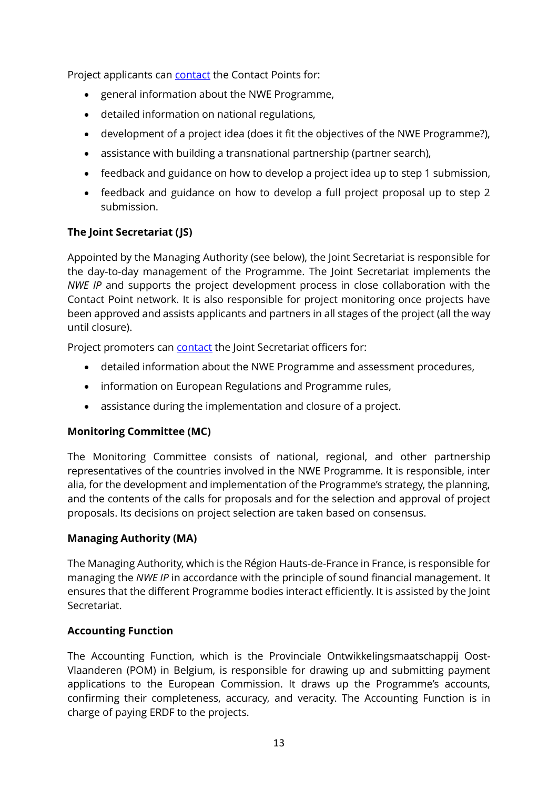Project applicants can **contact** the Contact Points for:

- general information about the NWE Programme,
- detailed information on national regulations,
- development of a project idea (does it fit the objectives of the NWE Programme?),
- assistance with building a transnational partnership (partner search),
- feedback and guidance on how to develop a project idea up to step 1 submission,
- feedback and guidance on how to develop a full project proposal up to step 2 submission.

#### **The Joint Secretariat (JS)**

Appointed by the Managing Authority (see below), the Joint Secretariat is responsible for the day-to-day management of the Programme. The Joint Secretariat implements the *NWE IP* and supports the project development process in close collaboration with the Contact Point network. It is also responsible for project monitoring once projects have been approved and assists applicants and partners in all stages of the project (all the way until closure).

Project promoters can [contact](http://www.nweurope.eu/contact-us/secretariat/) the Joint Secretariat officers for:

- detailed information about the NWE Programme and assessment procedures,
- information on European Regulations and Programme rules,
- assistance during the implementation and closure of a project.

#### **Monitoring Committee (MC)**

The Monitoring Committee consists of national, regional, and other partnership representatives of the countries involved in the NWE Programme. It is responsible, inter alia, for the development and implementation of the Programme's strategy, the planning, and the contents of the calls for proposals and for the selection and approval of project proposals. Its decisions on project selection are taken based on consensus.

#### **Managing Authority (MA)**

The Managing Authority, which is the Région Hauts-de-France in France, is responsible for managing the *NWE IP* in accordance with the principle of sound financial management. It ensures that the different Programme bodies interact efficiently. It is assisted by the Joint Secretariat.

#### **Accounting Function**

The Accounting Function, which is the Provinciale Ontwikkelingsmaatschappij Oost-Vlaanderen (POM) in Belgium, is responsible for drawing up and submitting payment applications to the European Commission. It draws up the Programme's accounts, confirming their completeness, accuracy, and veracity. The Accounting Function is in charge of paying ERDF to the projects.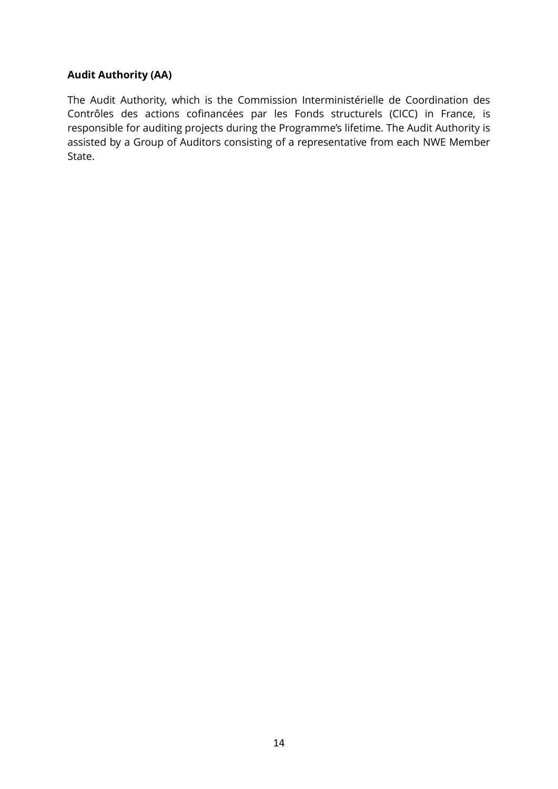#### **Audit Authority (AA)**

The Audit Authority, which is the Commission Interministérielle de Coordination des Contrôles des actions cofinancées par les Fonds structurels (CICC) in France, is responsible for auditing projects during the Programme's lifetime. The Audit Authority is assisted by a Group of Auditors consisting of a representative from each NWE Member State.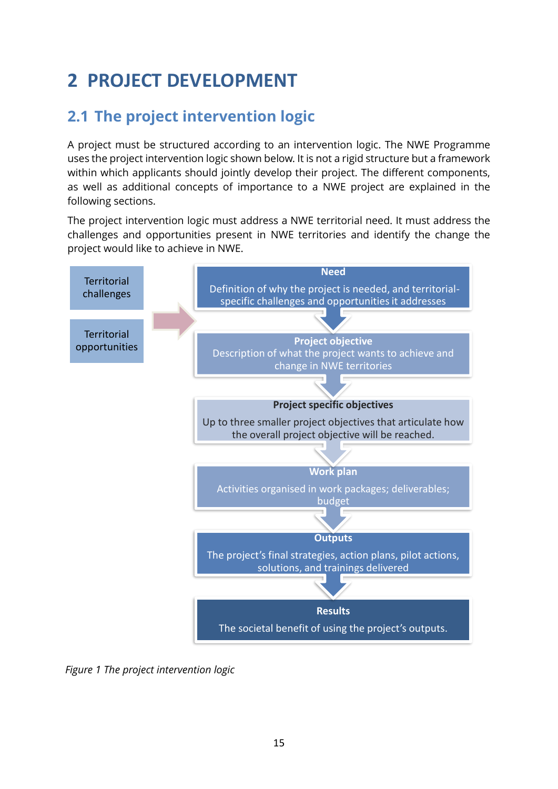## <span id="page-14-0"></span>**2 PROJECT DEVELOPMENT**

## <span id="page-14-1"></span>**2.1 The project intervention logic**

A project must be structured according to an intervention logic. The NWE Programme uses the project intervention logic shown below. It is not a rigid structure but a framework within which applicants should jointly develop their project. The different components, as well as additional concepts of importance to a NWE project are explained in the following sections.

The project intervention logic must address a NWE territorial need. It must address the challenges and opportunities present in NWE territories and identify the change the project would like to achieve in NWE.



*Figure 1 The project intervention logic*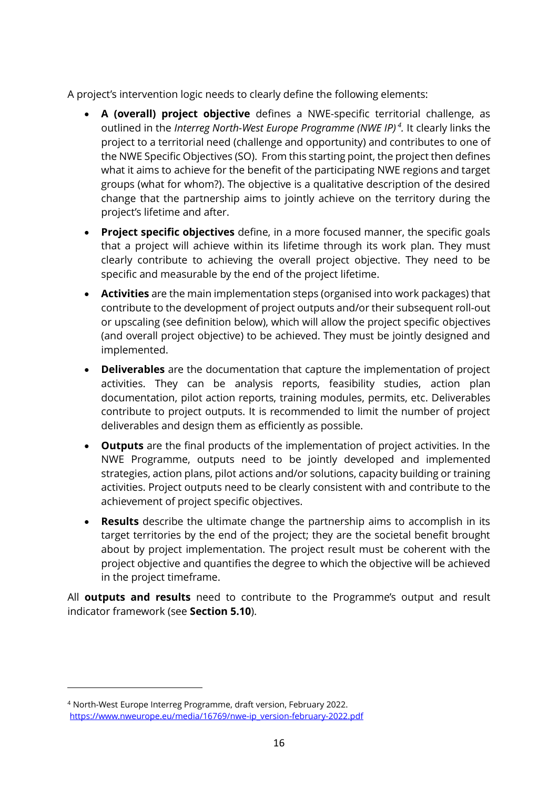A project's intervention logic needs to clearly define the following elements:

- **A (overall) project objective** defines a NWE-specific territorial challenge, as outlined in the *Interreg North-West Europe Programme (NWE IP) 4 .* It clearly links the project to a territorial need (challenge and opportunity) and contributes to one of the NWE Specific Objectives (SO). From this starting point, the project then defines what it aims to achieve for the benefit of the participating NWE regions and target groups (what for whom?). The objective is a qualitative description of the desired change that the partnership aims to jointly achieve on the territory during the project's lifetime and after.
- **Project specific objectives** define, in a more focused manner, the specific goals that a project will achieve within its lifetime through its work plan. They must clearly contribute to achieving the overall project objective. They need to be specific and measurable by the end of the project lifetime.
- **Activities** are the main implementation steps (organised into work packages) that contribute to the development of project outputs and/or their subsequent roll-out or upscaling (see definition below), which will allow the project specific objectives (and overall project objective) to be achieved. They must be jointly designed and implemented.
- **Deliverables** are the documentation that capture the implementation of project activities. They can be analysis reports, feasibility studies, action plan documentation, pilot action reports, training modules, permits, etc. Deliverables contribute to project outputs. It is recommended to limit the number of project deliverables and design them as efficiently as possible.
- **Outputs** are the final products of the implementation of project activities. In the NWE Programme, outputs need to be jointly developed and implemented strategies, action plans, pilot actions and/or solutions, capacity building or training activities. Project outputs need to be clearly consistent with and contribute to the achievement of project specific objectives.
- **Results** describe the ultimate change the partnership aims to accomplish in its target territories by the end of the project; they are the societal benefit brought about by project implementation. The project result must be coherent with the project objective and quantifies the degree to which the objective will be achieved in the project timeframe.

All **outputs and results** need to contribute to the Programme's output and result indicator framework (see **Section [5.10](#page-86-1)**).

<sup>4</sup> North-West Europe Interreg Programme, draft version, February 2022. [https://www.nweurope.eu/media/16769/nwe-ip\\_version-february-2022.pdf](https://www.nweurope.eu/media/16769/nwe-ip_version-february-2022.pdf)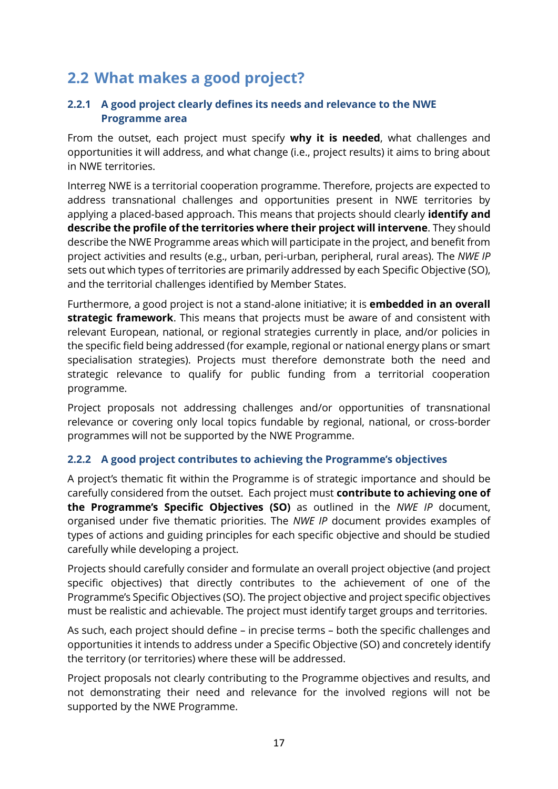## <span id="page-16-0"></span>**2.2 What makes a good project?**

#### <span id="page-16-1"></span>**2.2.1 A good project clearly defines its needs and relevance to the NWE Programme area**

From the outset, each project must specify **why it is needed**, what challenges and opportunities it will address, and what change (i.e., project results) it aims to bring about in NWE territories.

Interreg NWE is a territorial cooperation programme. Therefore, projects are expected to address transnational challenges and opportunities present in NWE territories by applying a placed-based approach. This means that projects should clearly **identify and describe the profile of the territories where their project will intervene**. They should describe the NWE Programme areas which will participate in the project, and benefit from project activities and results (e.g., urban, peri-urban, peripheral, rural areas). The *NWE IP* sets out which types of territories are primarily addressed by each Specific Objective (SO), and the territorial challenges identified by Member States.

Furthermore, a good project is not a stand-alone initiative; it is **embedded in an overall strategic framework**. This means that projects must be aware of and consistent with relevant European, national, or regional strategies currently in place, and/or policies in the specific field being addressed (for example, regional or national energy plans or smart specialisation strategies). Projects must therefore demonstrate both the need and strategic relevance to qualify for public funding from a territorial cooperation programme.

Project proposals not addressing challenges and/or opportunities of transnational relevance or covering only local topics fundable by regional, national, or cross-border programmes will not be supported by the NWE Programme.

#### <span id="page-16-2"></span>**2.2.2 A good project contributes to achieving the Programme's objectives**

A project's thematic fit within the Programme is of strategic importance and should be carefully considered from the outset. Each project must **contribute to achieving one of the Programme's Specific Objectives (SO)** as outlined in the *NWE IP* document, organised under five thematic priorities. The *NWE IP* document provides examples of types of actions and guiding principles for each specific objective and should be studied carefully while developing a project.

Projects should carefully consider and formulate an overall project objective (and project specific objectives) that directly contributes to the achievement of one of the Programme's Specific Objectives (SO). The project objective and project specific objectives must be realistic and achievable. The project must identify target groups and territories.

As such, each project should define – in precise terms – both the specific challenges and opportunities it intends to address under a Specific Objective (SO) and concretely identify the territory (or territories) where these will be addressed.

Project proposals not clearly contributing to the Programme objectives and results, and not demonstrating their need and relevance for the involved regions will not be supported by the NWE Programme.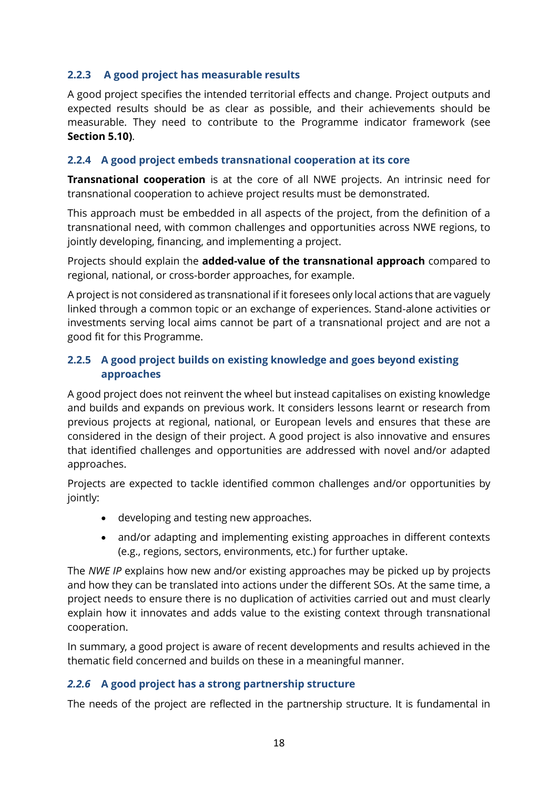#### <span id="page-17-0"></span>**2.2.3 A good project has measurable results**

A good project specifies the intended territorial effects and change. Project outputs and expected results should be as clear as possible, and their achievements should be measurable. They need to contribute to the Programme indicator framework (see **Section [5.10\)](#page-86-1)**.

#### <span id="page-17-1"></span>**2.2.4 A good project embeds transnational cooperation at its core**

**Transnational cooperation** is at the core of all NWE projects. An intrinsic need for transnational cooperation to achieve project results must be demonstrated.

This approach must be embedded in all aspects of the project, from the definition of a transnational need, with common challenges and opportunities across NWE regions, to jointly developing, financing, and implementing a project.

Projects should explain the **added-value of the transnational approach** compared to regional, national, or cross-border approaches, for example.

A project is not considered as transnational if it foresees only local actions that are vaguely linked through a common topic or an exchange of experiences. Stand-alone activities or investments serving local aims cannot be part of a transnational project and are not a good fit for this Programme.

#### <span id="page-17-2"></span>**2.2.5 A good project builds on existing knowledge and goes beyond existing approaches**

A good project does not reinvent the wheel but instead capitalises on existing knowledge and builds and expands on previous work. It considers lessons learnt or research from previous projects at regional, national, or European levels and ensures that these are considered in the design of their project. A good project is also innovative and ensures that identified challenges and opportunities are addressed with novel and/or adapted approaches.

Projects are expected to tackle identified common challenges and/or opportunities by jointly:

- developing and testing new approaches.
- and/or adapting and implementing existing approaches in different contexts (e.g., regions, sectors, environments, etc.) for further uptake.

The *NWE IP* explains how new and/or existing approaches may be picked up by projects and how they can be translated into actions under the different SOs. At the same time, a project needs to ensure there is no duplication of activities carried out and must clearly explain how it innovates and adds value to the existing context through transnational cooperation.

In summary, a good project is aware of recent developments and results achieved in the thematic field concerned and builds on these in a meaningful manner.

#### <span id="page-17-3"></span>*2.2.6* **A good project has a strong partnership structure**

The needs of the project are reflected in the partnership structure. It is fundamental in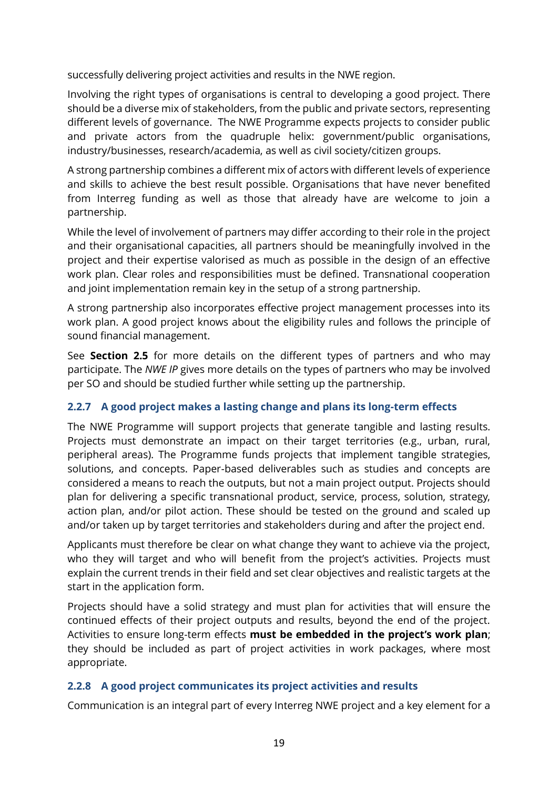successfully delivering project activities and results in the NWE region.

Involving the right types of organisations is central to developing a good project. There should be a diverse mix of stakeholders, from the public and private sectors, representing different levels of governance. The NWE Programme expects projects to consider public and private actors from the quadruple helix: government/public organisations, industry/businesses, research/academia, as well as civil society/citizen groups.

A strong partnership combines a different mix of actors with different levels of experience and skills to achieve the best result possible. Organisations that have never benefited from Interreg funding as well as those that already have are welcome to join a partnership.

While the level of involvement of partners may differ according to their role in the project and their organisational capacities, all partners should be meaningfully involved in the project and their expertise valorised as much as possible in the design of an effective work plan. Clear roles and responsibilities must be defined. Transnational cooperation and joint implementation remain key in the setup of a strong partnership.

A strong partnership also incorporates effective project management processes into its work plan. A good project knows about the eligibility rules and follows the principle of sound financial management.

See **Section [2.5](#page-24-0)** for more details on the different types of partners and who may participate. The *NWE IP* gives more details on the types of partners who may be involved per SO and should be studied further while setting up the partnership.

#### <span id="page-18-0"></span>**2.2.7 A good project makes a lasting change and plans its long-term effects**

The NWE Programme will support projects that generate tangible and lasting results. Projects must demonstrate an impact on their target territories (e.g., urban, rural, peripheral areas). The Programme funds projects that implement tangible strategies, solutions, and concepts. Paper-based deliverables such as studies and concepts are considered a means to reach the outputs, but not a main project output. Projects should plan for delivering a specific transnational product, service, process, solution, strategy, action plan, and/or pilot action. These should be tested on the ground and scaled up and/or taken up by target territories and stakeholders during and after the project end.

Applicants must therefore be clear on what change they want to achieve via the project, who they will target and who will benefit from the project's activities. Projects must explain the current trends in their field and set clear objectives and realistic targets at the start in the application form.

Projects should have a solid strategy and must plan for activities that will ensure the continued effects of their project outputs and results, beyond the end of the project. Activities to ensure long-term effects **must be embedded in the project's work plan**; they should be included as part of project activities in work packages, where most appropriate.

#### <span id="page-18-1"></span>**2.2.8 A good project communicates its project activities and results**

Communication is an integral part of every Interreg NWE project and a key element for a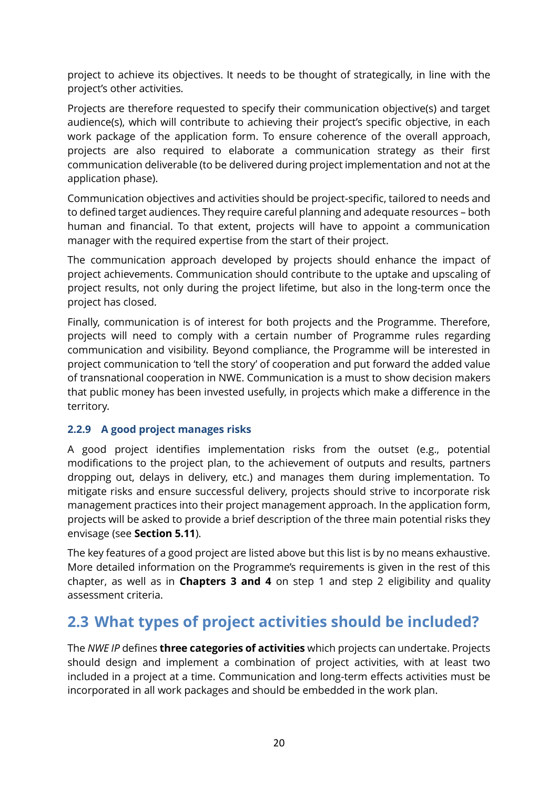project to achieve its objectives. It needs to be thought of strategically, in line with the project's other activities.

Projects are therefore requested to specify their communication objective(s) and target audience(s), which will contribute to achieving their project's specific objective, in each work package of the application form. To ensure coherence of the overall approach, projects are also required to elaborate a communication strategy as their first communication deliverable (to be delivered during project implementation and not at the application phase).

Communication objectives and activities should be project-specific, tailored to needs and to defined target audiences. They require careful planning and adequate resources – both human and financial. To that extent, projects will have to appoint a communication manager with the required expertise from the start of their project.

The communication approach developed by projects should enhance the impact of project achievements. Communication should contribute to the uptake and upscaling of project results, not only during the project lifetime, but also in the long-term once the project has closed.

Finally, communication is of interest for both projects and the Programme. Therefore, projects will need to comply with a certain number of Programme rules regarding communication and visibility. Beyond compliance, the Programme will be interested in project communication to 'tell the story' of cooperation and put forward the added value of transnational cooperation in NWE. Communication is a must to show decision makers that public money has been invested usefully, in projects which make a difference in the territory.

#### <span id="page-19-0"></span>**2.2.9 A good project manages risks**

A good project identifies implementation risks from the outset (e.g., potential modifications to the project plan, to the achievement of outputs and results, partners dropping out, delays in delivery, etc.) and manages them during implementation. To mitigate risks and ensure successful delivery, projects should strive to incorporate risk management practices into their project management approach. In the application form, projects will be asked to provide a brief description of the three main potential risks they envisage (see **Section [5.11](#page-88-0)**).

The key features of a good project are listed above but this list is by no means exhaustive. More detailed information on the Programme's requirements is given in the rest of this chapter, as well as in **Chapters [3](#page-32-0) and [4](#page-40-0)** on step 1 and step 2 eligibility and quality assessment criteria.

## <span id="page-19-1"></span>**2.3 What types of project activities should be included?**

The *NWE IP* defines **three categories of activities** which projects can undertake. Projects should design and implement a combination of project activities, with at least two included in a project at a time. Communication and long-term effects activities must be incorporated in all work packages and should be embedded in the work plan.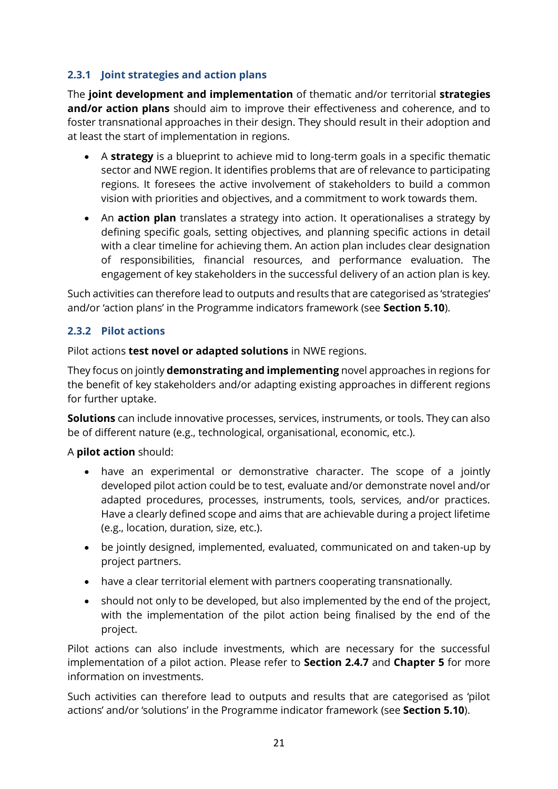#### <span id="page-20-0"></span>**2.3.1 Joint strategies and action plans**

The **joint development and implementation** of thematic and/or territorial **strategies and/or action plans** should aim to improve their effectiveness and coherence, and to foster transnational approaches in their design. They should result in their adoption and at least the start of implementation in regions.

- A **strategy** is a blueprint to achieve mid to long-term goals in a specific thematic sector and NWE region. It identifies problems that are of relevance to participating regions. It foresees the active involvement of stakeholders to build a common vision with priorities and objectives, and a commitment to work towards them.
- An **action plan** translates a strategy into action. It operationalises a strategy by defining specific goals, setting objectives, and planning specific actions in detail with a clear timeline for achieving them. An action plan includes clear designation of responsibilities, financial resources, and performance evaluation. The engagement of key stakeholders in the successful delivery of an action plan is key.

Such activities can therefore lead to outputs and results that are categorised as 'strategies' and/or 'action plans' in the Programme indicators framework (see **Section [5.10](#page-86-1)**).

#### <span id="page-20-1"></span>**2.3.2 Pilot actions**

Pilot actions **test novel or adapted solutions** in NWE regions.

They focus on jointly **demonstrating and implementing** novel approaches in regions for the benefit of key stakeholders and/or adapting existing approaches in different regions for further uptake.

**Solutions** can include innovative processes, services, instruments, or tools. They can also be of different nature (e.g., technological, organisational, economic, etc.).

#### A **pilot action** should:

- have an experimental or demonstrative character. The scope of a jointly developed pilot action could be to test, evaluate and/or demonstrate novel and/or adapted procedures, processes, instruments, tools, services, and/or practices. Have a clearly defined scope and aims that are achievable during a project lifetime (e.g., location, duration, size, etc.).
- be jointly designed, implemented, evaluated, communicated on and taken-up by project partners.
- have a clear territorial element with partners cooperating transnationally.
- should not only to be developed, but also implemented by the end of the project, with the implementation of the pilot action being finalised by the end of the project.

Pilot actions can also include investments, which are necessary for the successful implementation of a pilot action. Please refer to **Section [2.4.7](#page-23-1)** and **Chapter [5](#page-55-0)** for more information on investments.

Such activities can therefore lead to outputs and results that are categorised as 'pilot actions' and/or 'solutions' in the Programme indicator framework (see **Section [5.10](#page-86-1)**).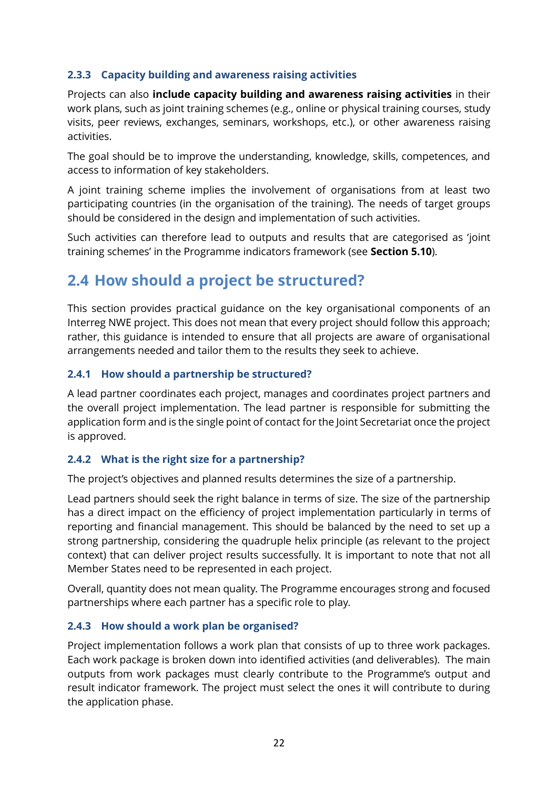#### <span id="page-21-0"></span>**2.3.3 Capacity building and awareness raising activities**

Projects can also **include capacity building and awareness raising activities** in their work plans, such as joint training schemes (e.g., online or physical training courses, study visits, peer reviews, exchanges, seminars, workshops, etc.), or other awareness raising activities.

The goal should be to improve the understanding, knowledge, skills, competences, and access to information of key stakeholders.

A joint training scheme implies the involvement of organisations from at least two participating countries (in the organisation of the training). The needs of target groups should be considered in the design and implementation of such activities.

Such activities can therefore lead to outputs and results that are categorised as 'joint training schemes' in the Programme indicators framework (see **Section [5.10](#page-86-1)**).

## <span id="page-21-1"></span>**2.4 How should a project be structured?**

This section provides practical guidance on the key organisational components of an Interreg NWE project. This does not mean that every project should follow this approach; rather, this guidance is intended to ensure that all projects are aware of organisational arrangements needed and tailor them to the results they seek to achieve.

#### <span id="page-21-2"></span>**2.4.1 How should a partnership be structured?**

A lead partner coordinates each project, manages and coordinates project partners and the overall project implementation. The lead partner is responsible for submitting the application form and is the single point of contact for the Joint Secretariat once the project is approved.

#### <span id="page-21-3"></span>**2.4.2 What is the right size for a partnership?**

The project's objectives and planned results determines the size of a partnership.

Lead partners should seek the right balance in terms of size. The size of the partnership has a direct impact on the efficiency of project implementation particularly in terms of reporting and financial management. This should be balanced by the need to set up a strong partnership, considering the quadruple helix principle (as relevant to the project context) that can deliver project results successfully. It is important to note that not all Member States need to be represented in each project.

Overall, quantity does not mean quality. The Programme encourages strong and focused partnerships where each partner has a specific role to play.

#### <span id="page-21-4"></span>**2.4.3 How should a work plan be organised?**

Project implementation follows a work plan that consists of up to three work packages. Each work package is broken down into identified activities (and deliverables). The main outputs from work packages must clearly contribute to the Programme's output and result indicator framework. The project must select the ones it will contribute to during the application phase.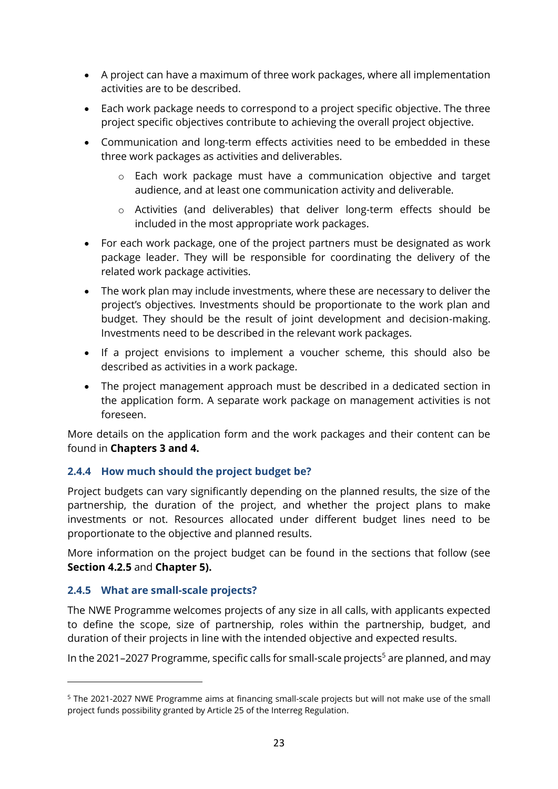- A project can have a maximum of three work packages, where all implementation activities are to be described.
- Each work package needs to correspond to a project specific objective. The three project specific objectives contribute to achieving the overall project objective.
- Communication and long-term effects activities need to be embedded in these three work packages as activities and deliverables.
	- o Each work package must have a communication objective and target audience, and at least one communication activity and deliverable.
	- o Activities (and deliverables) that deliver long-term effects should be included in the most appropriate work packages.
- For each work package, one of the project partners must be designated as work package leader. They will be responsible for coordinating the delivery of the related work package activities.
- The work plan may include investments, where these are necessary to deliver the project's objectives. Investments should be proportionate to the work plan and budget. They should be the result of joint development and decision-making. Investments need to be described in the relevant work packages.
- If a project envisions to implement a voucher scheme, this should also be described as activities in a work package.
- The project management approach must be described in a dedicated section in the application form. A separate work package on management activities is not foreseen.

More details on the application form and the work packages and their content can be found in **Chapters [3](#page-32-0) and [4.](#page-40-0)**

#### <span id="page-22-0"></span>**2.4.4 How much should the project budget be?**

Project budgets can vary significantly depending on the planned results, the size of the partnership, the duration of the project, and whether the project plans to make investments or not. Resources allocated under different budget lines need to be proportionate to the objective and planned results.

More information on the project budget can be found in the sections that follow (see **Section [4.2.5](#page-47-0)** and **Chapter [5\)](#page-55-0).** 

#### <span id="page-22-1"></span>**2.4.5 What are small-scale projects?**

The NWE Programme welcomes projects of any size in all calls, with applicants expected to define the scope, size of partnership, roles within the partnership, budget, and duration of their projects in line with the intended objective and expected results.

In the 2021–2027 Programme, specific calls for small-scale projects<sup>5</sup> are planned, and may

<sup>5</sup> The 2021-2027 NWE Programme aims at financing small-scale projects but will not make use of the small project funds possibility granted by Article 25 of the Interreg Regulation.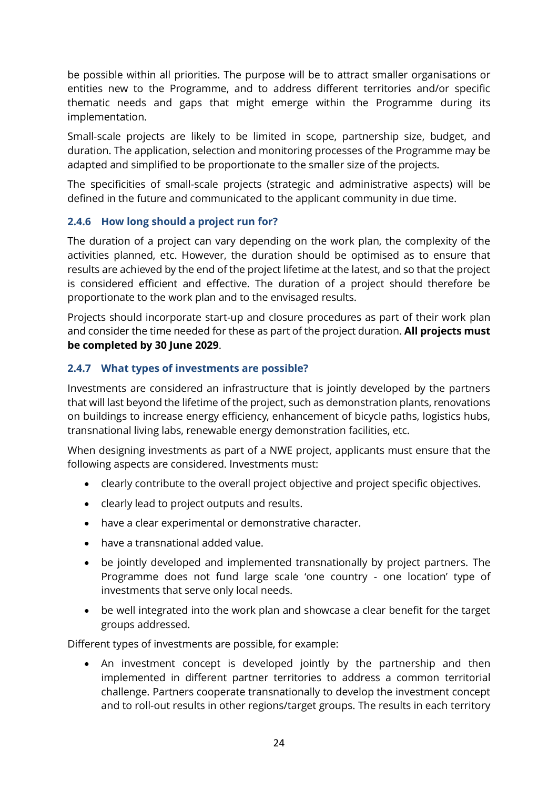be possible within all priorities. The purpose will be to attract smaller organisations or entities new to the Programme, and to address different territories and/or specific thematic needs and gaps that might emerge within the Programme during its implementation.

Small-scale projects are likely to be limited in scope, partnership size, budget, and duration. The application, selection and monitoring processes of the Programme may be adapted and simplified to be proportionate to the smaller size of the projects.

The specificities of small-scale projects (strategic and administrative aspects) will be defined in the future and communicated to the applicant community in due time.

#### <span id="page-23-0"></span>**2.4.6 How long should a project run for?**

The duration of a project can vary depending on the work plan, the complexity of the activities planned, etc. However, the duration should be optimised as to ensure that results are achieved by the end of the project lifetime at the latest, and so that the project is considered efficient and effective. The duration of a project should therefore be proportionate to the work plan and to the envisaged results.

Projects should incorporate start-up and closure procedures as part of their work plan and consider the time needed for these as part of the project duration. **All projects must be completed by 30 June 2029**.

#### <span id="page-23-1"></span>**2.4.7 What types of investments are possible?**

Investments are considered an infrastructure that is jointly developed by the partners that will last beyond the lifetime of the project, such as demonstration plants, renovations on buildings to increase energy efficiency, enhancement of bicycle paths, logistics hubs, transnational living labs, renewable energy demonstration facilities, etc.

When designing investments as part of a NWE project, applicants must ensure that the following aspects are considered. Investments must:

- clearly contribute to the overall project objective and project specific objectives.
- clearly lead to project outputs and results.
- have a clear experimental or demonstrative character.
- have a transnational added value.
- be jointly developed and implemented transnationally by project partners. The Programme does not fund large scale 'one country - one location' type of investments that serve only local needs.
- be well integrated into the work plan and showcase a clear benefit for the target groups addressed.

Different types of investments are possible, for example:

An investment concept is developed jointly by the partnership and then implemented in different partner territories to address a common territorial challenge. Partners cooperate transnationally to develop the investment concept and to roll-out results in other regions/target groups. The results in each territory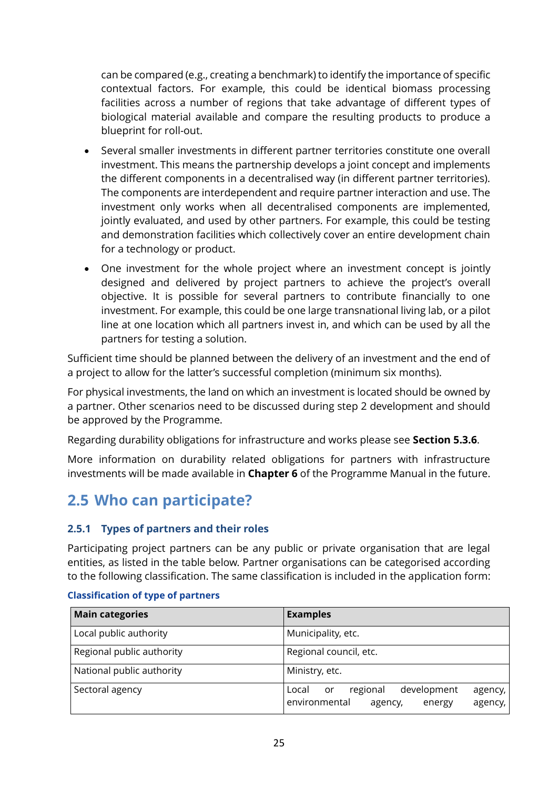can be compared (e.g., creating a benchmark) to identify the importance of specific contextual factors. For example, this could be identical biomass processing facilities across a number of regions that take advantage of different types of biological material available and compare the resulting products to produce a blueprint for roll-out.

- Several smaller investments in different partner territories constitute one overall investment. This means the partnership develops a joint concept and implements the different components in a decentralised way (in different partner territories). The components are interdependent and require partner interaction and use. The investment only works when all decentralised components are implemented, jointly evaluated, and used by other partners. For example, this could be testing and demonstration facilities which collectively cover an entire development chain for a technology or product.
- One investment for the whole project where an investment concept is jointly designed and delivered by project partners to achieve the project's overall objective. It is possible for several partners to contribute financially to one investment. For example, this could be one large transnational living lab, or a pilot line at one location which all partners invest in, and which can be used by all the partners for testing a solution.

Sufficient time should be planned between the delivery of an investment and the end of a project to allow for the latter's successful completion (minimum six months).

For physical investments, the land on which an investment is located should be owned by a partner. Other scenarios need to be discussed during step 2 development and should be approved by the Programme.

Regarding durability obligations for infrastructure and works please see **Section [5.3.6](#page-67-0)**.

More information on durability related obligations for partners with infrastructure investments will be made available in **Chapter [6](#page-100-0)** of the Programme Manual in the future.

## <span id="page-24-0"></span>**2.5 Who can participate?**

#### <span id="page-24-1"></span>**2.5.1 Types of partners and their roles**

Participating project partners can be any public or private organisation that are legal entities, as listed in the table below. Partner organisations can be categorised according to the following classification. The same classification is included in the application form:

| <b>Main categories</b>    | <b>Examples</b>                                                                                      |
|---------------------------|------------------------------------------------------------------------------------------------------|
| Local public authority    | Municipality, etc.                                                                                   |
| Regional public authority | Regional council, etc.                                                                               |
| National public authority | Ministry, etc.                                                                                       |
| Sectoral agency           | regional<br>development<br>Local<br>or<br>agency,  <br>environmental<br>agency,<br>agency,<br>energy |

#### **Classification of type of partners**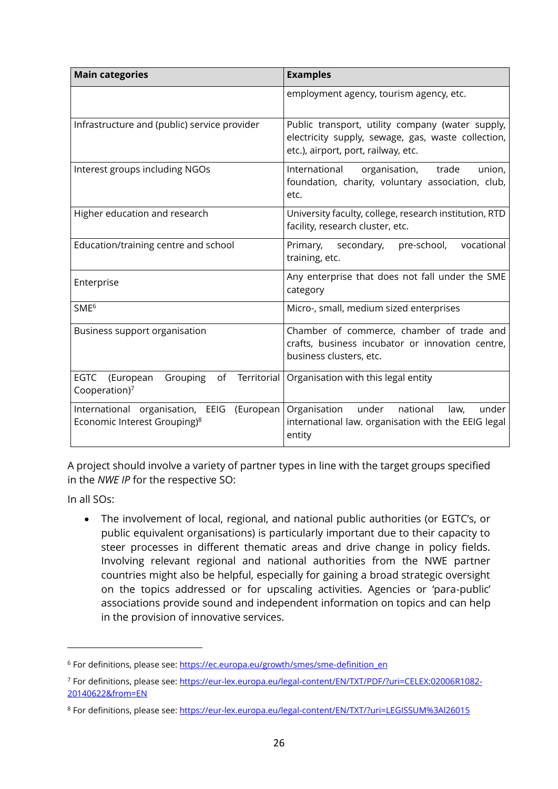| <b>Main categories</b>                                                                    | <b>Examples</b>                                                                                                                               |  |  |
|-------------------------------------------------------------------------------------------|-----------------------------------------------------------------------------------------------------------------------------------------------|--|--|
|                                                                                           | employment agency, tourism agency, etc.                                                                                                       |  |  |
| Infrastructure and (public) service provider                                              | Public transport, utility company (water supply,<br>electricity supply, sewage, gas, waste collection,<br>etc.), airport, port, railway, etc. |  |  |
| Interest groups including NGOs                                                            | organisation, trade<br>International<br>union,<br>foundation, charity, voluntary association, club,<br>etc.                                   |  |  |
| Higher education and research                                                             | University faculty, college, research institution, RTD<br>facility, research cluster, etc.                                                    |  |  |
| Education/training centre and school                                                      | Primary, secondary,<br>pre-school,<br>vocational<br>training, etc.                                                                            |  |  |
| Enterprise                                                                                | Any enterprise that does not fall under the SME<br>category                                                                                   |  |  |
| SME <sup>6</sup>                                                                          | Micro-, small, medium sized enterprises                                                                                                       |  |  |
| Business support organisation                                                             | Chamber of commerce, chamber of trade and<br>crafts, business incubator or innovation centre,<br>business clusters, etc.                      |  |  |
| <b>Territorial</b><br><b>EGTC</b><br>(European<br>Grouping<br>of<br>Cooperation) $7$      | Organisation with this legal entity                                                                                                           |  |  |
| International organisation, EEIG<br>(European<br>Economic Interest Grouping) <sup>8</sup> | Organisation<br>national<br>under<br>law,<br>under<br>international law. organisation with the EEIG legal<br>entity                           |  |  |

A project should involve a variety of partner types in line with the target groups specified in the *NWE IP* for the respective SO:

In all SOs:

• The involvement of local, regional, and national public authorities (or EGTC's, or public equivalent organisations) is particularly important due to their capacity to steer processes in different thematic areas and drive change in policy fields. Involving relevant regional and national authorities from the NWE partner countries might also be helpful, especially for gaining a broad strategic oversight on the topics addressed or for upscaling activities. Agencies or 'para-public' associations provide sound and independent information on topics and can help in the provision of innovative services.

<sup>&</sup>lt;sup>6</sup> For definitions, please see[: https://ec.europa.eu/growth/smes/sme-definition\\_en](https://ec.europa.eu/growth/smes/sme-definition_en)

<sup>7</sup> For definitions, please see[: https://eur-lex.europa.eu/legal-content/EN/TXT/PDF/?uri=CELEX:02006R1082-](https://eur-lex.europa.eu/legal-content/EN/TXT/PDF/?uri=CELEX:02006R1082-20140622&from=EN) [20140622&from=EN](https://eur-lex.europa.eu/legal-content/EN/TXT/PDF/?uri=CELEX:02006R1082-20140622&from=EN)

<sup>8</sup> For definitions, please see[: https://eur-lex.europa.eu/legal-content/EN/TXT/?uri=LEGISSUM%3Al26015](https://eur-lex.europa.eu/legal-content/EN/TXT/?uri=LEGISSUM%3Al26015)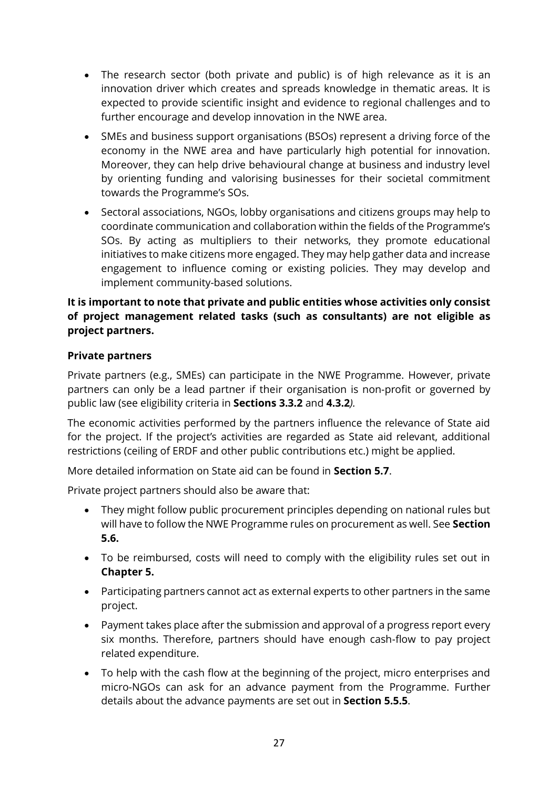- The research sector (both private and public) is of high relevance as it is an innovation driver which creates and spreads knowledge in thematic areas. It is expected to provide scientific insight and evidence to regional challenges and to further encourage and develop innovation in the NWE area.
- SMEs and business support organisations (BSOs) represent a driving force of the economy in the NWE area and have particularly high potential for innovation. Moreover, they can help drive behavioural change at business and industry level by orienting funding and valorising businesses for their societal commitment towards the Programme's SOs.
- Sectoral associations, NGOs, lobby organisations and citizens groups may help to coordinate communication and collaboration within the fields of the Programme's SOs. By acting as multipliers to their networks, they promote educational initiatives to make citizens more engaged. They may help gather data and increase engagement to influence coming or existing policies. They may develop and implement community-based solutions.

#### **It is important to note that private and public entities whose activities only consist of project management related tasks (such as consultants) are not eligible as project partners.**

#### **Private partners**

Private partners (e.g., SMEs) can participate in the NWE Programme. However, private partners can only be a lead partner if their organisation is non-profit or governed by public law (see eligibility criteria in **Section[s 3.3.2](#page-36-0)** and **[4.3.2](#page-50-0)***).*

The economic activities performed by the partners influence the relevance of State aid for the project. If the project's activities are regarded as State aid relevant, additional restrictions (ceiling of ERDF and other public contributions etc.) might be applied.

More detailed information on State aid can be found in **Section [5.7](#page-77-0)**.

Private project partners should also be aware that:

- They might follow public procurement principles depending on national rules but will have to follow the NWE Programme rules on procurement as well. See **Section [5.6.](#page-72-0)**
- To be reimbursed, costs will need to comply with the eligibility rules set out in **Chapter [5.](#page-55-0)**
- Participating partners cannot act as external experts to other partners in the same project.
- Payment takes place after the submission and approval of a progress report every six months. Therefore, partners should have enough cash-flow to pay project related expenditure.
- To help with the cash flow at the beginning of the project, micro enterprises and micro-NGOs can ask for an advance payment from the Programme. Further details about the advance payments are set out in **Section [5.5.5](#page-71-0)**.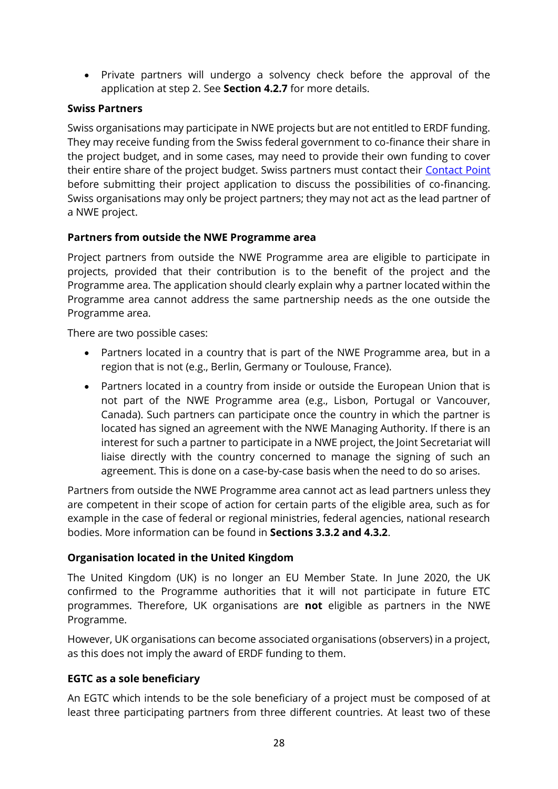• Private partners will undergo a solvency check before the approval of the application at step 2. See **Section [4.2.7](#page-48-0)** for more details.

#### **Swiss Partners**

Swiss organisations may participate in NWE projects but are not entitled to ERDF funding. They may receive funding from the Swiss federal government to co-finance their share in the project budget, and in some cases, may need to provide their own funding to cover their entire share of the project budget. Swiss partners must contact their [Contact Point](http://www.nweurope.eu/contact-us/contact-points/) before submitting their project application to discuss the possibilities of co-financing. Swiss organisations may only be project partners; they may not act as the lead partner of a NWE project.

#### **Partners from outside the NWE Programme area**

Project partners from outside the NWE Programme area are eligible to participate in projects, provided that their contribution is to the benefit of the project and the Programme area. The application should clearly explain why a partner located within the Programme area cannot address the same partnership needs as the one outside the Programme area.

There are two possible cases:

- Partners located in a country that is part of the NWE Programme area, but in a region that is not (e.g., Berlin, Germany or Toulouse, France).
- Partners located in a country from inside or outside the European Union that is not part of the NWE Programme area (e.g., Lisbon, Portugal or Vancouver, Canada). Such partners can participate once the country in which the partner is located has signed an agreement with the NWE Managing Authority. If there is an interest for such a partner to participate in a NWE project, the Joint Secretariat will liaise directly with the country concerned to manage the signing of such an agreement. This is done on a case-by-case basis when the need to do so arises.

Partners from outside the NWE Programme area cannot act as lead partners unless they are competent in their scope of action for certain parts of the eligible area, such as for example in the case of federal or regional ministries, federal agencies, national research bodies. More information can be found in **Sections [3.3.2](#page-36-0) and [4.3.2](#page-50-0)**.

#### **Organisation located in the United Kingdom**

The United Kingdom (UK) is no longer an EU Member State. In June 2020, the UK confirmed to the Programme authorities that it will not participate in future ETC programmes. Therefore, UK organisations are **not** eligible as partners in the NWE Programme.

However, UK organisations can become associated organisations (observers) in a project, as this does not imply the award of ERDF funding to them.

#### **EGTC as a sole beneficiary**

An EGTC which intends to be the sole beneficiary of a project must be composed of at least three participating partners from three different countries. At least two of these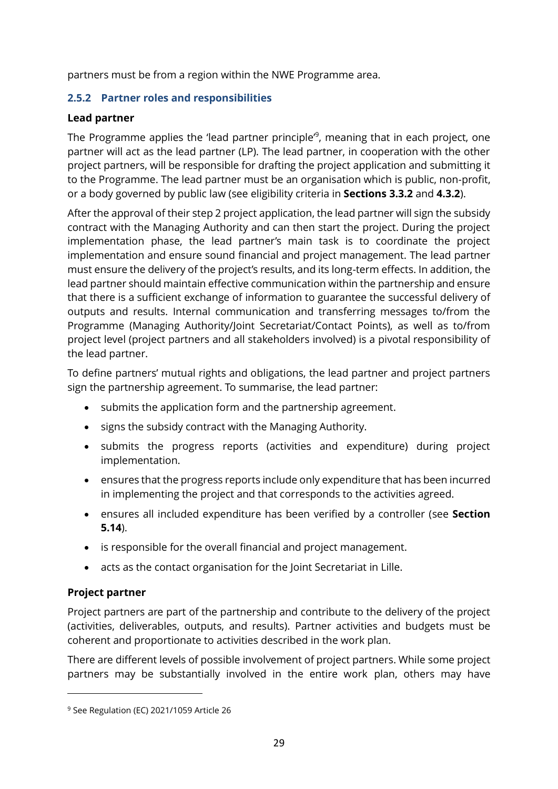partners must be from a region within the NWE Programme area.

#### <span id="page-28-0"></span>**2.5.2 Partner roles and responsibilities**

#### **Lead partner**

The Programme applies the 'lead partner principle'<sup>9</sup>, meaning that in each project, one partner will act as the lead partner (LP). The lead partner, in cooperation with the other project partners, will be responsible for drafting the project application and submitting it to the Programme. The lead partner must be an organisation which is public, non-profit, or a body governed by public law (see eligibility criteria in **Sections [3.3.2](#page-36-0)** and **[4.3.2](#page-50-0)**).

After the approval of their step 2 project application, the lead partner will sign the subsidy contract with the Managing Authority and can then start the project. During the project implementation phase, the lead partner's main task is to coordinate the project implementation and ensure sound financial and project management. The lead partner must ensure the delivery of the project's results, and its long-term effects. In addition, the lead partner should maintain effective communication within the partnership and ensure that there is a sufficient exchange of information to guarantee the successful delivery of outputs and results. Internal communication and transferring messages to/from the Programme (Managing Authority/Joint Secretariat/Contact Points), as well as to/from project level (project partners and all stakeholders involved) is a pivotal responsibility of the lead partner.

To define partners' mutual rights and obligations, the lead partner and project partners sign the partnership agreement. To summarise, the lead partner:

- submits the application form and the partnership agreement.
- signs the subsidy contract with the Managing Authority.
- submits the progress reports (activities and expenditure) during project implementation.
- ensures that the progress reports include only expenditure that has been incurred in implementing the project and that corresponds to the activities agreed.
- ensures all included expenditure has been verified by a controller (see **Section [5.14](#page-93-1)**).
- is responsible for the overall financial and project management.
- acts as the contact organisation for the Joint Secretariat in Lille.

#### **Project partner**

Project partners are part of the partnership and contribute to the delivery of the project (activities, deliverables, outputs, and results). Partner activities and budgets must be coherent and proportionate to activities described in the work plan.

There are different levels of possible involvement of project partners. While some project partners may be substantially involved in the entire work plan, others may have

<sup>&</sup>lt;sup>9</sup> See Regulation (EC) 2021/1059 Article 26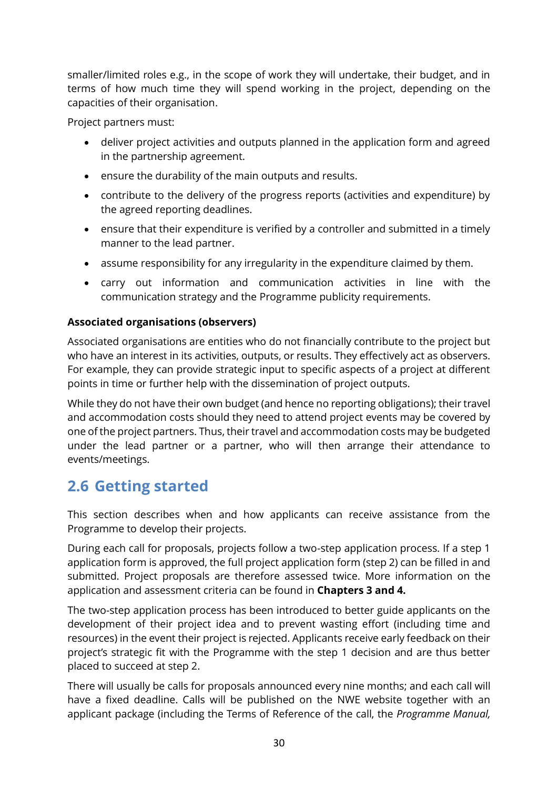smaller/limited roles e.g., in the scope of work they will undertake, their budget, and in terms of how much time they will spend working in the project, depending on the capacities of their organisation.

Project partners must:

- deliver project activities and outputs planned in the application form and agreed in the partnership agreement.
- ensure the durability of the main outputs and results.
- contribute to the delivery of the progress reports (activities and expenditure) by the agreed reporting deadlines.
- ensure that their expenditure is verified by a controller and submitted in a timely manner to the lead partner.
- assume responsibility for any irregularity in the expenditure claimed by them.
- carry out information and communication activities in line with the communication strategy and the Programme publicity requirements.

#### **Associated organisations (observers)**

Associated organisations are entities who do not financially contribute to the project but who have an interest in its activities, outputs, or results. They effectively act as observers. For example, they can provide strategic input to specific aspects of a project at different points in time or further help with the dissemination of project outputs.

While they do not have their own budget (and hence no reporting obligations); their travel and accommodation costs should they need to attend project events may be covered by one of the project partners. Thus, their travel and accommodation costs may be budgeted under the lead partner or a partner, who will then arrange their attendance to events/meetings.

## <span id="page-29-0"></span>**2.6 Getting started**

This section describes when and how applicants can receive assistance from the Programme to develop their projects.

During each call for proposals, projects follow a two-step application process. If a step 1 application form is approved, the full project application form (step 2) can be filled in and submitted. Project proposals are therefore assessed twice. More information on the application and assessment criteria can be found in **Chapters [3](#page-32-0) and [4.](#page-40-0)**

The two-step application process has been introduced to better guide applicants on the development of their project idea and to prevent wasting effort (including time and resources) in the event their project is rejected. Applicants receive early feedback on their project's strategic fit with the Programme with the step 1 decision and are thus better placed to succeed at step 2.

There will usually be calls for proposals announced every nine months; and each call will have a fixed deadline. Calls will be published on the NWE website together with an applicant package (including the Terms of Reference of the call, the *Programme Manual,*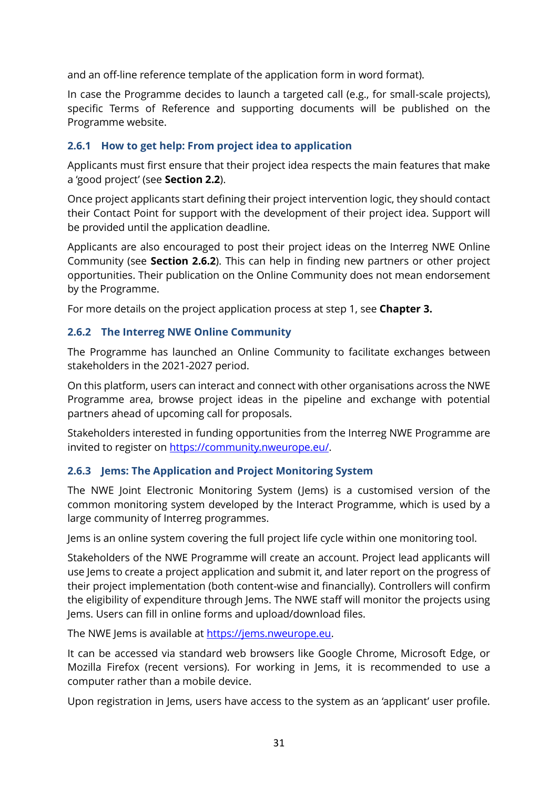and an off-line reference template of the application form in word format).

In case the Programme decides to launch a targeted call (e.g., for small-scale projects), specific Terms of Reference and supporting documents will be published on the Programme website.

#### <span id="page-30-0"></span>**2.6.1 How to get help: From project idea to application**

Applicants must first ensure that their project idea respects the main features that make a 'good project' (see **Section [2.2](#page-16-0)**).

Once project applicants start defining their project intervention logic, they should contact their Contact Point for support with the development of their project idea. Support will be provided until the application deadline.

Applicants are also encouraged to post their project ideas on the Interreg NWE Online Community (see **Section [2.6.2](#page-30-1)**). This can help in finding new partners or other project opportunities. Their publication on the Online Community does not mean endorsement by the Programme.

For more details on the project application process at step 1, see **Chapter [3.](#page-32-0)**

#### <span id="page-30-1"></span>**2.6.2 The Interreg NWE Online Community**

The Programme has launched an Online Community to facilitate exchanges between stakeholders in the 2021-2027 period.

On this platform, users can interact and connect with other organisations across the NWE Programme area, browse project ideas in the pipeline and exchange with potential partners ahead of upcoming call for proposals.

Stakeholders interested in funding opportunities from the Interreg NWE Programme are invited to register on [https://community.nweurope.eu/.](https://community.nweurope.eu/)

#### <span id="page-30-2"></span>**2.6.3 Jems: The Application and Project Monitoring System**

The NWE Joint Electronic Monitoring System (Jems) is a customised version of the common monitoring system developed by the Interact Programme, which is used by a large community of Interreg programmes.

Jems is an online system covering the full project life cycle within one monitoring tool.

Stakeholders of the NWE Programme will create an account. Project lead applicants will use lems to create a project application and submit it, and later report on the progress of their project implementation (both content-wise and financially). Controllers will confirm the eligibility of expenditure through Jems. The NWE staff will monitor the projects using Jems. Users can fill in online forms and upload/download files.

The NWE Jems is available at [https://jems.nweurope.eu.](https://jems.nweurope.eu/)

It can be accessed via standard web browsers like Google Chrome, Microsoft Edge, or Mozilla Firefox (recent versions). For working in Jems, it is recommended to use a computer rather than a mobile device.

Upon registration in Jems, users have access to the system as an 'applicant' user profile.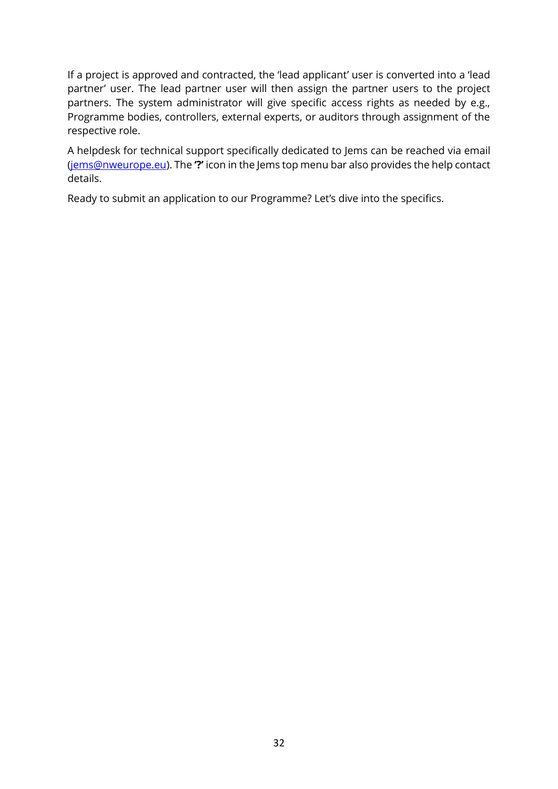If a project is approved and contracted, the 'lead applicant' user is converted into a 'lead partner' user. The lead partner user will then assign the partner users to the project partners. The system administrator will give specific access rights as needed by e.g., Programme bodies, controllers, external experts, or auditors through assignment of the respective role.

A helpdesk for technical support specifically dedicated to Jems can be reached via email [\(jems@nweurope.eu\)](mailto:jems@nweurope.eu). The **'?'** icon in the Jems top menu bar also provides the help contact details.

Ready to submit an application to our Programme? Let's dive into the specifics.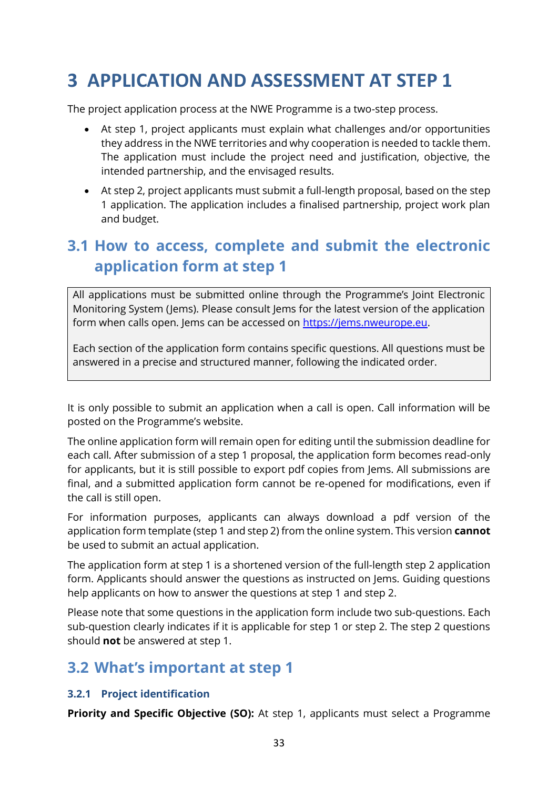## <span id="page-32-0"></span>**3 APPLICATION AND ASSESSMENT AT STEP 1**

The project application process at the NWE Programme is a two-step process.

- At step 1, project applicants must explain what challenges and/or opportunities they address in the NWE territories and why cooperation is needed to tackle them. The application must include the project need and justification, objective, the intended partnership, and the envisaged results.
- At step 2, project applicants must submit a full-length proposal, based on the step 1 application. The application includes a finalised partnership, project work plan and budget.

## <span id="page-32-1"></span>**3.1 How to access, complete and submit the electronic application form at step 1**

All applications must be submitted online through the Programme's Joint Electronic Monitoring System (Jems). Please consult Jems for the latest version of the application form when calls open. Jems can be accessed on [https://jems.nweurope.eu.](https://jems.nweurope.eu/)

Each section of the application form contains specific questions. All questions must be answered in a precise and structured manner, following the indicated order.

It is only possible to submit an application when a call is open. Call information will be posted on the Programme's website.

The online application form will remain open for editing until the submission deadline for each call. After submission of a step 1 proposal, the application form becomes read-only for applicants, but it is still possible to export pdf copies from Jems. All submissions are final, and a submitted application form cannot be re-opened for modifications, even if the call is still open.

For information purposes, applicants can always download a pdf version of the application form template (step 1 and step 2) from the online system. This version **cannot** be used to submit an actual application.

The application form at step 1 is a shortened version of the full-length step 2 application form. Applicants should answer the questions as instructed on Jems. Guiding questions help applicants on how to answer the questions at step 1 and step 2.

Please note that some questions in the application form include two sub-questions. Each sub-question clearly indicates if it is applicable for step 1 or step 2. The step 2 questions should **not** be answered at step 1.

### <span id="page-32-2"></span>**3.2 What's important at step 1**

#### <span id="page-32-3"></span>**3.2.1 Project identification**

**Priority and Specific Objective (SO):** At step 1, applicants must select a Programme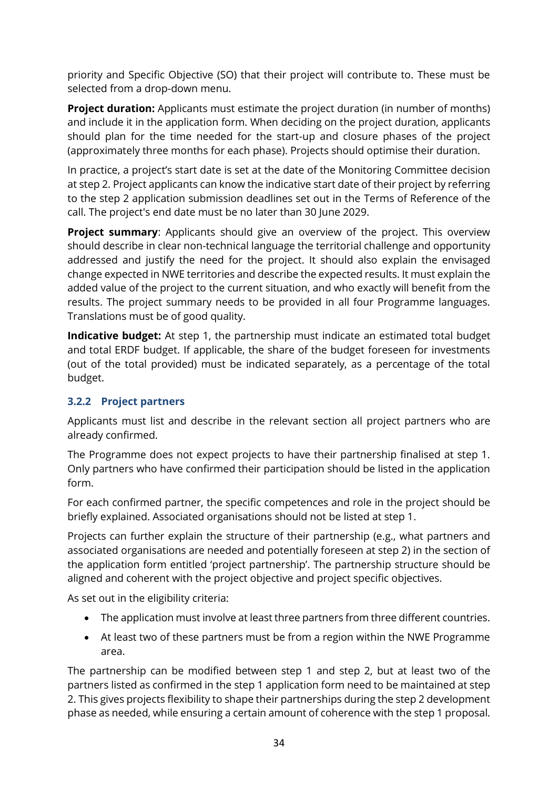priority and Specific Objective (SO) that their project will contribute to. These must be selected from a drop-down menu.

**Project duration:** Applicants must estimate the project duration (in number of months) and include it in the application form. When deciding on the project duration, applicants should plan for the time needed for the start-up and closure phases of the project (approximately three months for each phase). Projects should optimise their duration.

In practice, a project's start date is set at the date of the Monitoring Committee decision at step 2. Project applicants can know the indicative start date of their project by referring to the step 2 application submission deadlines set out in the Terms of Reference of the call. The project's end date must be no later than 30 June 2029.

**Project summary:** Applicants should give an overview of the project. This overview should describe in clear non-technical language the territorial challenge and opportunity addressed and justify the need for the project. It should also explain the envisaged change expected in NWE territories and describe the expected results. It must explain the added value of the project to the current situation, and who exactly will benefit from the results. The project summary needs to be provided in all four Programme languages. Translations must be of good quality.

**Indicative budget:** At step 1, the partnership must indicate an estimated total budget and total ERDF budget. If applicable, the share of the budget foreseen for investments (out of the total provided) must be indicated separately, as a percentage of the total budget.

#### <span id="page-33-0"></span>**3.2.2 Project partners**

Applicants must list and describe in the relevant section all project partners who are already confirmed.

The Programme does not expect projects to have their partnership finalised at step 1. Only partners who have confirmed their participation should be listed in the application form.

For each confirmed partner, the specific competences and role in the project should be briefly explained. Associated organisations should not be listed at step 1.

Projects can further explain the structure of their partnership (e.g., what partners and associated organisations are needed and potentially foreseen at step 2) in the section of the application form entitled 'project partnership'. The partnership structure should be aligned and coherent with the project objective and project specific objectives.

As set out in the eligibility criteria:

- The application must involve at least three partners from three different countries.
- At least two of these partners must be from a region within the NWE Programme area.

The partnership can be modified between step 1 and step 2, but at least two of the partners listed as confirmed in the step 1 application form need to be maintained at step 2. This gives projects flexibility to shape their partnerships during the step 2 development phase as needed, while ensuring a certain amount of coherence with the step 1 proposal.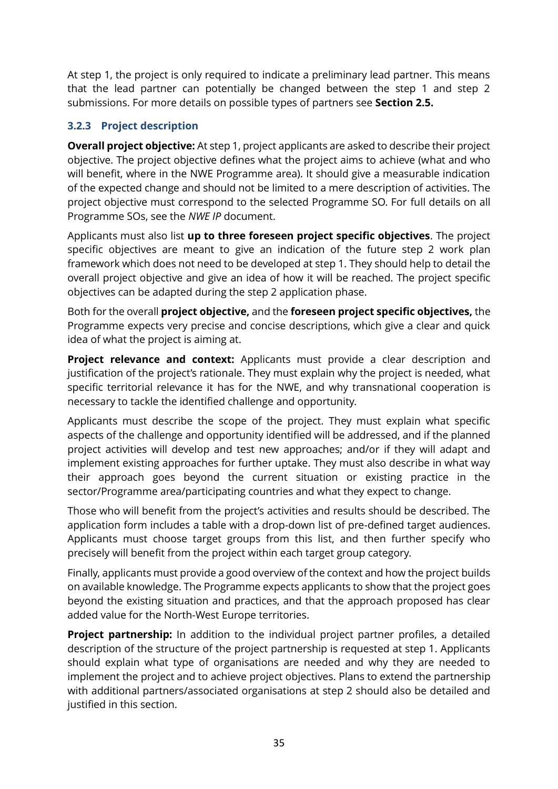At step 1, the project is only required to indicate a preliminary lead partner. This means that the lead partner can potentially be changed between the step 1 and step 2 submissions. For more details on possible types of partners see **Section [2.5.](#page-24-0)** 

#### <span id="page-34-0"></span>**3.2.3 Project description**

**Overall project objective:** At step 1, project applicants are asked to describe their project objective. The project objective defines what the project aims to achieve (what and who will benefit, where in the NWE Programme area). It should give a measurable indication of the expected change and should not be limited to a mere description of activities. The project objective must correspond to the selected Programme SO. For full details on all Programme SOs, see the *NWE IP* document.

Applicants must also list **up to three foreseen project specific objectives**. The project specific objectives are meant to give an indication of the future step 2 work plan framework which does not need to be developed at step 1. They should help to detail the overall project objective and give an idea of how it will be reached. The project specific objectives can be adapted during the step 2 application phase.

Both for the overall **project objective,** and the **foreseen project specific objectives,** the Programme expects very precise and concise descriptions, which give a clear and quick idea of what the project is aiming at.

**Project relevance and context:** Applicants must provide a clear description and justification of the project's rationale. They must explain why the project is needed, what specific territorial relevance it has for the NWE, and why transnational cooperation is necessary to tackle the identified challenge and opportunity.

Applicants must describe the scope of the project. They must explain what specific aspects of the challenge and opportunity identified will be addressed, and if the planned project activities will develop and test new approaches; and/or if they will adapt and implement existing approaches for further uptake. They must also describe in what way their approach goes beyond the current situation or existing practice in the sector/Programme area/participating countries and what they expect to change.

Those who will benefit from the project's activities and results should be described. The application form includes a table with a drop-down list of pre-defined target audiences. Applicants must choose target groups from this list, and then further specify who precisely will benefit from the project within each target group category.

Finally, applicants must provide a good overview of the context and how the project builds on available knowledge. The Programme expects applicants to show that the project goes beyond the existing situation and practices, and that the approach proposed has clear added value for the North-West Europe territories.

**Project partnership:** In addition to the individual project partner profiles, a detailed description of the structure of the project partnership is requested at step 1. Applicants should explain what type of organisations are needed and why they are needed to implement the project and to achieve project objectives. Plans to extend the partnership with additional partners/associated organisations at step 2 should also be detailed and justified in this section.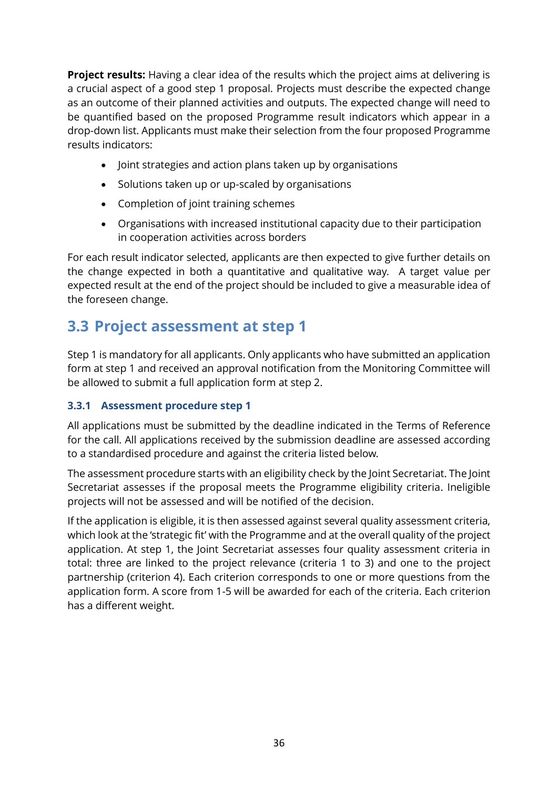**Project results:** Having a clear idea of the results which the project aims at delivering is a crucial aspect of a good step 1 proposal. Projects must describe the expected change as an outcome of their planned activities and outputs. The expected change will need to be quantified based on the proposed Programme result indicators which appear in a drop-down list. Applicants must make their selection from the four proposed Programme results indicators:

- Joint strategies and action plans taken up by organisations
- Solutions taken up or up-scaled by organisations
- Completion of joint training schemes
- Organisations with increased institutional capacity due to their participation in cooperation activities across borders

For each result indicator selected, applicants are then expected to give further details on the change expected in both a quantitative and qualitative way. A target value per expected result at the end of the project should be included to give a measurable idea of the foreseen change.

### <span id="page-35-0"></span>**3.3 Project assessment at step 1**

Step 1 is mandatory for all applicants. Only applicants who have submitted an application form at step 1 and received an approval notification from the Monitoring Committee will be allowed to submit a full application form at step 2.

#### <span id="page-35-1"></span>**3.3.1 Assessment procedure step 1**

All applications must be submitted by the deadline indicated in the Terms of Reference for the call. All applications received by the submission deadline are assessed according to a standardised procedure and against the criteria listed below.

The assessment procedure starts with an eligibility check by the Joint Secretariat. The Joint Secretariat assesses if the proposal meets the Programme eligibility criteria. Ineligible projects will not be assessed and will be notified of the decision.

If the application is eligible, it is then assessed against several quality assessment criteria, which look at the 'strategic fit' with the Programme and at the overall quality of the project application. At step 1, the Joint Secretariat assesses four quality assessment criteria in total: three are linked to the project relevance (criteria 1 to 3) and one to the project partnership (criterion 4). Each criterion corresponds to one or more questions from the application form. A score from 1-5 will be awarded for each of the criteria. Each criterion has a different weight.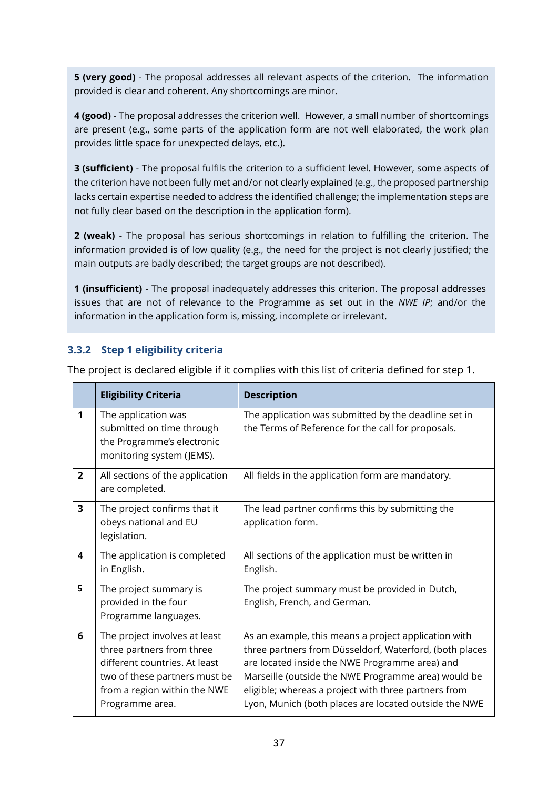**5 (very good)** - The proposal addresses all relevant aspects of the criterion. The information provided is clear and coherent. Any shortcomings are minor.

**4 (good)** - The proposal addresses the criterion well. However, a small number of shortcomings are present (e.g., some parts of the application form are not well elaborated, the work plan provides little space for unexpected delays, etc.).

**3 (sufficient)** - The proposal fulfils the criterion to a sufficient level. However, some aspects of the criterion have not been fully met and/or not clearly explained (e.g., the proposed partnership lacks certain expertise needed to address the identified challenge; the implementation steps are not fully clear based on the description in the application form).

**2 (weak)** - The proposal has serious shortcomings in relation to fulfilling the criterion. The information provided is of low quality (e.g., the need for the project is not clearly justified; the main outputs are badly described; the target groups are not described).

**1 (insufficient)** - The proposal inadequately addresses this criterion. The proposal addresses issues that are not of relevance to the Programme as set out in the *NWE IP*; and/or the information in the application form is, missing, incomplete or irrelevant.

#### **3.3.2 Step 1 eligibility criteria**

|                | <b>Eligibility Criteria</b>                                                                                                                                                     | <b>Description</b>                                                                                                                                                                                                                                                                                                                        |  |
|----------------|---------------------------------------------------------------------------------------------------------------------------------------------------------------------------------|-------------------------------------------------------------------------------------------------------------------------------------------------------------------------------------------------------------------------------------------------------------------------------------------------------------------------------------------|--|
| 1              | The application was<br>submitted on time through<br>the Programme's electronic<br>monitoring system (JEMS).                                                                     | The application was submitted by the deadline set in<br>the Terms of Reference for the call for proposals.                                                                                                                                                                                                                                |  |
| $\overline{2}$ | All sections of the application<br>are completed.                                                                                                                               | All fields in the application form are mandatory.                                                                                                                                                                                                                                                                                         |  |
| 3              | The project confirms that it<br>obeys national and EU<br>legislation.                                                                                                           | The lead partner confirms this by submitting the<br>application form.                                                                                                                                                                                                                                                                     |  |
| 4              | The application is completed<br>in English.                                                                                                                                     | All sections of the application must be written in<br>English.                                                                                                                                                                                                                                                                            |  |
| 5              | The project summary is<br>provided in the four<br>Programme languages.                                                                                                          | The project summary must be provided in Dutch,<br>English, French, and German.                                                                                                                                                                                                                                                            |  |
| 6              | The project involves at least<br>three partners from three<br>different countries. At least<br>two of these partners must be<br>from a region within the NWE<br>Programme area. | As an example, this means a project application with<br>three partners from Düsseldorf, Waterford, (both places<br>are located inside the NWE Programme area) and<br>Marseille (outside the NWE Programme area) would be<br>eligible; whereas a project with three partners from<br>Lyon, Munich (both places are located outside the NWE |  |

The project is declared eligible if it complies with this list of criteria defined for step 1.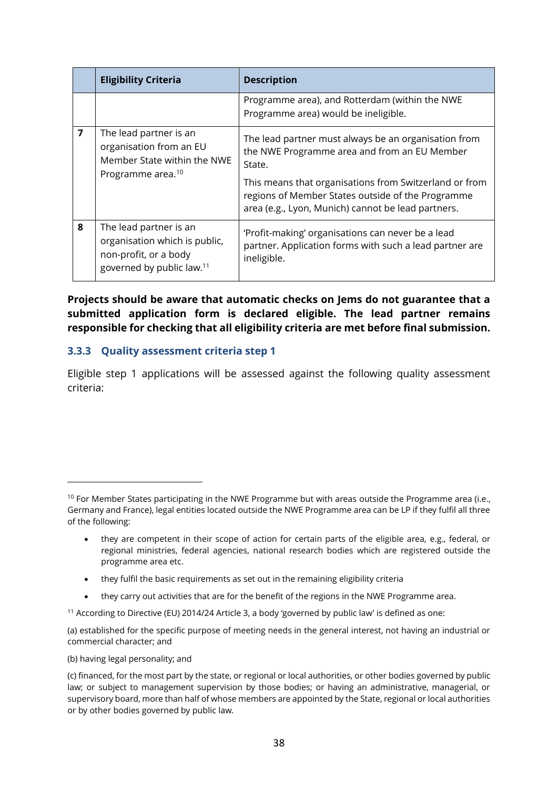|                               | <b>Eligibility Criteria</b>                                                                                               | <b>Description</b>                                                                                                                                                |  |
|-------------------------------|---------------------------------------------------------------------------------------------------------------------------|-------------------------------------------------------------------------------------------------------------------------------------------------------------------|--|
|                               |                                                                                                                           | Programme area), and Rotterdam (within the NWE<br>Programme area) would be ineligible.                                                                            |  |
| $\overline{7}$                | The lead partner is an<br>organisation from an EU<br>Member State within the NWE                                          | The lead partner must always be an organisation from<br>the NWE Programme area and from an EU Member<br>State.                                                    |  |
| Programme area. <sup>10</sup> |                                                                                                                           | This means that organisations from Switzerland or from<br>regions of Member States outside of the Programme<br>area (e.g., Lyon, Munich) cannot be lead partners. |  |
| 8                             | The lead partner is an<br>organisation which is public,<br>non-profit, or a body<br>governed by public law. <sup>11</sup> | 'Profit-making' organisations can never be a lead<br>partner. Application forms with such a lead partner are<br>ineligible.                                       |  |

**Projects should be aware that automatic checks on Jems do not guarantee that a submitted application form is declared eligible. The lead partner remains responsible for checking that all eligibility criteria are met before final submission.** 

#### **3.3.3 Quality assessment criteria step 1**

Eligible step 1 applications will be assessed against the following quality assessment criteria:

- they fulfil the basic requirements as set out in the remaining eligibility criteria
- they carry out activities that are for the benefit of the regions in the NWE Programme area.

<sup>11</sup> According to Directive (EU) 2014/24 Article 3, a body 'governed by public law' is defined as one:

(a) established for the specific purpose of meeting needs in the general interest, not having an industrial or commercial character; and

(b) having legal personality; and

<sup>&</sup>lt;sup>10</sup> For Member States participating in the NWE Programme but with areas outside the Programme area (i.e., Germany and France), legal entities located outside the NWE Programme area can be LP if they fulfil all three of the following:

<sup>•</sup> they are competent in their scope of action for certain parts of the eligible area, e.g., federal, or regional ministries, federal agencies, national research bodies which are registered outside the programme area etc.

<sup>(</sup>c) financed, for the most part by the state, or regional or local authorities, or other bodies governed by public law; or subject to management supervision by those bodies; or having an administrative, managerial, or supervisory board, more than half of whose members are appointed by the State, regional or local authorities or by other bodies governed by public law.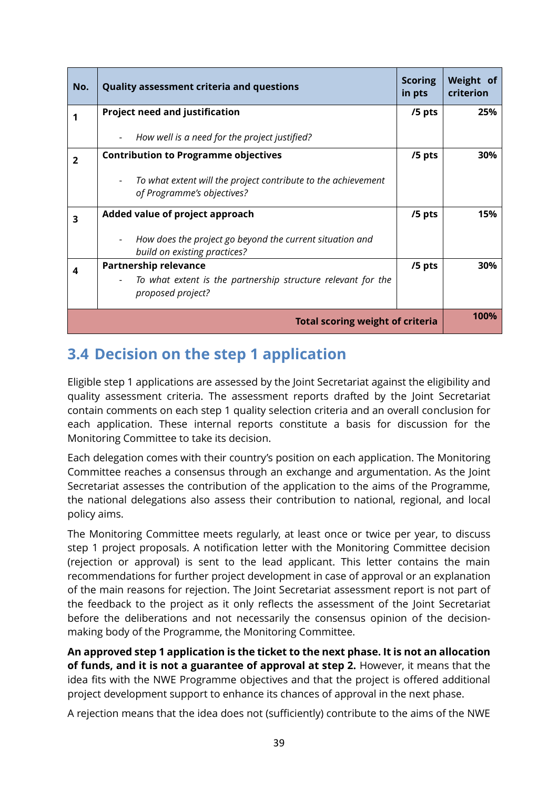| No. | <b>Quality assessment criteria and questions</b>                                            | <b>Scoring</b><br>in pts | Weight of<br>criterion |
|-----|---------------------------------------------------------------------------------------------|--------------------------|------------------------|
|     | <b>Project need and justification</b>                                                       | /5 pts                   | 25%                    |
|     | How well is a need for the project justified?                                               |                          |                        |
| 2   | <b>Contribution to Programme objectives</b>                                                 | /5 pts                   | 30%                    |
|     | To what extent will the project contribute to the achievement<br>of Programme's objectives? |                          |                        |
| 3   | Added value of project approach                                                             | /5 pts                   | 15%                    |
|     | How does the project go beyond the current situation and<br>build on existing practices?    |                          |                        |
| 4   | <b>Partnership relevance</b>                                                                | /5 pts                   | 30%                    |
|     | To what extent is the partnership structure relevant for the<br>proposed project?           |                          |                        |
|     | <b>Total scoring weight of criteria</b>                                                     |                          | 100%                   |

# **3.4 Decision on the step 1 application**

Eligible step 1 applications are assessed by the Joint Secretariat against the eligibility and quality assessment criteria. The assessment reports drafted by the Joint Secretariat contain comments on each step 1 quality selection criteria and an overall conclusion for each application. These internal reports constitute a basis for discussion for the Monitoring Committee to take its decision.

Each delegation comes with their country's position on each application. The Monitoring Committee reaches a consensus through an exchange and argumentation. As the Joint Secretariat assesses the contribution of the application to the aims of the Programme, the national delegations also assess their contribution to national, regional, and local policy aims.

The Monitoring Committee meets regularly, at least once or twice per year, to discuss step 1 project proposals. A notification letter with the Monitoring Committee decision (rejection or approval) is sent to the lead applicant. This letter contains the main recommendations for further project development in case of approval or an explanation of the main reasons for rejection. The Joint Secretariat assessment report is not part of the feedback to the project as it only reflects the assessment of the Joint Secretariat before the deliberations and not necessarily the consensus opinion of the decisionmaking body of the Programme, the Monitoring Committee.

**An approved step 1 application is the ticket to the next phase. It is not an allocation of funds, and it is not a guarantee of approval at step 2.** However, it means that the idea fits with the NWE Programme objectives and that the project is offered additional project development support to enhance its chances of approval in the next phase.

A rejection means that the idea does not (sufficiently) contribute to the aims of the NWE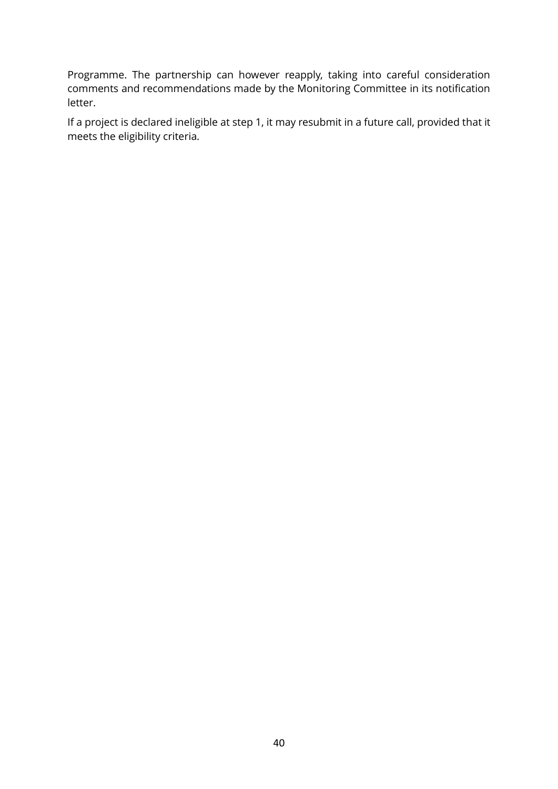Programme. The partnership can however reapply, taking into careful consideration comments and recommendations made by the Monitoring Committee in its notification letter.

If a project is declared ineligible at step 1, it may resubmit in a future call, provided that it meets the eligibility criteria.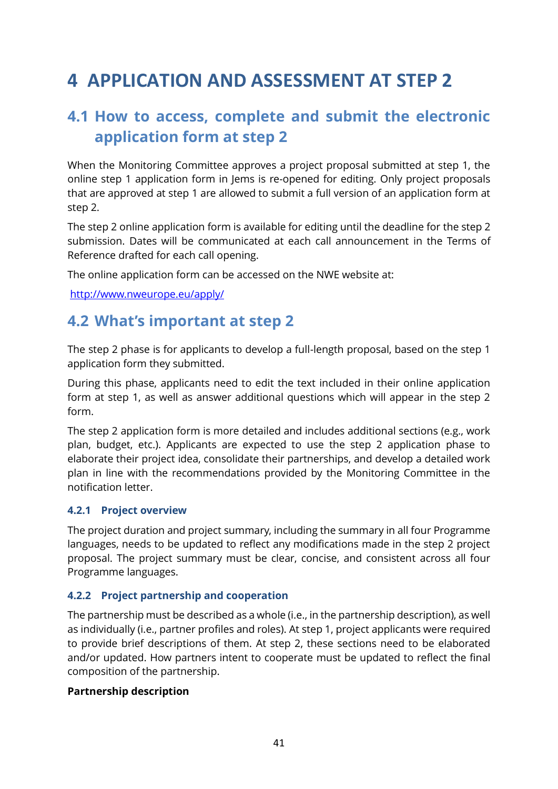# **4 APPLICATION AND ASSESSMENT AT STEP 2**

# **4.1 How to access, complete and submit the electronic application form at step 2**

When the Monitoring Committee approves a project proposal submitted at step 1, the online step 1 application form in Jems is re-opened for editing. Only project proposals that are approved at step 1 are allowed to submit a full version of an application form at step 2.

The step 2 online application form is available for editing until the deadline for the step 2 submission. Dates will be communicated at each call announcement in the Terms of Reference drafted for each call opening.

The online application form can be accessed on the NWE website at:

<http://www.nweurope.eu/apply/>

### **4.2 What's important at step 2**

The step 2 phase is for applicants to develop a full-length proposal, based on the step 1 application form they submitted.

During this phase, applicants need to edit the text included in their online application form at step 1, as well as answer additional questions which will appear in the step 2 form.

The step 2 application form is more detailed and includes additional sections (e.g., work plan, budget, etc.). Applicants are expected to use the step 2 application phase to elaborate their project idea, consolidate their partnerships, and develop a detailed work plan in line with the recommendations provided by the Monitoring Committee in the notification letter.

#### **4.2.1 Project overview**

The project duration and project summary, including the summary in all four Programme languages, needs to be updated to reflect any modifications made in the step 2 project proposal. The project summary must be clear, concise, and consistent across all four Programme languages.

#### **4.2.2 Project partnership and cooperation**

The partnership must be described as a whole (i.e., in the partnership description), as well as individually (i.e., partner profiles and roles). At step 1, project applicants were required to provide brief descriptions of them. At step 2, these sections need to be elaborated and/or updated. How partners intent to cooperate must be updated to reflect the final composition of the partnership.

#### **Partnership description**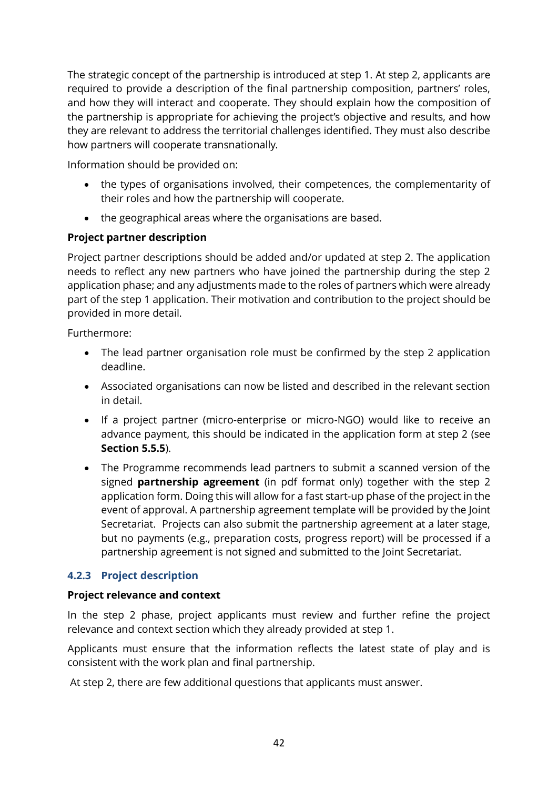The strategic concept of the partnership is introduced at step 1. At step 2, applicants are required to provide a description of the final partnership composition, partners' roles, and how they will interact and cooperate. They should explain how the composition of the partnership is appropriate for achieving the project's objective and results, and how they are relevant to address the territorial challenges identified. They must also describe how partners will cooperate transnationally.

Information should be provided on:

- the types of organisations involved, their competences, the complementarity of their roles and how the partnership will cooperate.
- the geographical areas where the organisations are based.

#### **Project partner description**

Project partner descriptions should be added and/or updated at step 2. The application needs to reflect any new partners who have joined the partnership during the step 2 application phase; and any adjustments made to the roles of partners which were already part of the step 1 application. Their motivation and contribution to the project should be provided in more detail.

Furthermore:

- The lead partner organisation role must be confirmed by the step 2 application deadline.
- Associated organisations can now be listed and described in the relevant section in detail.
- If a project partner (micro-enterprise or micro-NGO) would like to receive an advance payment, this should be indicated in the application form at step 2 (see **Section [5.5.5](#page-71-0)**).
- The Programme recommends lead partners to submit a scanned version of the signed **partnership agreement** (in pdf format only) together with the step 2 application form. Doing this will allow for a fast start-up phase of the project in the event of approval. A partnership agreement template will be provided by the Joint Secretariat. Projects can also submit the partnership agreement at a later stage, but no payments (e.g., preparation costs, progress report) will be processed if a partnership agreement is not signed and submitted to the Joint Secretariat.

#### **4.2.3 Project description**

#### **Project relevance and context**

In the step 2 phase, project applicants must review and further refine the project relevance and context section which they already provided at step 1.

Applicants must ensure that the information reflects the latest state of play and is consistent with the work plan and final partnership.

At step 2, there are few additional questions that applicants must answer.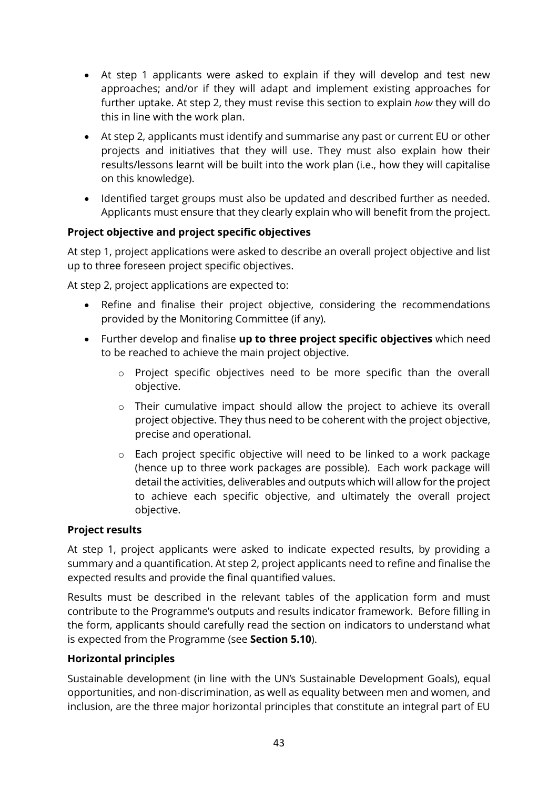- At step 1 applicants were asked to explain if they will develop and test new approaches; and/or if they will adapt and implement existing approaches for further uptake. At step 2, they must revise this section to explain *how* they will do this in line with the work plan.
- At step 2, applicants must identify and summarise any past or current EU or other projects and initiatives that they will use. They must also explain how their results/lessons learnt will be built into the work plan (i.e., how they will capitalise on this knowledge).
- Identified target groups must also be updated and described further as needed. Applicants must ensure that they clearly explain who will benefit from the project.

#### **Project objective and project specific objectives**

At step 1, project applications were asked to describe an overall project objective and list up to three foreseen project specific objectives.

At step 2, project applications are expected to:

- Refine and finalise their project objective, considering the recommendations provided by the Monitoring Committee (if any).
- Further develop and finalise **up to three project specific objectives** which need to be reached to achieve the main project objective.
	- o Project specific objectives need to be more specific than the overall objective.
	- o Their cumulative impact should allow the project to achieve its overall project objective. They thus need to be coherent with the project objective, precise and operational.
	- o Each project specific objective will need to be linked to a work package (hence up to three work packages are possible). Each work package will detail the activities, deliverables and outputs which will allow for the project to achieve each specific objective, and ultimately the overall project objective.

#### **Project results**

At step 1, project applicants were asked to indicate expected results, by providing a summary and a quantification. At step 2, project applicants need to refine and finalise the expected results and provide the final quantified values.

Results must be described in the relevant tables of the application form and must contribute to the Programme's outputs and results indicator framework. Before filling in the form, applicants should carefully read the section on indicators to understand what is expected from the Programme (see **Section [5.10](#page-86-0)**).

#### **Horizontal principles**

Sustainable development (in line with the UN's Sustainable Development Goals), equal opportunities, and non-discrimination, as well as equality between men and women, and inclusion, are the three major horizontal principles that constitute an integral part of EU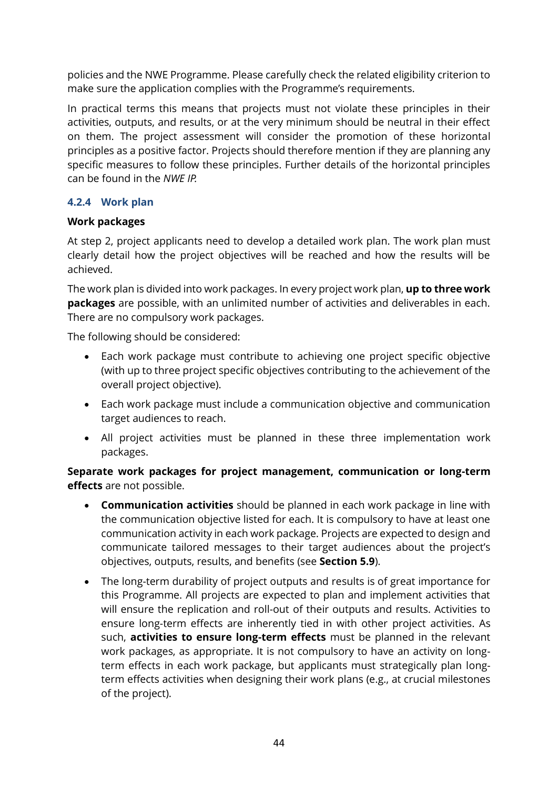policies and the NWE Programme. Please carefully check the related eligibility criterion to make sure the application complies with the Programme's requirements.

In practical terms this means that projects must not violate these principles in their activities, outputs, and results, or at the very minimum should be neutral in their effect on them. The project assessment will consider the promotion of these horizontal principles as a positive factor. Projects should therefore mention if they are planning any specific measures to follow these principles. Further details of the horizontal principles can be found in the *NWE IP.*

#### **4.2.4 Work plan**

#### **Work packages**

At step 2, project applicants need to develop a detailed work plan. The work plan must clearly detail how the project objectives will be reached and how the results will be achieved.

The work plan is divided into work packages. In every project work plan, **up to three work packages** are possible, with an unlimited number of activities and deliverables in each. There are no compulsory work packages.

The following should be considered:

- Each work package must contribute to achieving one project specific objective (with up to three project specific objectives contributing to the achievement of the overall project objective).
- Each work package must include a communication objective and communication target audiences to reach.
- All project activities must be planned in these three implementation work packages.

**Separate work packages for project management, communication or long-term effects** are not possible.

- **Communication activities** should be planned in each work package in line with the communication objective listed for each. It is compulsory to have at least one communication activity in each work package. Projects are expected to design and communicate tailored messages to their target audiences about the project's objectives, outputs, results, and benefits (see **Section [5.9](#page-80-0)**).
- The long-term durability of project outputs and results is of great importance for this Programme. All projects are expected to plan and implement activities that will ensure the replication and roll-out of their outputs and results. Activities to ensure long-term effects are inherently tied in with other project activities. As such, **activities to ensure long-term effects** must be planned in the relevant work packages, as appropriate. It is not compulsory to have an activity on longterm effects in each work package, but applicants must strategically plan longterm effects activities when designing their work plans (e.g., at crucial milestones of the project).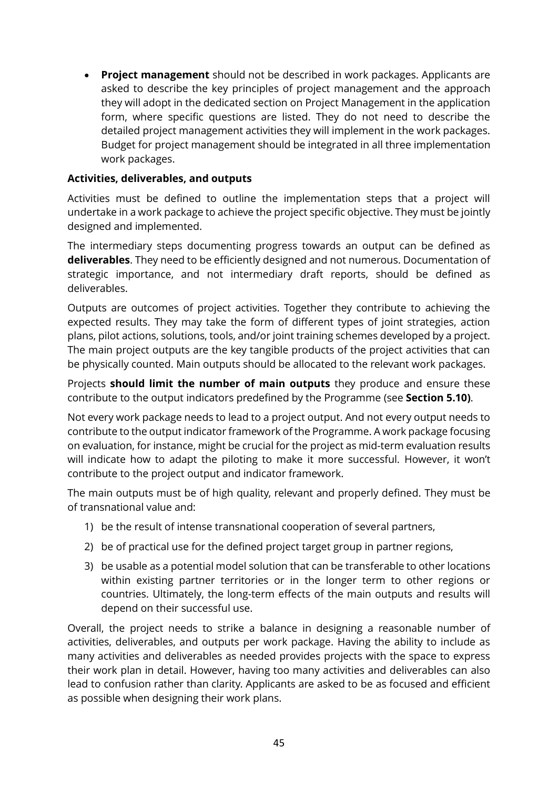• **Project management** should not be described in work packages. Applicants are asked to describe the key principles of project management and the approach they will adopt in the dedicated section on Project Management in the application form, where specific questions are listed. They do not need to describe the detailed project management activities they will implement in the work packages. Budget for project management should be integrated in all three implementation work packages.

#### **Activities, deliverables, and outputs**

Activities must be defined to outline the implementation steps that a project will undertake in a work package to achieve the project specific objective. They must be jointly designed and implemented.

The intermediary steps documenting progress towards an output can be defined as **deliverables**. They need to be efficiently designed and not numerous. Documentation of strategic importance, and not intermediary draft reports, should be defined as deliverables.

Outputs are outcomes of project activities. Together they contribute to achieving the expected results. They may take the form of different types of joint strategies, action plans, pilot actions, solutions, tools, and/or joint training schemes developed by a project. The main project outputs are the key tangible products of the project activities that can be physically counted. Main outputs should be allocated to the relevant work packages.

Projects **should limit the number of main outputs** they produce and ensure these contribute to the output indicators predefined by the Programme (see **Section [5.10\)](#page-86-0)**.

Not every work package needs to lead to a project output. And not every output needs to contribute to the output indicator framework of the Programme. A work package focusing on evaluation, for instance, might be crucial for the project as mid-term evaluation results will indicate how to adapt the piloting to make it more successful. However, it won't contribute to the project output and indicator framework.

The main outputs must be of high quality, relevant and properly defined. They must be of transnational value and:

- 1) be the result of intense transnational cooperation of several partners,
- 2) be of practical use for the defined project target group in partner regions,
- 3) be usable as a potential model solution that can be transferable to other locations within existing partner territories or in the longer term to other regions or countries. Ultimately, the long-term effects of the main outputs and results will depend on their successful use.

Overall, the project needs to strike a balance in designing a reasonable number of activities, deliverables, and outputs per work package. Having the ability to include as many activities and deliverables as needed provides projects with the space to express their work plan in detail. However, having too many activities and deliverables can also lead to confusion rather than clarity. Applicants are asked to be as focused and efficient as possible when designing their work plans.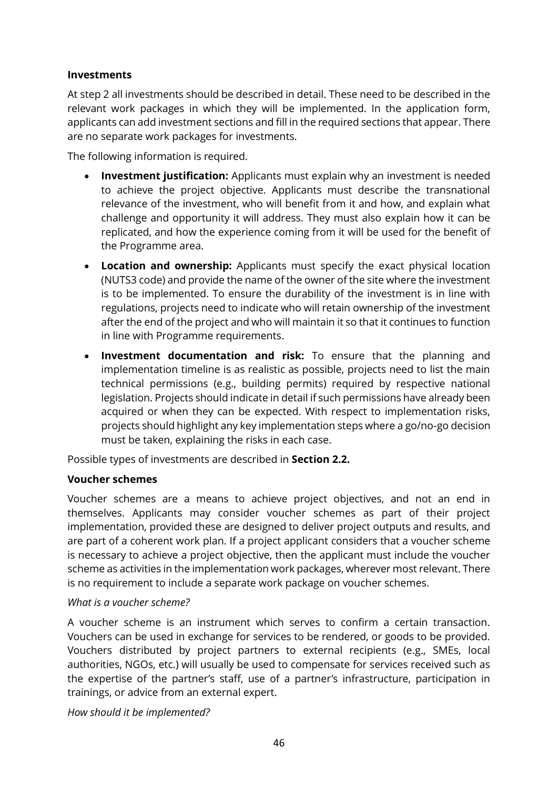#### **Investments**

At step 2 all investments should be described in detail. These need to be described in the relevant work packages in which they will be implemented. In the application form, applicants can add investment sections and fill in the required sections that appear. There are no separate work packages for investments.

The following information is required.

- **Investment justification:** Applicants must explain why an investment is needed to achieve the project objective. Applicants must describe the transnational relevance of the investment, who will benefit from it and how, and explain what challenge and opportunity it will address. They must also explain how it can be replicated, and how the experience coming from it will be used for the benefit of the Programme area.
- **Location and ownership:** Applicants must specify the exact physical location (NUTS3 code) and provide the name of the owner of the site where the investment is to be implemented. To ensure the durability of the investment is in line with regulations, projects need to indicate who will retain ownership of the investment after the end of the project and who will maintain it so that it continues to function in line with Programme requirements.
- **Investment documentation and risk:** To ensure that the planning and implementation timeline is as realistic as possible, projects need to list the main technical permissions (e.g., building permits) required by respective national legislation. Projects should indicate in detail if such permissions have already been acquired or when they can be expected. With respect to implementation risks, projects should highlight any key implementation steps where a go/no-go decision must be taken, explaining the risks in each case.

Possible types of investments are described in **Section 2.2.**

#### **Voucher schemes**

Voucher schemes are a means to achieve project objectives, and not an end in themselves. Applicants may consider voucher schemes as part of their project implementation, provided these are designed to deliver project outputs and results, and are part of a coherent work plan. If a project applicant considers that a voucher scheme is necessary to achieve a project objective, then the applicant must include the voucher scheme as activities in the implementation work packages, wherever most relevant. There is no requirement to include a separate work package on voucher schemes.

#### *What is a voucher scheme?*

A voucher scheme is an instrument which serves to confirm a certain transaction. Vouchers can be used in exchange for services to be rendered, or goods to be provided. Vouchers distributed by project partners to external recipients (e.g., SMEs, local authorities, NGOs, etc.) will usually be used to compensate for services received such as the expertise of the partner's staff, use of a partner's infrastructure, participation in trainings, or advice from an external expert.

*How should it be implemented?*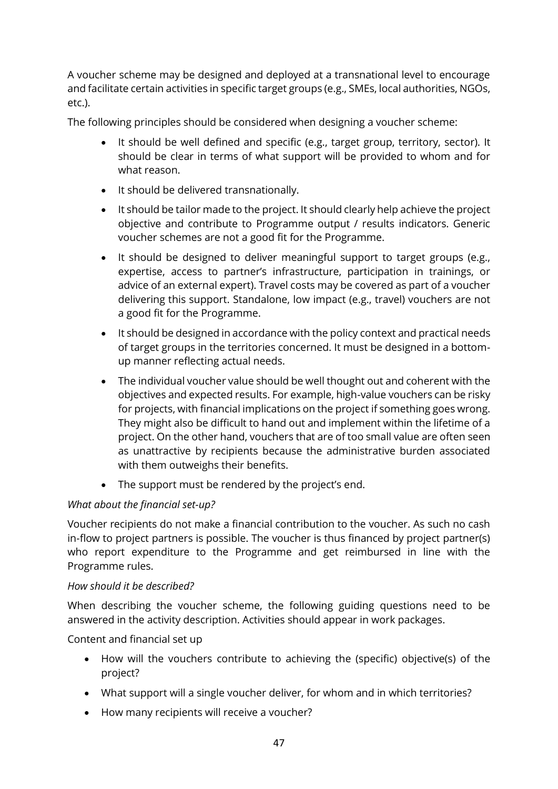A voucher scheme may be designed and deployed at a transnational level to encourage and facilitate certain activities in specific target groups (e.g., SMEs, local authorities, NGOs, etc.).

The following principles should be considered when designing a voucher scheme:

- It should be well defined and specific (e.g., target group, territory, sector). It should be clear in terms of what support will be provided to whom and for what reason.
- It should be delivered transnationally.
- It should be tailor made to the project. It should clearly help achieve the project objective and contribute to Programme output / results indicators. Generic voucher schemes are not a good fit for the Programme.
- It should be designed to deliver meaningful support to target groups (e.g., expertise, access to partner's infrastructure, participation in trainings, or advice of an external expert). Travel costs may be covered as part of a voucher delivering this support. Standalone, low impact (e.g., travel) vouchers are not a good fit for the Programme.
- It should be designed in accordance with the policy context and practical needs of target groups in the territories concerned. It must be designed in a bottomup manner reflecting actual needs.
- The individual voucher value should be well thought out and coherent with the objectives and expected results. For example, high-value vouchers can be risky for projects, with financial implications on the project if something goes wrong. They might also be difficult to hand out and implement within the lifetime of a project. On the other hand, vouchers that are of too small value are often seen as unattractive by recipients because the administrative burden associated with them outweighs their benefits.
- The support must be rendered by the project's end.

#### *What about the financial set-up?*

Voucher recipients do not make a financial contribution to the voucher. As such no cash in-flow to project partners is possible. The voucher is thus financed by project partner(s) who report expenditure to the Programme and get reimbursed in line with the Programme rules.

#### *How should it be described?*

When describing the voucher scheme, the following guiding questions need to be answered in the activity description. Activities should appear in work packages.

Content and financial set up

- How will the vouchers contribute to achieving the (specific) objective(s) of the project?
- What support will a single voucher deliver, for whom and in which territories?
- How many recipients will receive a voucher?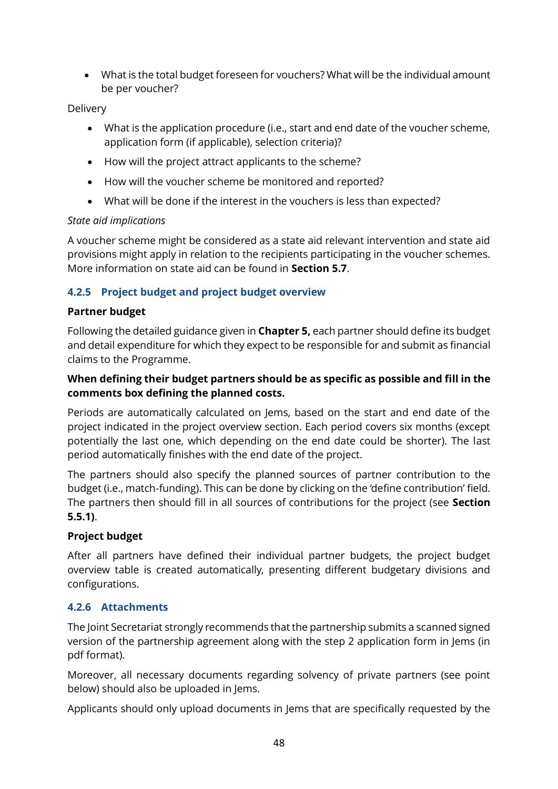• What is the total budget foreseen for vouchers? What will be the individual amount be per voucher?

#### Delivery

- What is the application procedure (i.e., start and end date of the voucher scheme, application form (if applicable), selection criteria)?
- How will the project attract applicants to the scheme?
- How will the voucher scheme be monitored and reported?
- What will be done if the interest in the vouchers is less than expected?

#### *State aid implications*

A voucher scheme might be considered as a state aid relevant intervention and state aid provisions might apply in relation to the recipients participating in the voucher schemes. More information on state aid can be found in **Section [5.7](#page-77-0)**.

#### **4.2.5 Project budget and project budget overview**

#### **Partner budget**

Following the detailed guidance given in **Chapter [5,](#page-55-0)** each partner should define its budget and detail expenditure for which they expect to be responsible for and submit as financial claims to the Programme.

#### **When defining their budget partners should be as specific as possible and fill in the comments box defining the planned costs.**

Periods are automatically calculated on Jems, based on the start and end date of the project indicated in the project overview section. Each period covers six months (except potentially the last one, which depending on the end date could be shorter). The last period automatically finishes with the end date of the project.

The partners should also specify the planned sources of partner contribution to the budget (i.e., match-funding). This can be done by clicking on the 'define contribution' field. The partners then should fill in all sources of contributions for the project (see **Section [5.5.1\)](#page-69-0)**.

#### **Project budget**

After all partners have defined their individual partner budgets, the project budget overview table is created automatically, presenting different budgetary divisions and configurations.

#### **4.2.6 Attachments**

The Joint Secretariat strongly recommends that the partnership submits a scanned signed version of the partnership agreement along with the step 2 application form in Jems (in pdf format).

Moreover, all necessary documents regarding solvency of private partners (see point below) should also be uploaded in Jems.

Applicants should only upload documents in Jems that are specifically requested by the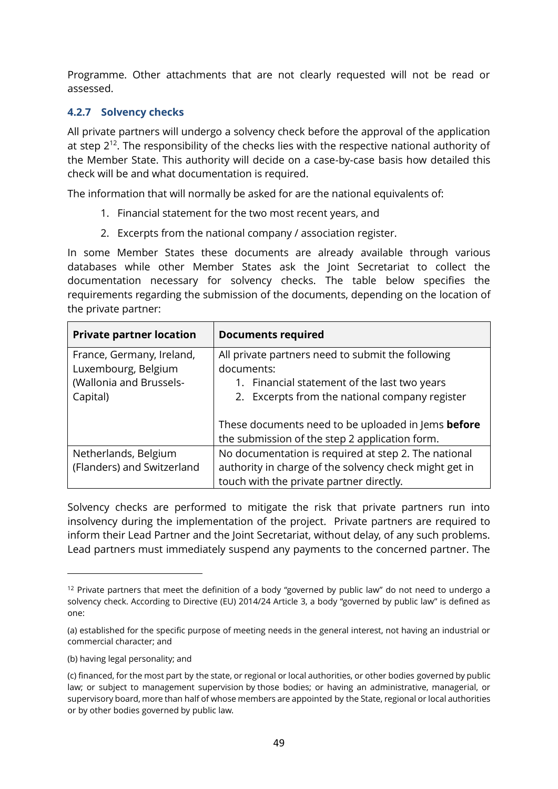Programme. Other attachments that are not clearly requested will not be read or assessed.

#### **4.2.7 Solvency checks**

All private partners will undergo a solvency check before the approval of the application at step  $2^{12}$ . The responsibility of the checks lies with the respective national authority of the Member State. This authority will decide on a case-by-case basis how detailed this check will be and what documentation is required.

The information that will normally be asked for are the national equivalents of:

- 1. Financial statement for the two most recent years, and
- 2. Excerpts from the national company / association register.

In some Member States these documents are already available through various databases while other Member States ask the Joint Secretariat to collect the documentation necessary for solvency checks. The table below specifies the requirements regarding the submission of the documents, depending on the location of the private partner:

| <b>Private partner location</b> | <b>Documents required</b>                              |  |  |
|---------------------------------|--------------------------------------------------------|--|--|
| France, Germany, Ireland,       | All private partners need to submit the following      |  |  |
| Luxembourg, Belgium             | documents:                                             |  |  |
| (Wallonia and Brussels-         | 1. Financial statement of the last two years           |  |  |
| Capital)                        | 2. Excerpts from the national company register         |  |  |
|                                 |                                                        |  |  |
|                                 | These documents need to be uploaded in Jems before     |  |  |
|                                 | the submission of the step 2 application form.         |  |  |
| Netherlands, Belgium            | No documentation is required at step 2. The national   |  |  |
| (Flanders) and Switzerland      | authority in charge of the solvency check might get in |  |  |
|                                 | touch with the private partner directly.               |  |  |

Solvency checks are performed to mitigate the risk that private partners run into insolvency during the implementation of the project. Private partners are required to inform their Lead Partner and the Joint Secretariat, without delay, of any such problems. Lead partners must immediately suspend any payments to the concerned partner. The

<sup>&</sup>lt;sup>12</sup> Private partners that meet the definition of a body "governed by public law" do not need to undergo a solvency check. According to Directive (EU) 2014/24 Article 3, a body "governed by public law" is defined as one:

<sup>(</sup>a) established for the specific purpose of meeting needs in the general interest, not having an industrial or commercial character; and

<sup>(</sup>b) having legal personality; and

<sup>(</sup>c) financed, for the most part by the state, or regional or local authorities, or other bodies governed by public law; or subject to management supervision by those bodies; or having an administrative, managerial, or supervisory board, more than half of whose members are appointed by the State, regional or local authorities or by other bodies governed by public law.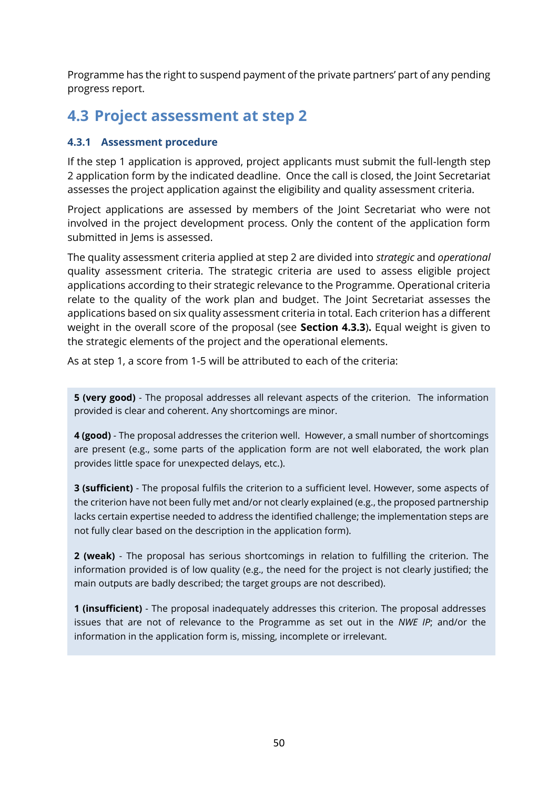Programme has the right to suspend payment of the private partners' part of any pending progress report.

## **4.3 Project assessment at step 2**

#### **4.3.1 Assessment procedure**

If the step 1 application is approved, project applicants must submit the full-length step 2 application form by the indicated deadline. Once the call is closed, the Joint Secretariat assesses the project application against the eligibility and quality assessment criteria.

Project applications are assessed by members of the Joint Secretariat who were not involved in the project development process. Only the content of the application form submitted in Jems is assessed.

The quality assessment criteria applied at step 2 are divided into *strategic* and *operational* quality assessment criteria. The strategic criteria are used to assess eligible project applications according to their strategic relevance to the Programme. Operational criteria relate to the quality of the work plan and budget. The Joint Secretariat assesses the applications based on six quality assessment criteria in total. Each criterion has a different weight in the overall score of the proposal (see **Section [4.3.3](#page-52-0)**)**.** Equal weight is given to the strategic elements of the project and the operational elements.

As at step 1, a score from 1-5 will be attributed to each of the criteria:

**5 (very good)** - The proposal addresses all relevant aspects of the criterion. The information provided is clear and coherent. Any shortcomings are minor.

**4 (good)** - The proposal addresses the criterion well. However, a small number of shortcomings are present (e.g., some parts of the application form are not well elaborated, the work plan provides little space for unexpected delays, etc.).

**3 (sufficient)** - The proposal fulfils the criterion to a sufficient level. However, some aspects of the criterion have not been fully met and/or not clearly explained (e.g., the proposed partnership lacks certain expertise needed to address the identified challenge; the implementation steps are not fully clear based on the description in the application form).

**2 (weak)** - The proposal has serious shortcomings in relation to fulfilling the criterion. The information provided is of low quality (e.g., the need for the project is not clearly justified; the main outputs are badly described; the target groups are not described).

**1 (insufficient)** - The proposal inadequately addresses this criterion. The proposal addresses issues that are not of relevance to the Programme as set out in the *NWE IP*; and/or the information in the application form is, missing, incomplete or irrelevant.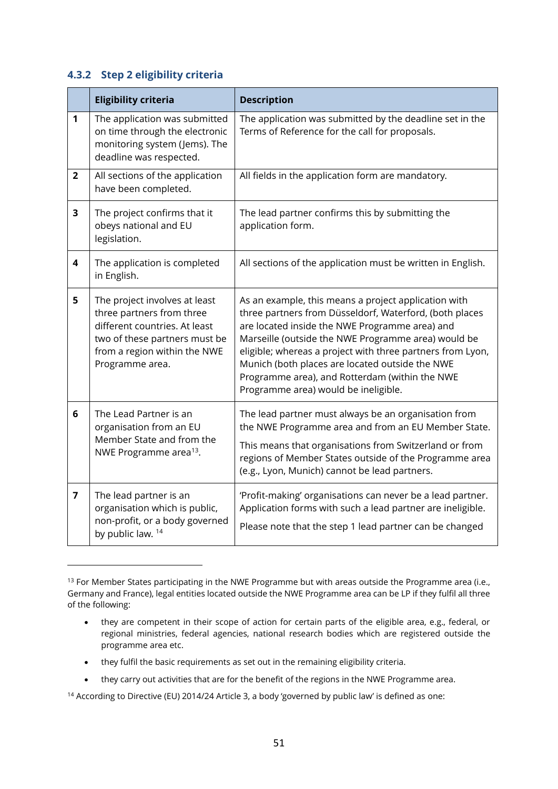#### **4.3.2 Step 2 eligibility criteria**

|                         | <b>Eligibility criteria</b>                                                                                                                                                     | <b>Description</b>                                                                                                                                                                                                                                                                                                                                                                                                                  |
|-------------------------|---------------------------------------------------------------------------------------------------------------------------------------------------------------------------------|-------------------------------------------------------------------------------------------------------------------------------------------------------------------------------------------------------------------------------------------------------------------------------------------------------------------------------------------------------------------------------------------------------------------------------------|
| 1                       | The application was submitted<br>on time through the electronic<br>monitoring system (Jems). The<br>deadline was respected.                                                     | The application was submitted by the deadline set in the<br>Terms of Reference for the call for proposals.                                                                                                                                                                                                                                                                                                                          |
| $\overline{2}$          | All sections of the application<br>have been completed.                                                                                                                         | All fields in the application form are mandatory.                                                                                                                                                                                                                                                                                                                                                                                   |
| 3                       | The project confirms that it<br>obeys national and EU<br>legislation.                                                                                                           | The lead partner confirms this by submitting the<br>application form.                                                                                                                                                                                                                                                                                                                                                               |
| $\overline{\mathbf{4}}$ | The application is completed<br>in English.                                                                                                                                     | All sections of the application must be written in English.                                                                                                                                                                                                                                                                                                                                                                         |
| 5                       | The project involves at least<br>three partners from three<br>different countries. At least<br>two of these partners must be<br>from a region within the NWE<br>Programme area. | As an example, this means a project application with<br>three partners from Düsseldorf, Waterford, (both places<br>are located inside the NWE Programme area) and<br>Marseille (outside the NWE Programme area) would be<br>eligible; whereas a project with three partners from Lyon,<br>Munich (both places are located outside the NWE<br>Programme area), and Rotterdam (within the NWE<br>Programme area) would be ineligible. |
| 6                       | The Lead Partner is an<br>organisation from an EU<br>Member State and from the<br>NWE Programme area <sup>13</sup> .                                                            | The lead partner must always be an organisation from<br>the NWE Programme area and from an EU Member State.<br>This means that organisations from Switzerland or from<br>regions of Member States outside of the Programme area<br>(e.g., Lyon, Munich) cannot be lead partners.                                                                                                                                                    |
| 7                       | The lead partner is an<br>organisation which is public,<br>non-profit, or a body governed<br>by public law. 14                                                                  | 'Profit-making' organisations can never be a lead partner.<br>Application forms with such a lead partner are ineligible.<br>Please note that the step 1 lead partner can be changed                                                                                                                                                                                                                                                 |

<sup>&</sup>lt;sup>13</sup> For Member States participating in the NWE Programme but with areas outside the Programme area (i.e., Germany and France), legal entities located outside the NWE Programme area can be LP if they fulfil all three of the following:

- they fulfil the basic requirements as set out in the remaining eligibility criteria.
- they carry out activities that are for the benefit of the regions in the NWE Programme area.

<sup>•</sup> they are competent in their scope of action for certain parts of the eligible area, e.g., federal, or regional ministries, federal agencies, national research bodies which are registered outside the programme area etc.

<sup>&</sup>lt;sup>14</sup> According to Directive (EU) 2014/24 Article 3, a body 'governed by public law' is defined as one: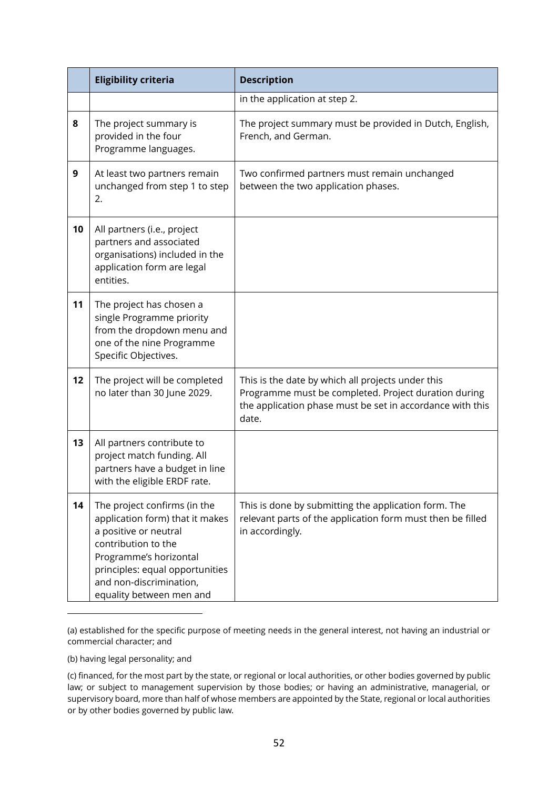|    | <b>Eligibility criteria</b>                                                                                                                                                                                                         | <b>Description</b>                                                                                                                                                              |  |  |
|----|-------------------------------------------------------------------------------------------------------------------------------------------------------------------------------------------------------------------------------------|---------------------------------------------------------------------------------------------------------------------------------------------------------------------------------|--|--|
|    |                                                                                                                                                                                                                                     | in the application at step 2.                                                                                                                                                   |  |  |
| 8  | The project summary is<br>provided in the four<br>Programme languages.                                                                                                                                                              | The project summary must be provided in Dutch, English,<br>French, and German.                                                                                                  |  |  |
| 9  | At least two partners remain<br>unchanged from step 1 to step<br>2.                                                                                                                                                                 | Two confirmed partners must remain unchanged<br>between the two application phases.                                                                                             |  |  |
| 10 | All partners (i.e., project<br>partners and associated<br>organisations) included in the<br>application form are legal<br>entities.                                                                                                 |                                                                                                                                                                                 |  |  |
| 11 | The project has chosen a<br>single Programme priority<br>from the dropdown menu and<br>one of the nine Programme<br>Specific Objectives.                                                                                            |                                                                                                                                                                                 |  |  |
| 12 | The project will be completed<br>no later than 30 June 2029.                                                                                                                                                                        | This is the date by which all projects under this<br>Programme must be completed. Project duration during<br>the application phase must be set in accordance with this<br>date. |  |  |
| 13 | All partners contribute to<br>project match funding. All<br>partners have a budget in line<br>with the eligible ERDF rate.                                                                                                          |                                                                                                                                                                                 |  |  |
| 14 | The project confirms (in the<br>application form) that it makes<br>a positive or neutral<br>contribution to the<br>Programme's horizontal<br>principles: equal opportunities<br>and non-discrimination,<br>equality between men and | This is done by submitting the application form. The<br>relevant parts of the application form must then be filled<br>in accordingly.                                           |  |  |

<sup>(</sup>a) established for the specific purpose of meeting needs in the general interest, not having an industrial or commercial character; and

(b) having legal personality; and

<sup>(</sup>c) financed, for the most part by the state, or regional or local authorities, or other bodies governed by public law; or subject to management supervision by those bodies; or having an administrative, managerial, or supervisory board, more than half of whose members are appointed by the State, regional or local authorities or by other bodies governed by public law.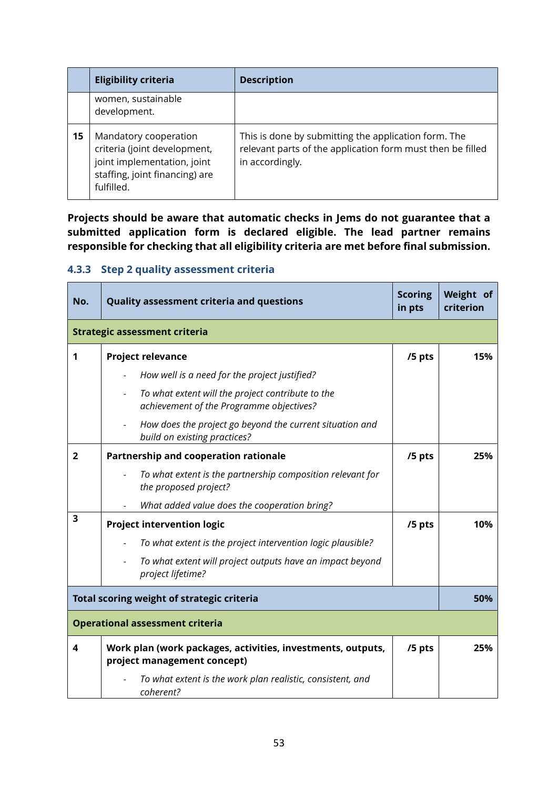|    | <b>Eligibility criteria</b>                                                                                                          | <b>Description</b>                                                                                                                    |
|----|--------------------------------------------------------------------------------------------------------------------------------------|---------------------------------------------------------------------------------------------------------------------------------------|
|    | women, sustainable<br>development.                                                                                                   |                                                                                                                                       |
| 15 | Mandatory cooperation<br>criteria (joint development,<br>joint implementation, joint<br>staffing, joint financing) are<br>fulfilled. | This is done by submitting the application form. The<br>relevant parts of the application form must then be filled<br>in accordingly. |

**Projects should be aware that automatic checks in Jems do not guarantee that a submitted application form is declared eligible. The lead partner remains responsible for checking that all eligibility criteria are met before final submission.** 

#### <span id="page-52-0"></span>**4.3.3 Step 2 quality assessment criteria**

| No.                                    | <b>Quality assessment criteria and questions</b>                                                           | <b>Scoring</b><br>in pts | Weight of<br>criterion |
|----------------------------------------|------------------------------------------------------------------------------------------------------------|--------------------------|------------------------|
|                                        | <b>Strategic assessment criteria</b>                                                                       |                          |                        |
| 1                                      | <b>Project relevance</b>                                                                                   | /5 pts                   | 15%                    |
|                                        | How well is a need for the project justified?                                                              |                          |                        |
|                                        | To what extent will the project contribute to the<br>achievement of the Programme objectives?              |                          |                        |
|                                        | How does the project go beyond the current situation and<br>build on existing practices?                   |                          |                        |
| $\overline{2}$                         | <b>Partnership and cooperation rationale</b>                                                               | /5 pts                   | 25%                    |
|                                        | To what extent is the partnership composition relevant for<br>the proposed project?                        |                          |                        |
|                                        | What added value does the cooperation bring?                                                               |                          |                        |
| 3                                      | <b>Project intervention logic</b>                                                                          | /5 pts                   | 10%                    |
|                                        | To what extent is the project intervention logic plausible?                                                |                          |                        |
|                                        | To what extent will project outputs have an impact beyond<br>$\overline{\phantom{a}}$<br>project lifetime? |                          |                        |
|                                        | Total scoring weight of strategic criteria                                                                 |                          | 50%                    |
| <b>Operational assessment criteria</b> |                                                                                                            |                          |                        |
| 4                                      | Work plan (work packages, activities, investments, outputs,<br>project management concept)                 | /5 pts                   | 25%                    |
|                                        | To what extent is the work plan realistic, consistent, and<br>coherent?                                    |                          |                        |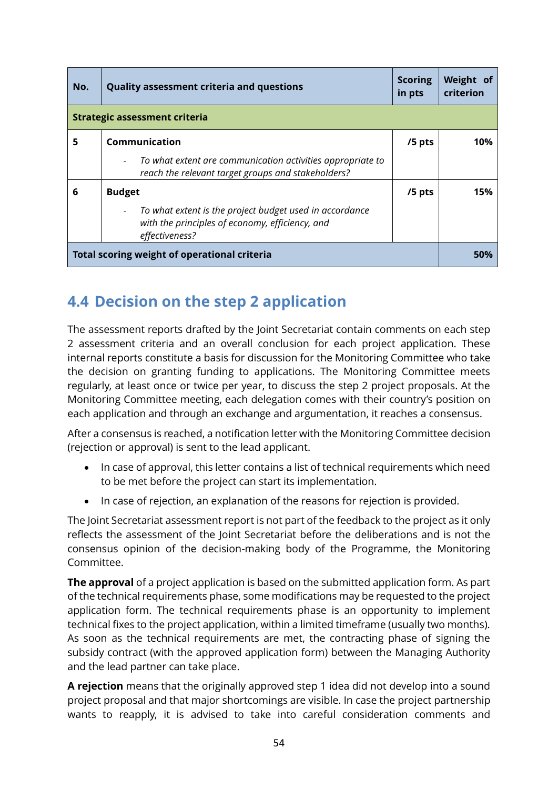| No.                                          | <b>Quality assessment criteria and questions</b>                                                                             | <b>Scoring</b><br>in pts | Weight of<br>criterion |  |
|----------------------------------------------|------------------------------------------------------------------------------------------------------------------------------|--------------------------|------------------------|--|
|                                              | <b>Strategic assessment criteria</b>                                                                                         |                          |                        |  |
| 5                                            | Communication                                                                                                                | $/5$ pts                 | 10%                    |  |
|                                              | To what extent are communication activities appropriate to<br>reach the relevant target groups and stakeholders?             |                          |                        |  |
| 6                                            | <b>Budget</b>                                                                                                                | /5 pts                   | 15%                    |  |
|                                              | To what extent is the project budget used in accordance<br>with the principles of economy, efficiency, and<br>effectiveness? |                          |                        |  |
| Total scoring weight of operational criteria |                                                                                                                              |                          | 50%                    |  |

# **4.4 Decision on the step 2 application**

The assessment reports drafted by the Joint Secretariat contain comments on each step 2 assessment criteria and an overall conclusion for each project application. These internal reports constitute a basis for discussion for the Monitoring Committee who take the decision on granting funding to applications. The Monitoring Committee meets regularly, at least once or twice per year, to discuss the step 2 project proposals. At the Monitoring Committee meeting, each delegation comes with their country's position on each application and through an exchange and argumentation, it reaches a consensus.

After a consensus is reached, a notification letter with the Monitoring Committee decision (rejection or approval) is sent to the lead applicant.

- In case of approval, this letter contains a list of technical requirements which need to be met before the project can start its implementation.
- In case of rejection, an explanation of the reasons for rejection is provided.

The Joint Secretariat assessment report is not part of the feedback to the project as it only reflects the assessment of the Joint Secretariat before the deliberations and is not the consensus opinion of the decision-making body of the Programme, the Monitoring Committee.

**The approval** of a project application is based on the submitted application form. As part of the technical requirements phase, some modifications may be requested to the project application form. The technical requirements phase is an opportunity to implement technical fixes to the project application, within a limited timeframe (usually two months). As soon as the technical requirements are met, the contracting phase of signing the subsidy contract (with the approved application form) between the Managing Authority and the lead partner can take place.

**A rejection** means that the originally approved step 1 idea did not develop into a sound project proposal and that major shortcomings are visible. In case the project partnership wants to reapply, it is advised to take into careful consideration comments and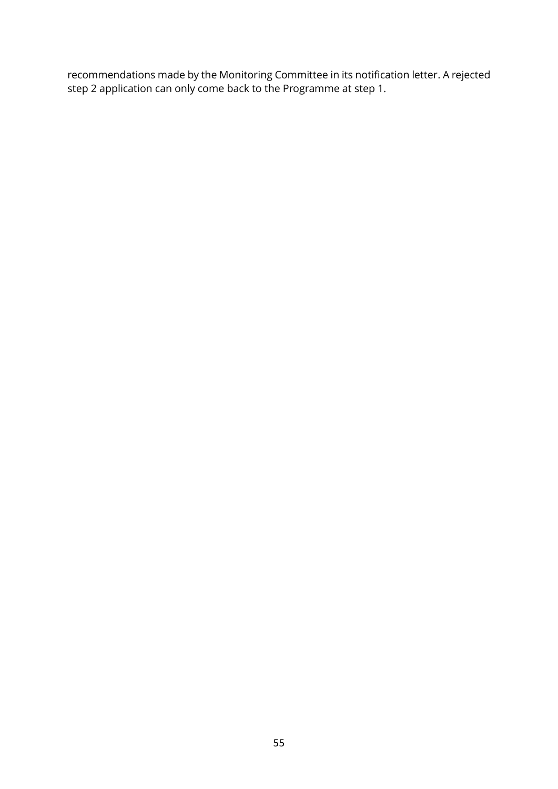recommendations made by the Monitoring Committee in its notification letter. A rejected step 2 application can only come back to the Programme at step 1.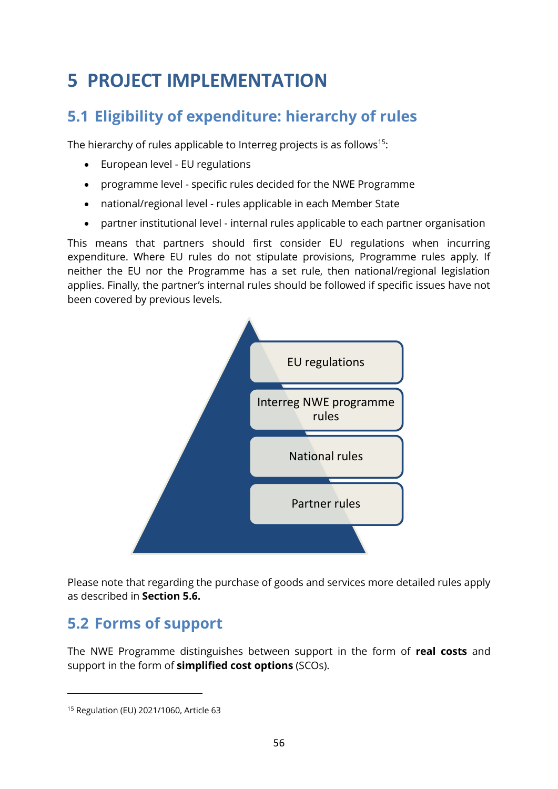# <span id="page-55-0"></span>**5 PROJECT IMPLEMENTATION**

# **5.1 Eligibility of expenditure: hierarchy of rules**

The hierarchy of rules applicable to Interreg projects is as follows<sup>15</sup>:

- European level EU regulations
- programme level specific rules decided for the NWE Programme
- national/regional level rules applicable in each Member State
- partner institutional level internal rules applicable to each partner organisation

This means that partners should first consider EU regulations when incurring expenditure. Where EU rules do not stipulate provisions, Programme rules apply. If neither the EU nor the Programme has a set rule, then national/regional legislation applies. Finally, the partner's internal rules should be followed if specific issues have not been covered by previous levels.



Please note that regarding the purchase of goods and services more detailed rules apply as described in **Section [5.6.](#page-72-0)**

# **5.2 Forms of support**

The NWE Programme distinguishes between support in the form of **real costs** and support in the form of **simplified cost options** (SCOs).

<sup>15</sup> Regulation (EU) 2021/1060, Article 63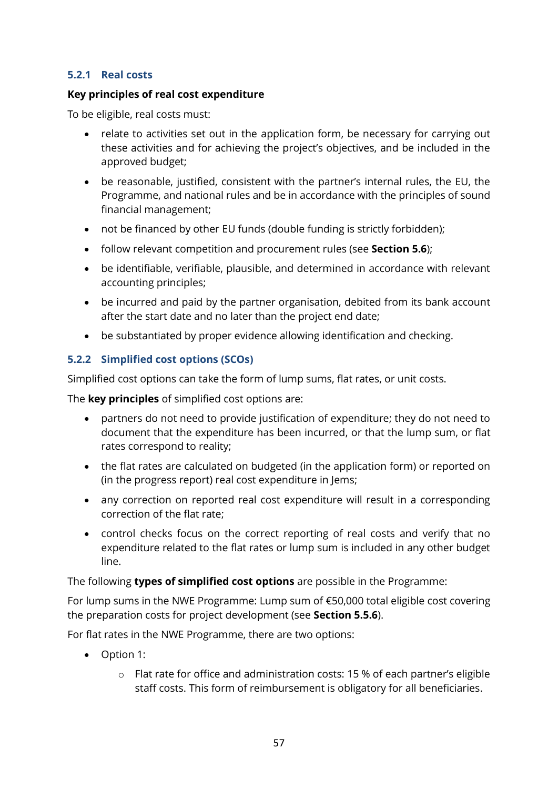#### **5.2.1 Real costs**

#### **Key principles of real cost expenditure**

To be eligible, real costs must:

- relate to activities set out in the application form, be necessary for carrying out these activities and for achieving the project's objectives, and be included in the approved budget;
- be reasonable, justified, consistent with the partner's internal rules, the EU, the Programme, and national rules and be in accordance with the principles of sound financial management;
- not be financed by other EU funds (double funding is strictly forbidden);
- follow relevant competition and procurement rules (see **Section [5.6](#page-72-0)**);
- be identifiable, verifiable, plausible, and determined in accordance with relevant accounting principles;
- be incurred and paid by the partner organisation, debited from its bank account after the start date and no later than the project end date;
- be substantiated by proper evidence allowing identification and checking.

#### <span id="page-56-0"></span>**5.2.2 Simplified cost options (SCOs)**

Simplified cost options can take the form of lump sums, flat rates, or unit costs.

The **key principles** of simplified cost options are:

- partners do not need to provide justification of expenditure; they do not need to document that the expenditure has been incurred, or that the lump sum, or flat rates correspond to reality;
- the flat rates are calculated on budgeted (in the application form) or reported on (in the progress report) real cost expenditure in Jems;
- any correction on reported real cost expenditure will result in a corresponding correction of the flat rate;
- control checks focus on the correct reporting of real costs and verify that no expenditure related to the flat rates or lump sum is included in any other budget line.

The following **types of simplified cost options** are possible in the Programme:

For lump sums in the NWE Programme: Lump sum of  $\epsilon$ 50,000 total eligible cost covering the preparation costs for project development (see **Section [5.5.6](#page-71-1)**).

For flat rates in the NWE Programme, there are two options:

- Option 1:
	- o Flat rate for office and administration costs: 15 % of each partner's eligible staff costs. This form of reimbursement is obligatory for all beneficiaries.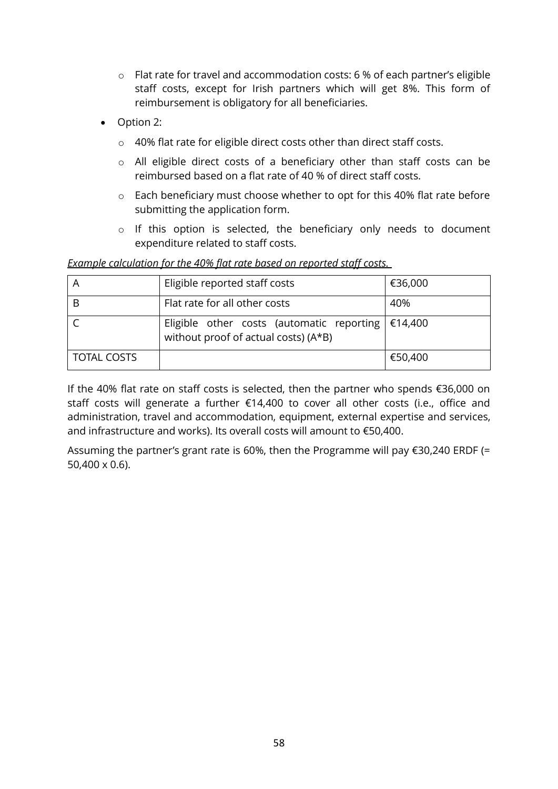- o Flat rate for travel and accommodation costs: 6 % of each partner's eligible staff costs, except for Irish partners which will get 8%. This form of reimbursement is obligatory for all beneficiaries.
- Option 2:
	- o 40% flat rate for eligible direct costs other than direct staff costs.
	- o All eligible direct costs of a beneficiary other than staff costs can be reimbursed based on a flat rate of 40 % of direct staff costs.
	- o Each beneficiary must choose whether to opt for this 40% flat rate before submitting the application form.
	- o If this option is selected, the beneficiary only needs to document expenditure related to staff costs.

#### *Example calculation for the 40% flat rate based on reported staff costs.*

|                    | Eligible reported staff costs                                                                  | €36,000 |
|--------------------|------------------------------------------------------------------------------------------------|---------|
|                    | Flat rate for all other costs                                                                  | 40%     |
|                    | Eligible other costs (automatic reporting $\in$ 14,400<br>without proof of actual costs) (A*B) |         |
| <b>TOTAL COSTS</b> |                                                                                                | €50,400 |

If the 40% flat rate on staff costs is selected, then the partner who spends €36,000 on staff costs will generate a further €14,400 to cover all other costs (i.e., office and administration, travel and accommodation, equipment, external expertise and services, and infrastructure and works). Its overall costs will amount to €50,400.

Assuming the partner's grant rate is 60%, then the Programme will pay €30,240 ERDF (= 50,400 x 0.6).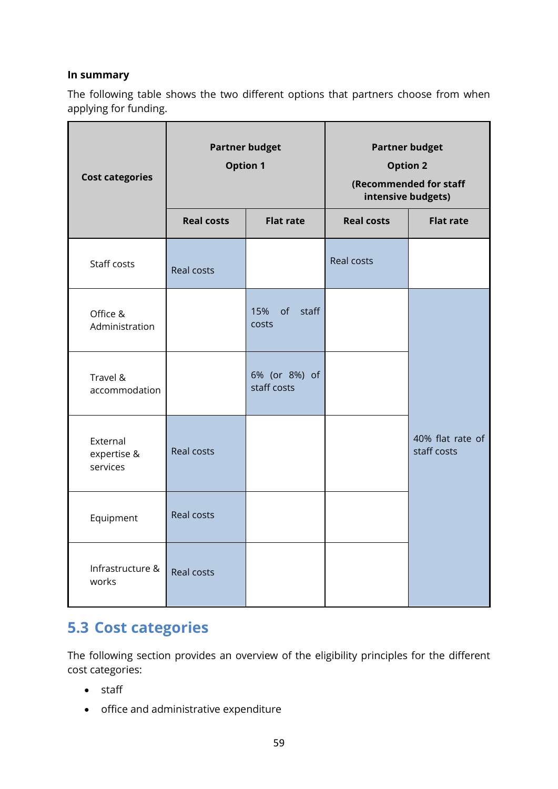#### **In summary**

The following table shows the two different options that partners choose from when applying for funding.

| <b>Cost categories</b>              | <b>Partner budget</b><br><b>Option 1</b> |                              | <b>Partner budget</b><br><b>Option 2</b><br>(Recommended for staff<br>intensive budgets) |                                 |
|-------------------------------------|------------------------------------------|------------------------------|------------------------------------------------------------------------------------------|---------------------------------|
|                                     | <b>Real costs</b>                        | <b>Flat rate</b>             | <b>Real costs</b>                                                                        | <b>Flat rate</b>                |
| Staff costs                         | <b>Real costs</b>                        |                              | <b>Real costs</b>                                                                        |                                 |
| Office &<br>Administration          |                                          | 15%<br>of staff<br>costs     |                                                                                          |                                 |
| Travel &<br>accommodation           |                                          | 6% (or 8%) of<br>staff costs |                                                                                          |                                 |
| External<br>expertise &<br>services | <b>Real costs</b>                        |                              |                                                                                          | 40% flat rate of<br>staff costs |
| Equipment                           | <b>Real costs</b>                        |                              |                                                                                          |                                 |
| Infrastructure &<br>works           | <b>Real costs</b>                        |                              |                                                                                          |                                 |

# **5.3 Cost categories**

The following section provides an overview of the eligibility principles for the different cost categories:

- staff
- office and administrative expenditure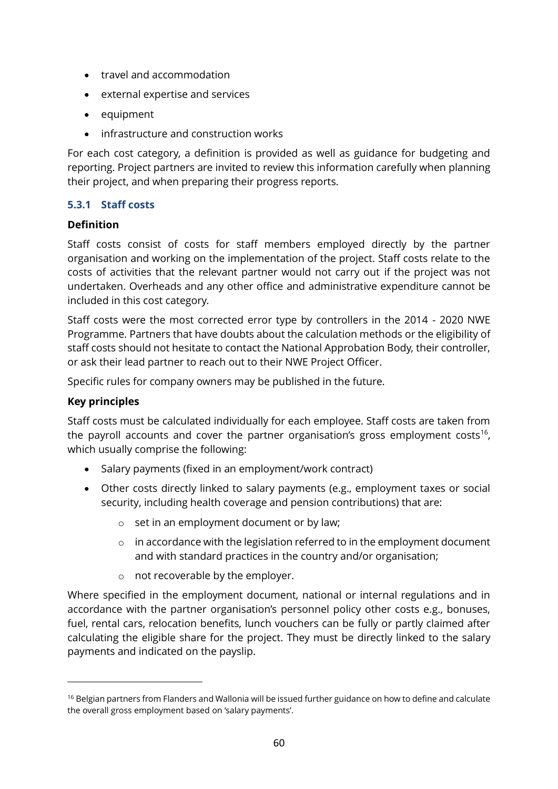- travel and accommodation
- external expertise and services
- equipment
- infrastructure and construction works

For each cost category, a definition is provided as well as guidance for budgeting and reporting. Project partners are invited to review this information carefully when planning their project, and when preparing their progress reports.

#### **5.3.1 Staff costs**

#### **Definition**

Staff costs consist of costs for staff members employed directly by the partner organisation and working on the implementation of the project. Staff costs relate to the costs of activities that the relevant partner would not carry out if the project was not undertaken. Overheads and any other office and administrative expenditure cannot be included in this cost category.

Staff costs were the most corrected error type by controllers in the 2014 - 2020 NWE Programme. Partners that have doubts about the calculation methods or the eligibility of staff costs should not hesitate to contact the National Approbation Body, their controller, or ask their lead partner to reach out to their NWE Project Officer.

Specific rules for company owners may be published in the future.

#### **Key principles**

Staff costs must be calculated individually for each employee. Staff costs are taken from the payroll accounts and cover the partner organisation's gross employment costs<sup>16</sup>, which usually comprise the following:

- Salary payments (fixed in an employment/work contract)
- Other costs directly linked to salary payments (e.g., employment taxes or social security, including health coverage and pension contributions) that are:
	- o set in an employment document or by law;
	- $\circ$  in accordance with the legislation referred to in the employment document and with standard practices in the country and/or organisation;
	- o not recoverable by the employer.

Where specified in the employment document, national or internal regulations and in accordance with the partner organisation's personnel policy other costs e.g., bonuses, fuel, rental cars, relocation benefits, lunch vouchers can be fully or partly claimed after calculating the eligible share for the project. They must be directly linked to the salary payments and indicated on the payslip.

<sup>&</sup>lt;sup>16</sup> Belgian partners from Flanders and Wallonia will be issued further guidance on how to define and calculate the overall gross employment based on 'salary payments'.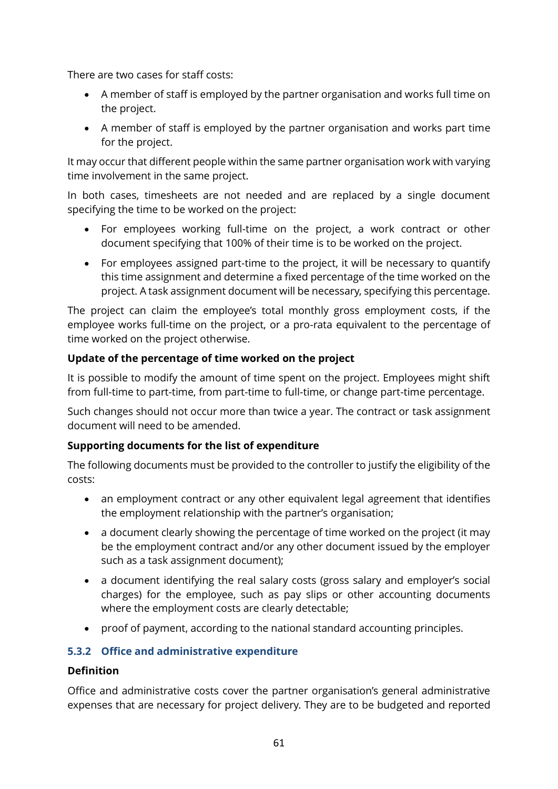There are two cases for staff costs:

- A member of staff is employed by the partner organisation and works full time on the project.
- A member of staff is employed by the partner organisation and works part time for the project.

It may occur that different people within the same partner organisation work with varying time involvement in the same project.

In both cases, timesheets are not needed and are replaced by a single document specifying the time to be worked on the project:

- For employees working full-time on the project, a work contract or other document specifying that 100% of their time is to be worked on the project.
- For employees assigned part-time to the project, it will be necessary to quantify this time assignment and determine a fixed percentage of the time worked on the project. A task assignment document will be necessary, specifying this percentage.

The project can claim the employee's total monthly gross employment costs, if the employee works full-time on the project, or a pro-rata equivalent to the percentage of time worked on the project otherwise.

#### **Update of the percentage of time worked on the project**

It is possible to modify the amount of time spent on the project. Employees might shift from full-time to part-time, from part-time to full-time, or change part-time percentage.

Such changes should not occur more than twice a year. The contract or task assignment document will need to be amended.

#### **Supporting documents for the list of expenditure**

The following documents must be provided to the controller to justify the eligibility of the costs:

- an employment contract or any other equivalent legal agreement that identifies the employment relationship with the partner's organisation;
- a document clearly showing the percentage of time worked on the project (it may be the employment contract and/or any other document issued by the employer such as a task assignment document);
- a document identifying the real salary costs (gross salary and employer's social charges) for the employee, such as pay slips or other accounting documents where the employment costs are clearly detectable;
- proof of payment, according to the national standard accounting principles.

#### **5.3.2 Office and administrative expenditure**

#### **Definition**

Office and administrative costs cover the partner organisation's general administrative expenses that are necessary for project delivery. They are to be budgeted and reported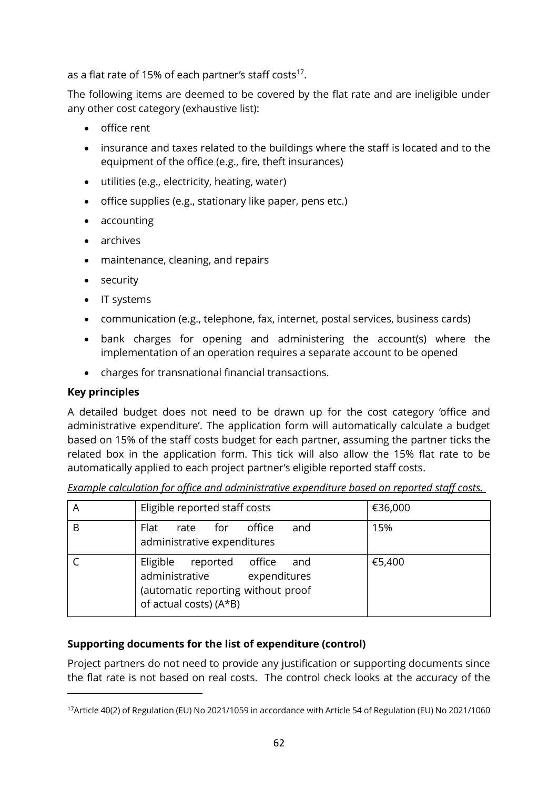as a flat rate of 15% of each partner's staff costs<sup>17</sup>.

The following items are deemed to be covered by the flat rate and are ineligible under any other cost category (exhaustive list):

- office rent
- insurance and taxes related to the buildings where the staff is located and to the equipment of the office (e.g., fire, theft insurances)
- utilities (e.g., electricity, heating, water)
- office supplies (e.g., stationary like paper, pens etc.)
- accounting
- archives
- maintenance, cleaning, and repairs
- security
- IT systems
- communication (e.g., telephone, fax, internet, postal services, business cards)
- bank charges for opening and administering the account(s) where the implementation of an operation requires a separate account to be opened
- charges for transnational financial transactions.

#### **Key principles**

A detailed budget does not need to be drawn up for the cost category 'office and administrative expenditure'. The application form will automatically calculate a budget based on 15% of the staff costs budget for each partner, assuming the partner ticks the related box in the application form. This tick will also allow the 15% flat rate to be automatically applied to each project partner's eligible reported staff costs.

| A | Eligible reported staff costs                                                                                                     | €36,000 |
|---|-----------------------------------------------------------------------------------------------------------------------------------|---------|
| B | office<br>Flat<br>rate for<br>and<br>administrative expenditures                                                                  | 15%     |
|   | Eligible reported office<br>and<br>administrative<br>expenditures<br>(automatic reporting without proof<br>of actual costs) (A*B) | €5,400  |

*Example calculation for office and administrative expenditure based on reported staff costs.* 

#### **Supporting documents for the list of expenditure (control)**

Project partners do not need to provide any justification or supporting documents since the flat rate is not based on real costs. The control check looks at the accuracy of the

<sup>17</sup>Article 40(2) of Regulation (EU) No 2021/1059 in accordance with Article 54 of Regulation (EU) No 2021/1060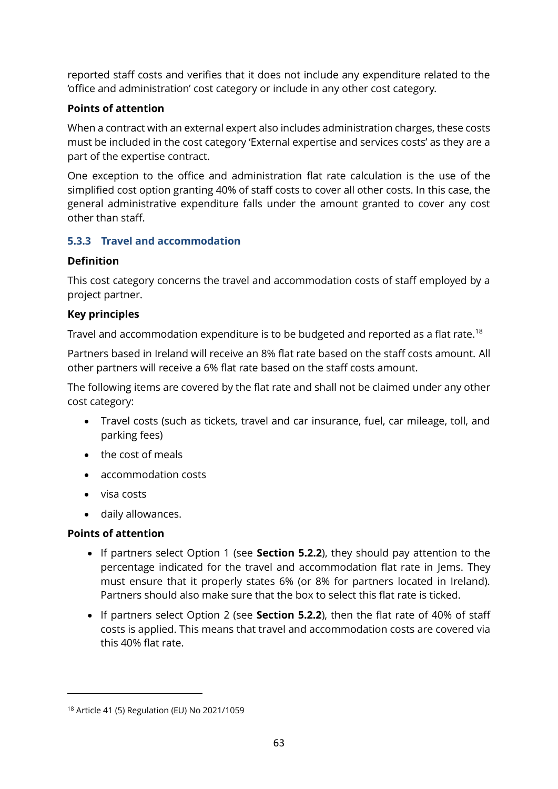reported staff costs and verifies that it does not include any expenditure related to the 'office and administration' cost category or include in any other cost category.

#### **Points of attention**

When a contract with an external expert also includes administration charges, these costs must be included in the cost category 'External expertise and services costs' as they are a part of the expertise contract.

One exception to the office and administration flat rate calculation is the use of the simplified cost option granting 40% of staff costs to cover all other costs. In this case, the general administrative expenditure falls under the amount granted to cover any cost other than staff.

#### **5.3.3 Travel and accommodation**

#### **Definition**

This cost category concerns the travel and accommodation costs of staff employed by a project partner.

#### **Key principles**

Travel and accommodation expenditure is to be budgeted and reported as a flat rate.<sup>18</sup>

Partners based in Ireland will receive an 8% flat rate based on the staff costs amount. All other partners will receive a 6% flat rate based on the staff costs amount.

The following items are covered by the flat rate and shall not be claimed under any other cost category:

- Travel costs (such as tickets, travel and car insurance, fuel, car mileage, toll, and parking fees)
- the cost of meals
- accommodation costs
- visa costs
- daily allowances.

#### **Points of attention**

- If partners select Option 1 (see **Section [5.2.2](#page-56-0)**), they should pay attention to the percentage indicated for the travel and accommodation flat rate in Jems. They must ensure that it properly states 6% (or 8% for partners located in Ireland). Partners should also make sure that the box to select this flat rate is ticked.
- If partners select Option 2 (see **Section [5.2.2](#page-56-0)**), then the flat rate of 40% of staff costs is applied. This means that travel and accommodation costs are covered via this 40% flat rate.

<sup>18</sup> Article 41 (5) Regulation (EU) No 2021/1059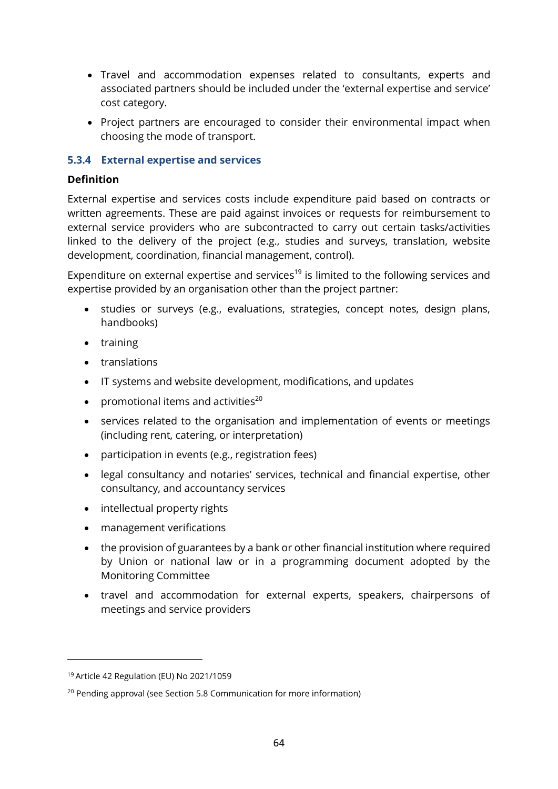- Travel and accommodation expenses related to consultants, experts and associated partners should be included under the 'external expertise and service' cost category.
- Project partners are encouraged to consider their environmental impact when choosing the mode of transport.

#### **5.3.4 External expertise and services**

#### **Definition**

External expertise and services costs include expenditure paid based on contracts or written agreements. These are paid against invoices or requests for reimbursement to external service providers who are subcontracted to carry out certain tasks/activities linked to the delivery of the project (e.g., studies and surveys, translation, website development, coordination, financial management, control).

Expenditure on external expertise and services<sup>19</sup> is limited to the following services and expertise provided by an organisation other than the project partner:

- studies or surveys (e.g., evaluations, strategies, concept notes, design plans, handbooks)
- training
- translations
- IT systems and website development, modifications, and updates
- promotional items and activities $^{20}$
- services related to the organisation and implementation of events or meetings (including rent, catering, or interpretation)
- participation in events (e.g., registration fees)
- legal consultancy and notaries' services, technical and financial expertise, other consultancy, and accountancy services
- intellectual property rights
- management verifications
- the provision of guarantees by a bank or other financial institution where required by Union or national law or in a programming document adopted by the Monitoring Committee
- travel and accommodation for external experts, speakers, chairpersons of meetings and service providers

<sup>19</sup> Article 42 Regulation (EU) No 2021/1059

<sup>20</sup> Pending approval (see Section 5.8 Communication for more information)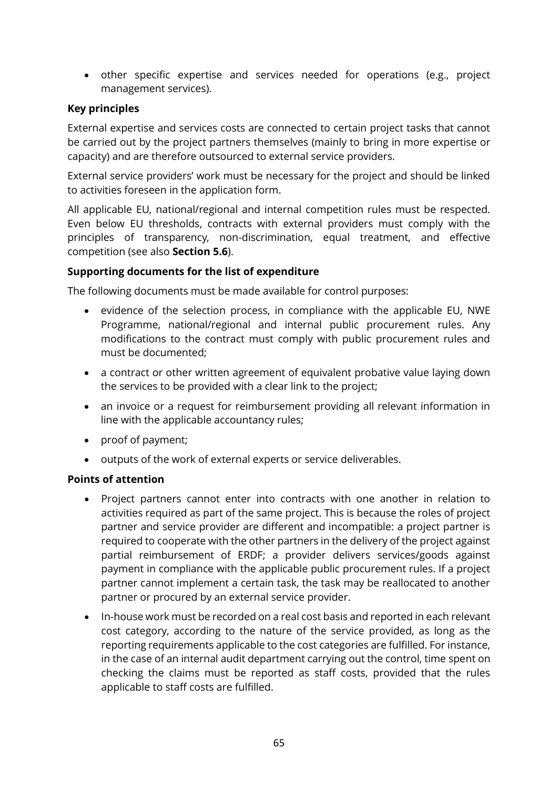• other specific expertise and services needed for operations (e.g., project management services).

#### **Key principles**

External expertise and services costs are connected to certain project tasks that cannot be carried out by the project partners themselves (mainly to bring in more expertise or capacity) and are therefore outsourced to external service providers.

External service providers' work must be necessary for the project and should be linked to activities foreseen in the application form.

All applicable EU, national/regional and internal competition rules must be respected. Even below EU thresholds, contracts with external providers must comply with the principles of transparency, non-discrimination, equal treatment, and effective competition (see also **Section [5.6](#page-72-0)**).

#### **Supporting documents for the list of expenditure**

The following documents must be made available for control purposes:

- evidence of the selection process, in compliance with the applicable EU, NWE Programme, national/regional and internal public procurement rules. Any modifications to the contract must comply with public procurement rules and must be documented;
- a contract or other written agreement of equivalent probative value laying down the services to be provided with a clear link to the project;
- an invoice or a request for reimbursement providing all relevant information in line with the applicable accountancy rules;
- proof of payment;
- outputs of the work of external experts or service deliverables.

#### **Points of attention**

- Project partners cannot enter into contracts with one another in relation to activities required as part of the same project. This is because the roles of project partner and service provider are different and incompatible: a project partner is required to cooperate with the other partners in the delivery of the project against partial reimbursement of ERDF; a provider delivers services/goods against payment in compliance with the applicable public procurement rules. If a project partner cannot implement a certain task, the task may be reallocated to another partner or procured by an external service provider.
- In-house work must be recorded on a real cost basis and reported in each relevant cost category, according to the nature of the service provided, as long as the reporting requirements applicable to the cost categories are fulfilled. For instance, in the case of an internal audit department carrying out the control, time spent on checking the claims must be reported as staff costs, provided that the rules applicable to staff costs are fulfilled.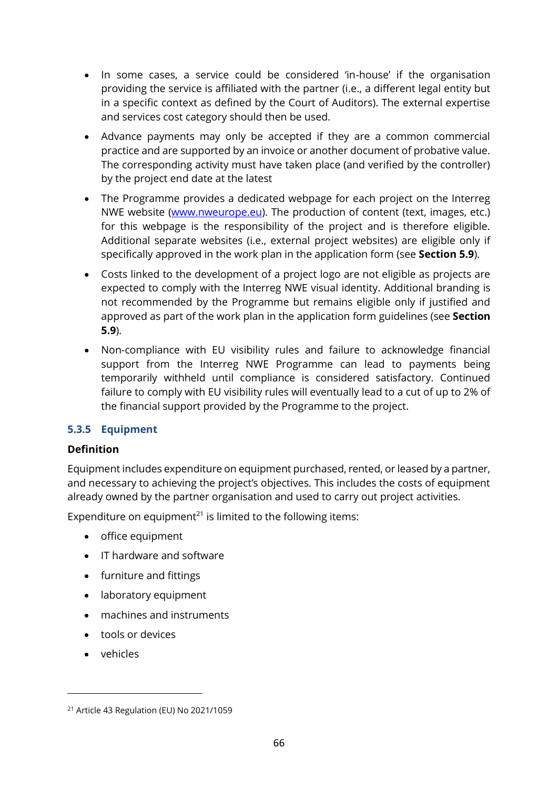- In some cases, a service could be considered 'in-house' if the organisation providing the service is affiliated with the partner (i.e., a different legal entity but in a specific context as defined by the Court of Auditors). The external expertise and services cost category should then be used.
- Advance payments may only be accepted if they are a common commercial practice and are supported by an invoice or another document of probative value. The corresponding activity must have taken place (and verified by the controller) by the project end date at the latest
- The Programme provides a dedicated webpage for each project on the Interreg NWE website [\(www.nweurope.eu\)](http://www.nweurope.eu/). The production of content (text, images, etc.) for this webpage is the responsibility of the project and is therefore eligible. Additional separate websites (i.e., external project websites) are eligible only if specifically approved in the work plan in the application form (see **Section [5.9](#page-80-0)**).
- Costs linked to the development of a project logo are not eligible as projects are expected to comply with the Interreg NWE visual identity. Additional branding is not recommended by the Programme but remains eligible only if justified and approved as part of the work plan in the application form guidelines (see **Section [5.9](#page-80-0)**).
- Non-compliance with EU visibility rules and failure to acknowledge financial support from the Interreg NWE Programme can lead to payments being temporarily withheld until compliance is considered satisfactory. Continued failure to comply with EU visibility rules will eventually lead to a cut of up to 2% of the financial support provided by the Programme to the project.

#### **5.3.5 Equipment**

#### **Definition**

Equipment includes expenditure on equipment purchased, rented, or leased by a partner, and necessary to achieving the project's objectives. This includes the costs of equipment already owned by the partner organisation and used to carry out project activities.

Expenditure on equipment<sup>21</sup> is limited to the following items:

- office equipment
- IT hardware and software
- furniture and fittings
- laboratory equipment
- machines and instruments
- tools or devices
- vehicles

<sup>21</sup> Article 43 Regulation (EU) No 2021/1059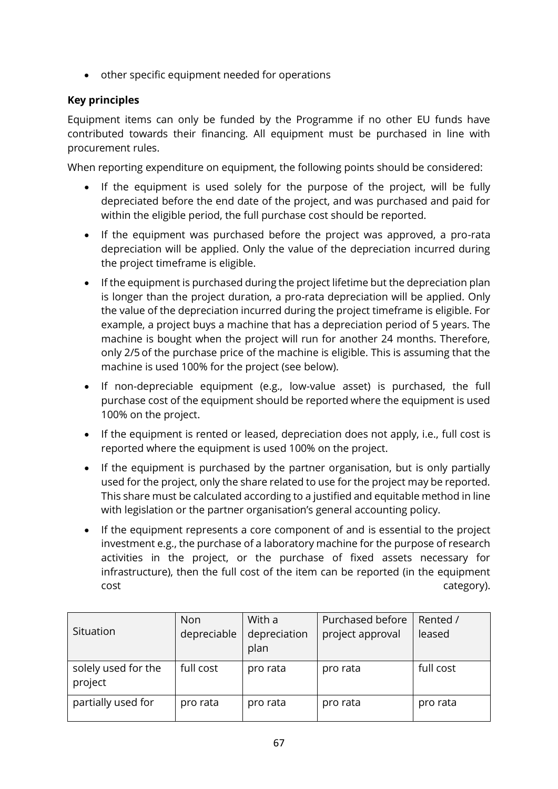• other specific equipment needed for operations

#### **Key principles**

Equipment items can only be funded by the Programme if no other EU funds have contributed towards their financing. All equipment must be purchased in line with procurement rules.

When reporting expenditure on equipment, the following points should be considered:

- If the equipment is used solely for the purpose of the project, will be fully depreciated before the end date of the project, and was purchased and paid for within the eligible period, the full purchase cost should be reported.
- If the equipment was purchased before the project was approved, a pro-rata depreciation will be applied. Only the value of the depreciation incurred during the project timeframe is eligible.
- If the equipment is purchased during the project lifetime but the depreciation plan is longer than the project duration, a pro-rata depreciation will be applied. Only the value of the depreciation incurred during the project timeframe is eligible. For example, a project buys a machine that has a depreciation period of 5 years. The machine is bought when the project will run for another 24 months. Therefore, only 2/5 of the purchase price of the machine is eligible. This is assuming that the machine is used 100% for the project (see below).
- If non-depreciable equipment (e.g., low-value asset) is purchased, the full purchase cost of the equipment should be reported where the equipment is used 100% on the project.
- If the equipment is rented or leased, depreciation does not apply, i.e., full cost is reported where the equipment is used 100% on the project.
- If the equipment is purchased by the partner organisation, but is only partially used for the project, only the share related to use for the project may be reported. This share must be calculated according to a justified and equitable method in line with legislation or the partner organisation's general accounting policy.
- If the equipment represents a core component of and is essential to the project investment e.g., the purchase of a laboratory machine for the purpose of research activities in the project, or the purchase of fixed assets necessary for infrastructure), then the full cost of the item can be reported (in the equipment cost cost cost category).

| Situation                      | <b>Non</b><br>depreciable | With a<br>depreciation<br>plan | Purchased before<br>project approval | Rented /<br>leased |
|--------------------------------|---------------------------|--------------------------------|--------------------------------------|--------------------|
| solely used for the<br>project | full cost                 | pro rata                       | pro rata                             | full cost          |
| partially used for             | pro rata                  | pro rata                       | pro rata                             | pro rata           |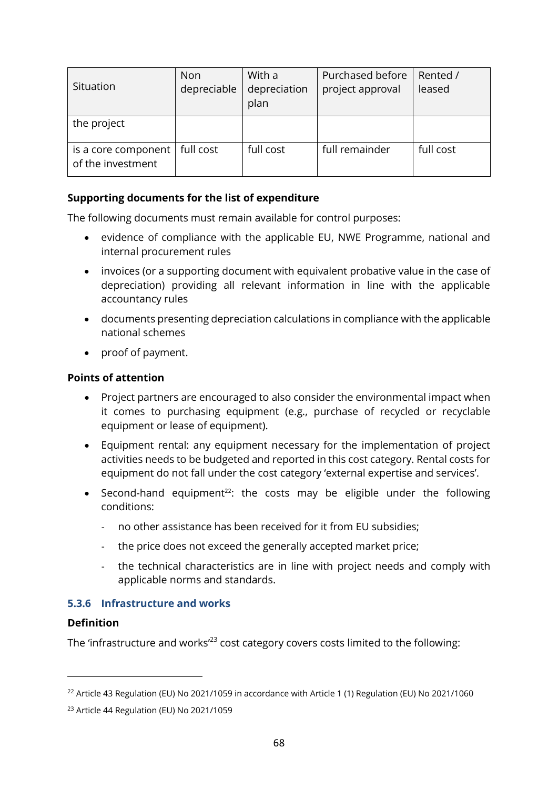| Situation                                | <b>Non</b><br>depreciable | With a<br>depreciation<br>plan | Purchased before<br>project approval | Rented /<br>leased |
|------------------------------------------|---------------------------|--------------------------------|--------------------------------------|--------------------|
| the project                              |                           |                                |                                      |                    |
| is a core component<br>of the investment | full cost                 | full cost                      | full remainder                       | full cost          |

#### **Supporting documents for the list of expenditure**

The following documents must remain available for control purposes:

- evidence of compliance with the applicable EU, NWE Programme, national and internal procurement rules
- invoices (or a supporting document with equivalent probative value in the case of depreciation) providing all relevant information in line with the applicable accountancy rules
- documents presenting depreciation calculations in compliance with the applicable national schemes
- proof of payment.

#### **Points of attention**

- Project partners are encouraged to also consider the environmental impact when it comes to purchasing equipment (e.g., purchase of recycled or recyclable equipment or lease of equipment).
- Equipment rental: any equipment necessary for the implementation of project activities needs to be budgeted and reported in this cost category. Rental costs for equipment do not fall under the cost category 'external expertise and services'.
- Second-hand equipment<sup>22</sup>: the costs may be eligible under the following conditions:
	- no other assistance has been received for it from EU subsidies;
	- the price does not exceed the generally accepted market price;
	- the technical characteristics are in line with project needs and comply with applicable norms and standards.

#### **5.3.6 Infrastructure and works**

#### **Definition**

The 'infrastructure and works<sup>'23</sup> cost category covers costs limited to the following:

<sup>&</sup>lt;sup>22</sup> Article 43 Regulation (EU) No 2021/1059 in accordance with Article 1 (1) Regulation (EU) No 2021/1060

<sup>23</sup> Article 44 Regulation (EU) No 2021/1059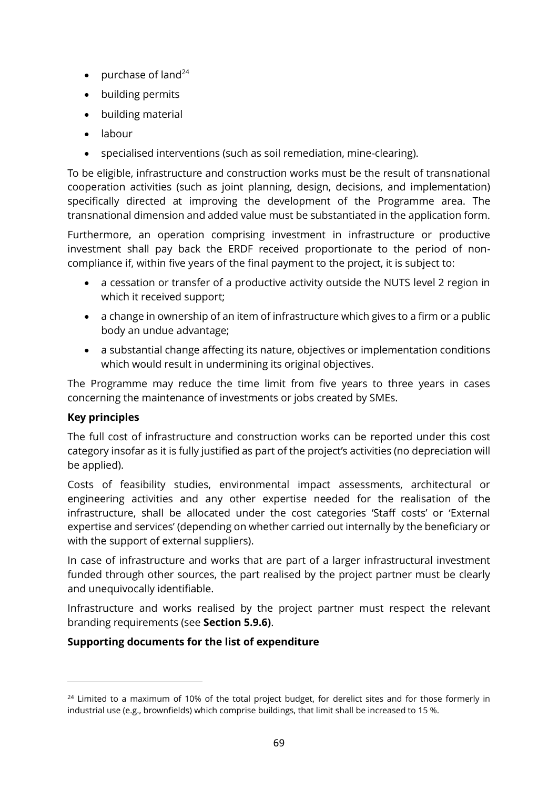- purchase of land<sup>24</sup>
- building permits
- building material
- labour
- specialised interventions (such as soil remediation, mine-clearing).

To be eligible, infrastructure and construction works must be the result of transnational cooperation activities (such as joint planning, design, decisions, and implementation) specifically directed at improving the development of the Programme area. The transnational dimension and added value must be substantiated in the application form.

Furthermore, an operation comprising investment in infrastructure or productive investment shall pay back the ERDF received proportionate to the period of noncompliance if, within five years of the final payment to the project, it is subject to:

- a cessation or transfer of a productive activity outside the NUTS level 2 region in which it received support;
- a change in ownership of an item of infrastructure which gives to a firm or a public body an undue advantage;
- a substantial change affecting its nature, objectives or implementation conditions which would result in undermining its original objectives.

The Programme may reduce the time limit from five years to three years in cases concerning the maintenance of investments or jobs created by SMEs.

#### **Key principles**

The full cost of infrastructure and construction works can be reported under this cost category insofar as it is fully justified as part of the project's activities (no depreciation will be applied).

Costs of feasibility studies, environmental impact assessments, architectural or engineering activities and any other expertise needed for the realisation of the infrastructure, shall be allocated under the cost categories 'Staff costs' or 'External expertise and services' (depending on whether carried out internally by the beneficiary or with the support of external suppliers).

In case of infrastructure and works that are part of a larger infrastructural investment funded through other sources, the part realised by the project partner must be clearly and unequivocally identifiable.

Infrastructure and works realised by the project partner must respect the relevant branding requirements (see **Section [5.9.6\)](#page-84-0)**.

#### **Supporting documents for the list of expenditure**

<sup>&</sup>lt;sup>24</sup> Limited to a maximum of 10% of the total project budget, for derelict sites and for those formerly in industrial use (e.g., brownfields) which comprise buildings, that limit shall be increased to 15 %.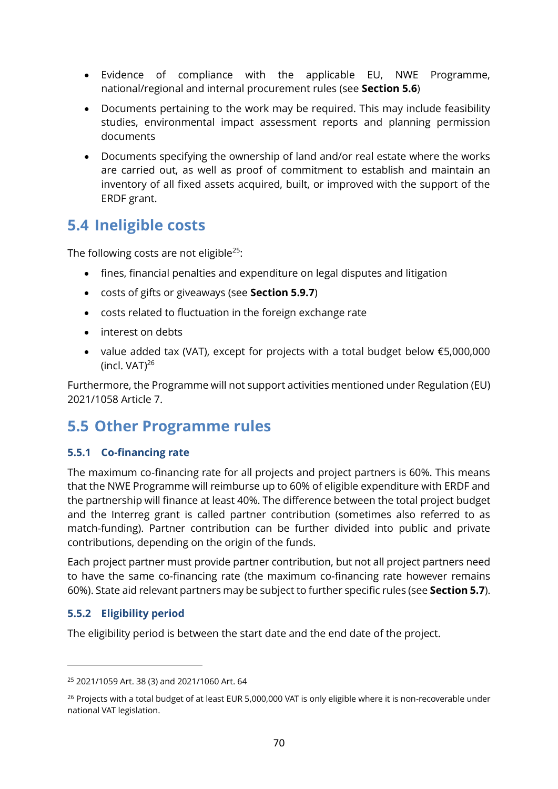- Evidence of compliance with the applicable EU, NWE Programme, national/regional and internal procurement rules (see **Section [5.6](#page-72-0)**)
- Documents pertaining to the work may be required. This may include feasibility studies, environmental impact assessment reports and planning permission documents
- Documents specifying the ownership of land and/or real estate where the works are carried out, as well as proof of commitment to establish and maintain an inventory of all fixed assets acquired, built, or improved with the support of the ERDF grant.

# **5.4 Ineligible costs**

The following costs are not eligible<sup>25</sup>:

- fines, financial penalties and expenditure on legal disputes and litigation
- costs of gifts or giveaways (see **Section [5.9.7](#page-85-0)**)
- costs related to fluctuation in the foreign exchange rate
- interest on debts
- value added tax (VAT), except for projects with a total budget below €5,000,000 (incl.  $VAT)^{26}$

Furthermore, the Programme will not support activities mentioned under Regulation (EU) 2021/1058 Article 7.

# **5.5 Other Programme rules**

#### <span id="page-69-0"></span>**5.5.1 Co-financing rate**

The maximum co-financing rate for all projects and project partners is 60%. This means that the NWE Programme will reimburse up to 60% of eligible expenditure with ERDF and the partnership will finance at least 40%. The difference between the total project budget and the Interreg grant is called partner contribution (sometimes also referred to as match-funding). Partner contribution can be further divided into public and private contributions, depending on the origin of the funds.

Each project partner must provide partner contribution, but not all project partners need to have the same co-financing rate (the maximum co-financing rate however remains 60%). State aid relevant partners may be subject to further specific rules (see **Section [5.7](#page-77-0)**).

#### **5.5.2 Eligibility period**

The eligibility period is between the start date and the end date of the project.

<sup>25</sup> 2021/1059 Art. 38 (3) and 2021/1060 Art. 64

<sup>&</sup>lt;sup>26</sup> Projects with a total budget of at least EUR 5,000,000 VAT is only eligible where it is non-recoverable under national VAT legislation.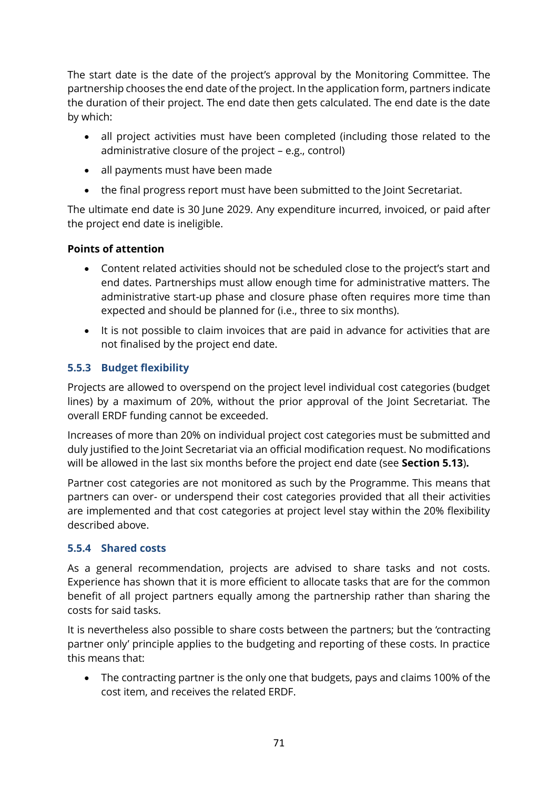The start date is the date of the project's approval by the Monitoring Committee. The partnership chooses the end date of the project. In the application form, partners indicate the duration of their project. The end date then gets calculated. The end date is the date by which:

- all project activities must have been completed (including those related to the administrative closure of the project – e.g., control)
- all payments must have been made
- the final progress report must have been submitted to the Joint Secretariat.

The ultimate end date is 30 June 2029. Any expenditure incurred, invoiced, or paid after the project end date is ineligible.

#### **Points of attention**

- Content related activities should not be scheduled close to the project's start and end dates. Partnerships must allow enough time for administrative matters. The administrative start-up phase and closure phase often requires more time than expected and should be planned for (i.e., three to six months).
- It is not possible to claim invoices that are paid in advance for activities that are not finalised by the project end date.

#### **5.5.3 Budget flexibility**

Projects are allowed to overspend on the project level individual cost categories (budget lines) by a maximum of 20%, without the prior approval of the Joint Secretariat. The overall ERDF funding cannot be exceeded.

Increases of more than 20% on individual project cost categories must be submitted and duly justified to the Joint Secretariat via an official modification request. No modifications will be allowed in the last six months before the project end date (see **Section [5.13](#page-93-0)**)**.**

Partner cost categories are not monitored as such by the Programme. This means that partners can over- or underspend their cost categories provided that all their activities are implemented and that cost categories at project level stay within the 20% flexibility described above.

#### **5.5.4 Shared costs**

As a general recommendation, projects are advised to share tasks and not costs. Experience has shown that it is more efficient to allocate tasks that are for the common benefit of all project partners equally among the partnership rather than sharing the costs for said tasks.

It is nevertheless also possible to share costs between the partners; but the 'contracting partner only' principle applies to the budgeting and reporting of these costs. In practice this means that:

• The contracting partner is the only one that budgets, pays and claims 100% of the cost item, and receives the related ERDF.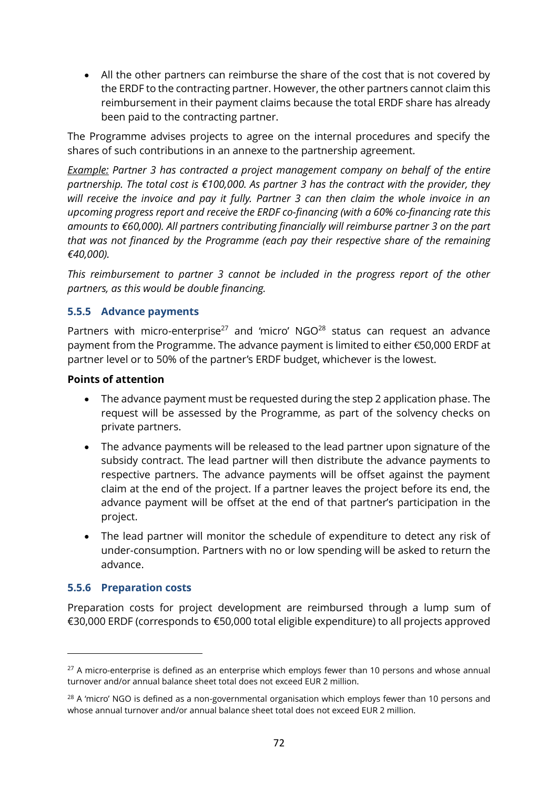• All the other partners can reimburse the share of the cost that is not covered by the ERDF to the contracting partner. However, the other partners cannot claim this reimbursement in their payment claims because the total ERDF share has already been paid to the contracting partner.

The Programme advises projects to agree on the internal procedures and specify the shares of such contributions in an annexe to the partnership agreement.

*Example: Partner 3 has contracted a project management company on behalf of the entire partnership. The total cost is €100,000. As partner 3 has the contract with the provider, they will receive the invoice and pay it fully. Partner 3 can then claim the whole invoice in an upcoming progress report and receive the ERDF co-financing (with a 60% co-financing rate this amounts to €60,000). All partners contributing financially will reimburse partner 3 on the part that was not financed by the Programme (each pay their respective share of the remaining €40,000).* 

*This reimbursement to partner 3 cannot be included in the progress report of the other partners, as this would be double financing.*

#### <span id="page-71-0"></span>**5.5.5 Advance payments**

Partners with micro-enterprise<sup>27</sup> and 'micro'  $NGO^{28}$  status can request an advance payment from the Programme. The advance payment is limited to either €50,000 ERDF at partner level or to 50% of the partner's ERDF budget, whichever is the lowest.

#### **Points of attention**

- The advance payment must be requested during the step 2 application phase. The request will be assessed by the Programme, as part of the solvency checks on private partners.
- The advance payments will be released to the lead partner upon signature of the subsidy contract. The lead partner will then distribute the advance payments to respective partners. The advance payments will be offset against the payment claim at the end of the project. If a partner leaves the project before its end, the advance payment will be offset at the end of that partner's participation in the project.
- The lead partner will monitor the schedule of expenditure to detect any risk of under-consumption. Partners with no or low spending will be asked to return the advance.

#### <span id="page-71-1"></span>**5.5.6 Preparation costs**

Preparation costs for project development are reimbursed through a lump sum of €30,000 ERDF (corresponds to €50,000 total eligible expenditure) to all projects approved

<sup>&</sup>lt;sup>27</sup> A micro-enterprise is defined as an enterprise which employs fewer than 10 persons and whose annual turnover and/or annual balance sheet total does not exceed EUR 2 million.

<sup>&</sup>lt;sup>28</sup> A 'micro' NGO is defined as a non-governmental organisation which employs fewer than 10 persons and whose annual turnover and/or annual balance sheet total does not exceed EUR 2 million.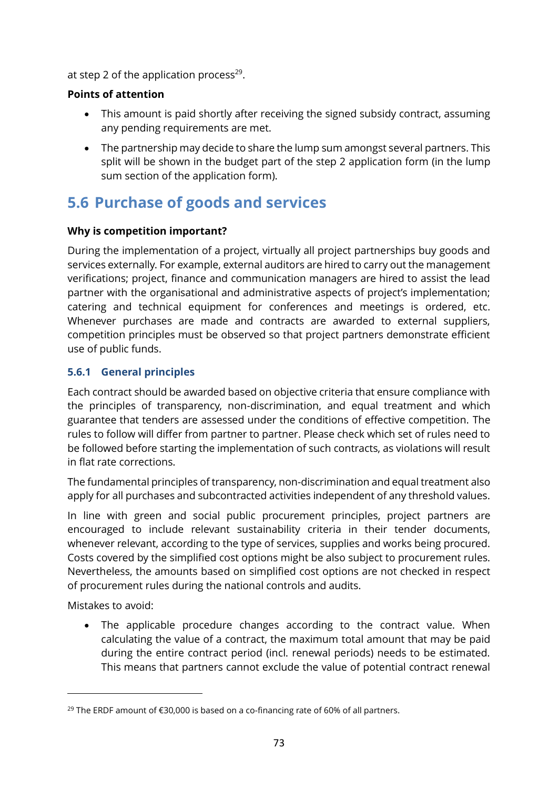at step 2 of the application process<sup>29</sup>.

#### **Points of attention**

- This amount is paid shortly after receiving the signed subsidy contract, assuming any pending requirements are met.
- The partnership may decide to share the lump sum amongst several partners. This split will be shown in the budget part of the step 2 application form (in the lump sum section of the application form).

### <span id="page-72-0"></span>**5.6 Purchase of goods and services**

#### **Why is competition important?**

During the implementation of a project, virtually all project partnerships buy goods and services externally. For example, external auditors are hired to carry out the management verifications; project, finance and communication managers are hired to assist the lead partner with the organisational and administrative aspects of project's implementation; catering and technical equipment for conferences and meetings is ordered, etc. Whenever purchases are made and contracts are awarded to external suppliers, competition principles must be observed so that project partners demonstrate efficient use of public funds.

#### **5.6.1 General principles**

Each contract should be awarded based on objective criteria that ensure compliance with the principles of transparency, non-discrimination, and equal treatment and which guarantee that tenders are assessed under the conditions of effective competition. The rules to follow will differ from partner to partner. Please check which set of rules need to be followed before starting the implementation of such contracts, as violations will result in flat rate corrections.

The fundamental principles of transparency, non-discrimination and equal treatment also apply for all purchases and subcontracted activities independent of any threshold values.

In line with green and social public procurement principles, project partners are encouraged to include relevant sustainability criteria in their tender documents, whenever relevant, according to the type of services, supplies and works being procured. Costs covered by the simplified cost options might be also subject to procurement rules. Nevertheless, the amounts based on simplified cost options are not checked in respect of procurement rules during the national controls and audits.

Mistakes to avoid:

• The applicable procedure changes according to the contract value. When calculating the value of a contract, the maximum total amount that may be paid during the entire contract period (incl. renewal periods) needs to be estimated. This means that partners cannot exclude the value of potential contract renewal

<sup>&</sup>lt;sup>29</sup> The ERDF amount of €30,000 is based on a co-financing rate of 60% of all partners.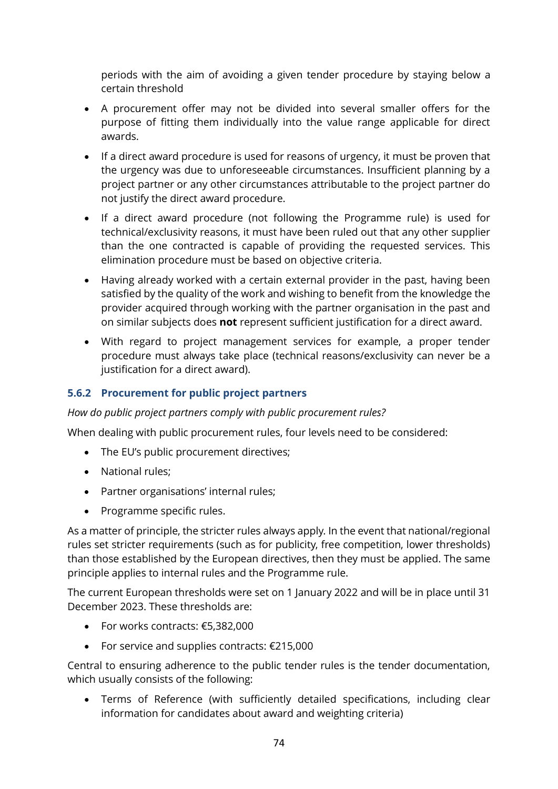periods with the aim of avoiding a given tender procedure by staying below a certain threshold

- A procurement offer may not be divided into several smaller offers for the purpose of fitting them individually into the value range applicable for direct awards.
- If a direct award procedure is used for reasons of urgency, it must be proven that the urgency was due to unforeseeable circumstances. Insufficient planning by a project partner or any other circumstances attributable to the project partner do not justify the direct award procedure.
- If a direct award procedure (not following the Programme rule) is used for technical/exclusivity reasons, it must have been ruled out that any other supplier than the one contracted is capable of providing the requested services. This elimination procedure must be based on objective criteria.
- Having already worked with a certain external provider in the past, having been satisfied by the quality of the work and wishing to benefit from the knowledge the provider acquired through working with the partner organisation in the past and on similar subjects does **not** represent sufficient justification for a direct award.
- With regard to project management services for example, a proper tender procedure must always take place (technical reasons/exclusivity can never be a justification for a direct award).

#### **5.6.2 Procurement for public project partners**

#### *How do public project partners comply with public procurement rules?*

When dealing with public procurement rules, four levels need to be considered:

- The EU's public procurement directives;
- National rules;
- Partner organisations' internal rules;
- Programme specific rules.

As a matter of principle, the stricter rules always apply. In the event that national/regional rules set stricter requirements (such as for publicity, free competition, lower thresholds) than those established by the European directives, then they must be applied. The same principle applies to internal rules and the Programme rule.

The current European thresholds were set on 1 January 2022 and will be in place until 31 December 2023. These thresholds are:

- For works contracts: €5,382,000
- For service and supplies contracts: €215,000

Central to ensuring adherence to the public tender rules is the tender documentation, which usually consists of the following:

• Terms of Reference (with sufficiently detailed specifications, including clear information for candidates about award and weighting criteria)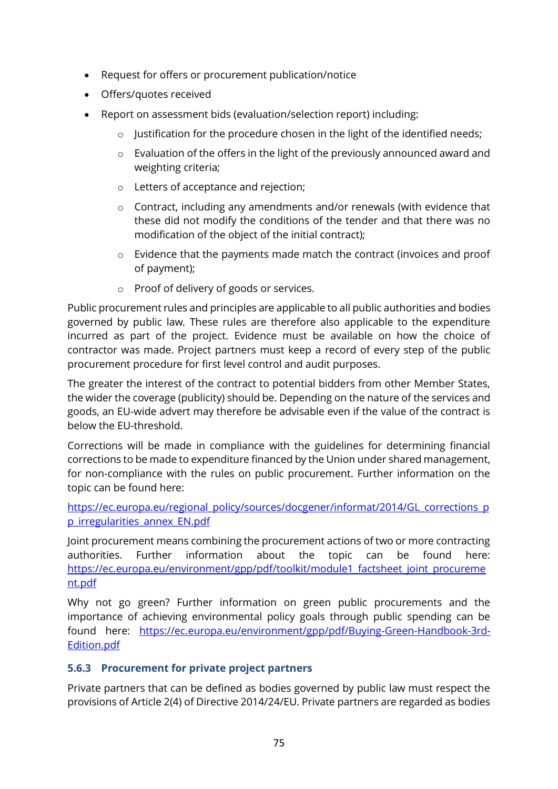- Request for offers or procurement publication/notice
- Offers/quotes received
- Report on assessment bids (evaluation/selection report) including:
	- o Justification for the procedure chosen in the light of the identified needs;
	- o Evaluation of the offers in the light of the previously announced award and weighting criteria;
	- o Letters of acceptance and rejection;
	- $\circ$  Contract, including any amendments and/or renewals (with evidence that these did not modify the conditions of the tender and that there was no modification of the object of the initial contract);
	- o Evidence that the payments made match the contract (invoices and proof of payment);
	- o Proof of delivery of goods or services.

Public procurement rules and principles are applicable to all public authorities and bodies governed by public law. These rules are therefore also applicable to the expenditure incurred as part of the project. Evidence must be available on how the choice of contractor was made. Project partners must keep a record of every step of the public procurement procedure for first level control and audit purposes.

The greater the interest of the contract to potential bidders from other Member States, the wider the coverage (publicity) should be. Depending on the nature of the services and goods, an EU-wide advert may therefore be advisable even if the value of the contract is below the EU-threshold.

Corrections will be made in compliance with the guidelines for determining financial corrections to be made to expenditure financed by the Union under shared management, for non-compliance with the rules on public procurement. Further information on the topic can be found here:

[https://ec.europa.eu/regional\\_policy/sources/docgener/informat/2014/GL\\_corrections\\_p](https://ec.europa.eu/regional_policy/sources/docgener/informat/2014/GL_corrections_pp_irregularities_annex_EN.pdf) [p\\_irregularities\\_annex\\_EN.pdf](https://ec.europa.eu/regional_policy/sources/docgener/informat/2014/GL_corrections_pp_irregularities_annex_EN.pdf)

Joint procurement means combining the procurement actions of two or more contracting authorities. Further information about the topic can be found here: [https://ec.europa.eu/environment/gpp/pdf/toolkit/module1\\_factsheet\\_joint\\_procureme](https://ec.europa.eu/environment/gpp/pdf/toolkit/module1_factsheet_joint_procurement.pdf) [nt.pdf](https://ec.europa.eu/environment/gpp/pdf/toolkit/module1_factsheet_joint_procurement.pdf)

Why not go green? Further information on green public procurements and the importance of achieving environmental policy goals through public spending can be found here: [https://ec.europa.eu/environment/gpp/pdf/Buying-Green-Handbook-3rd-](https://ec.europa.eu/environment/gpp/pdf/Buying-Green-Handbook-3rd-Edition.pdf)[Edition.pdf](https://ec.europa.eu/environment/gpp/pdf/Buying-Green-Handbook-3rd-Edition.pdf)

#### **5.6.3 Procurement for private project partners**

Private partners that can be defined as bodies governed by public law must respect the provisions of Article 2(4) of Directive 2014/24/EU. Private partners are regarded as bodies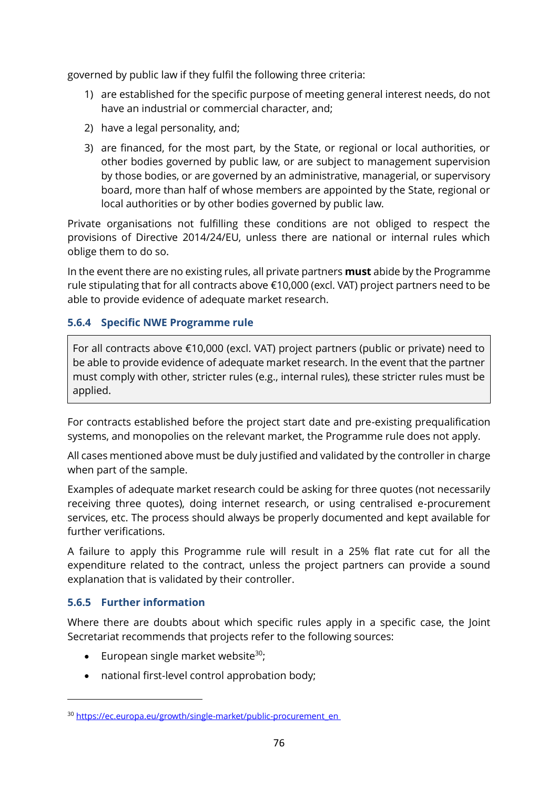governed by public law if they fulfil the following three criteria:

- 1) are established for the specific purpose of meeting general interest needs, do not have an industrial or commercial character, and;
- 2) have a legal personality, and;
- 3) are financed, for the most part, by the State, or regional or local authorities, or other bodies governed by public law, or are subject to management supervision by those bodies, or are governed by an administrative, managerial, or supervisory board, more than half of whose members are appointed by the State, regional or local authorities or by other bodies governed by public law.

Private organisations not fulfilling these conditions are not obliged to respect the provisions of Directive 2014/24/EU, unless there are national or internal rules which oblige them to do so.

In the event there are no existing rules, all private partners **must** abide by the Programme rule stipulating that for all contracts above €10,000 (excl. VAT) project partners need to be able to provide evidence of adequate market research.

#### **5.6.4 Specific NWE Programme rule**

For all contracts above €10,000 (excl. VAT) project partners (public or private) need to be able to provide evidence of adequate market research. In the event that the partner must comply with other, stricter rules (e.g., internal rules), these stricter rules must be applied.

For contracts established before the project start date and pre-existing prequalification systems, and monopolies on the relevant market, the Programme rule does not apply.

All cases mentioned above must be duly justified and validated by the controller in charge when part of the sample.

Examples of adequate market research could be asking for three quotes (not necessarily receiving three quotes), doing internet research, or using centralised e-procurement services, etc. The process should always be properly documented and kept available for further verifications.

A failure to apply this Programme rule will result in a 25% flat rate cut for all the expenditure related to the contract, unless the project partners can provide a sound explanation that is validated by their controller.

#### **5.6.5 Further information**

Where there are doubts about which specific rules apply in a specific case, the Joint Secretariat recommends that projects refer to the following sources:

- European single market website $30$ ;
- national first-level control approbation body;

<sup>30</sup> [https://ec.europa.eu/growth/single-market/public-procurement\\_en](https://ec.europa.eu/growth/single-market/public-procurement_en)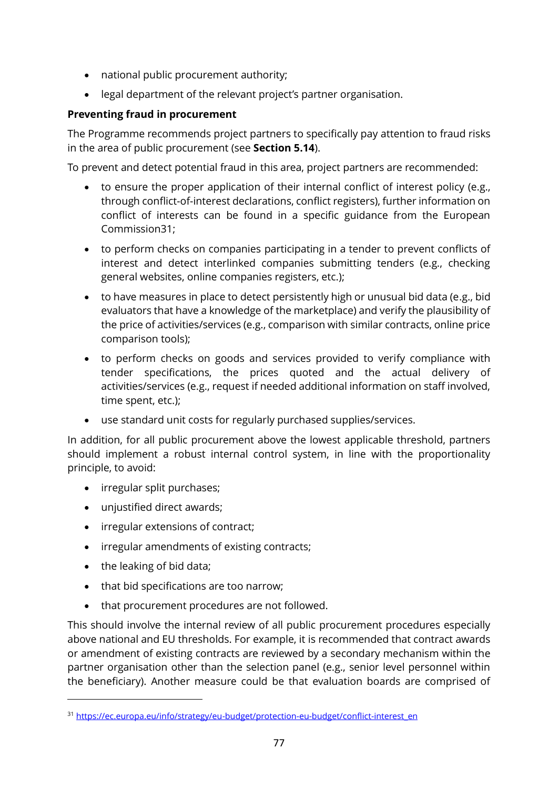- national public procurement authority;
- legal department of the relevant project's partner organisation.

#### **Preventing fraud in procurement**

The Programme recommends project partners to specifically pay attention to fraud risks in the area of public procurement (see **Section [5.14](#page-93-0)**).

To prevent and detect potential fraud in this area, project partners are recommended:

- to ensure the proper application of their internal conflict of interest policy (e.g., through conflict-of-interest declarations, conflict registers), further information on conflict of interests can be found in a specific guidance from the European Commission31;
- to perform checks on companies participating in a tender to prevent conflicts of interest and detect interlinked companies submitting tenders (e.g., checking general websites, online companies registers, etc.);
- to have measures in place to detect persistently high or unusual bid data (e.g., bid evaluators that have a knowledge of the marketplace) and verify the plausibility of the price of activities/services (e.g., comparison with similar contracts, online price comparison tools);
- to perform checks on goods and services provided to verify compliance with tender specifications, the prices quoted and the actual delivery of activities/services (e.g., request if needed additional information on staff involved, time spent, etc.);
- use standard unit costs for regularly purchased supplies/services.

In addition, for all public procurement above the lowest applicable threshold, partners should implement a robust internal control system, in line with the proportionality principle, to avoid:

- irregular split purchases;
- unjustified direct awards;
- irregular extensions of contract;
- irregular amendments of existing contracts;
- the leaking of bid data;
- that bid specifications are too narrow;
- that procurement procedures are not followed.

This should involve the internal review of all public procurement procedures especially above national and EU thresholds. For example, it is recommended that contract awards or amendment of existing contracts are reviewed by a secondary mechanism within the partner organisation other than the selection panel (e.g., senior level personnel within the beneficiary). Another measure could be that evaluation boards are comprised of

<sup>31</sup> [https://ec.europa.eu/info/strategy/eu-budget/protection-eu-budget/conflict-interest\\_en](https://ec.europa.eu/info/strategy/eu-budget/protection-eu-budget/conflict-interest_en)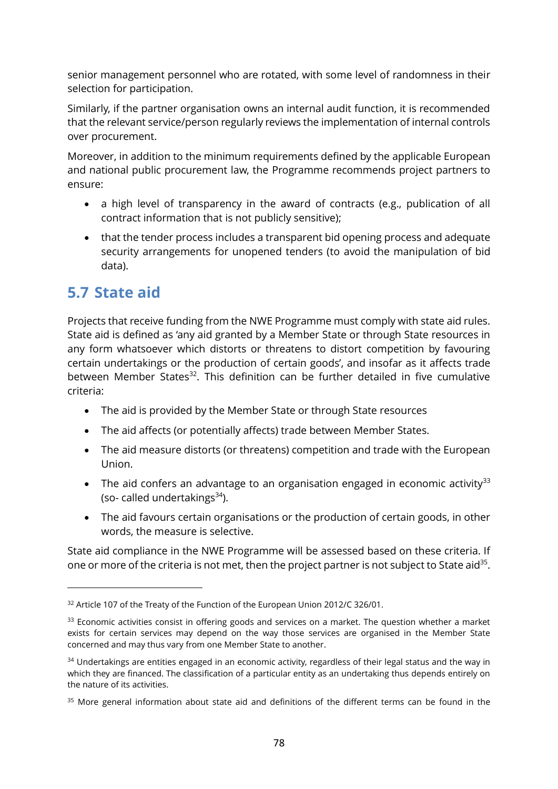senior management personnel who are rotated, with some level of randomness in their selection for participation.

Similarly, if the partner organisation owns an internal audit function, it is recommended that the relevant service/person regularly reviews the implementation of internal controls over procurement.

Moreover, in addition to the minimum requirements defined by the applicable European and national public procurement law, the Programme recommends project partners to ensure:

- a high level of transparency in the award of contracts (e.g., publication of all contract information that is not publicly sensitive);
- that the tender process includes a transparent bid opening process and adequate security arrangements for unopened tenders (to avoid the manipulation of bid data).

### **5.7 State aid**

Projects that receive funding from the NWE Programme must comply with state aid rules. State aid is defined as 'any aid granted by a Member State or through State resources in any form whatsoever which distorts or threatens to distort competition by favouring certain undertakings or the production of certain goods', and insofar as it affects trade between Member States<sup>32</sup>. This definition can be further detailed in five cumulative criteria:

- The aid is provided by the Member State or through State resources
- The aid affects (or potentially affects) trade between Member States.
- The aid measure distorts (or threatens) competition and trade with the European Union.
- The aid confers an advantage to an organisation engaged in economic activity<sup>33</sup> (so- called undertakings $34$ ).
- The aid favours certain organisations or the production of certain goods, in other words, the measure is selective.

State aid compliance in the NWE Programme will be assessed based on these criteria. If one or more of the criteria is not met, then the project partner is not subject to State aid<sup>35</sup>.

<sup>&</sup>lt;sup>32</sup> Article 107 of the Treaty of the Function of the European Union 2012/C 326/01.

<sup>&</sup>lt;sup>33</sup> Economic activities consist in offering goods and services on a market. The question whether a market exists for certain services may depend on the way those services are organised in the Member State concerned and may thus vary from one Member State to another.

<sup>&</sup>lt;sup>34</sup> Undertakings are entities engaged in an economic activity, regardless of their legal status and the way in which they are financed. The classification of a particular entity as an undertaking thus depends entirely on the nature of its activities.

<sup>&</sup>lt;sup>35</sup> More general information about state aid and definitions of the different terms can be found in the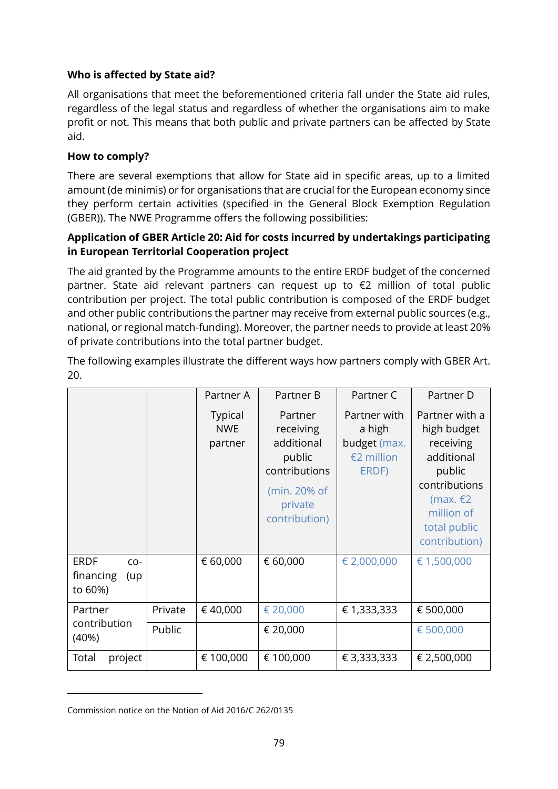#### **Who is affected by State aid?**

All organisations that meet the beforementioned criteria fall under the State aid rules, regardless of the legal status and regardless of whether the organisations aim to make profit or not. This means that both public and private partners can be affected by State aid.

#### **How to comply?**

There are several exemptions that allow for State aid in specific areas, up to a limited amount (de minimis) or for organisations that are crucial for the European economy since they perform certain activities (specified in the General Block Exemption Regulation (GBER)). The NWE Programme offers the following possibilities:

#### **Application of GBER Article 20: Aid for costs incurred by undertakings participating in European Territorial Cooperation project**

The aid granted by the Programme amounts to the entire ERDF budget of the concerned partner. State aid relevant partners can request up to €2 million of total public contribution per project. The total public contribution is composed of the ERDF budget and other public contributions the partner may receive from external public sources (e.g., national, or regional match-funding). Moreover, the partner needs to provide at least 20% of private contributions into the total partner budget.

|                                                     |         | Partner A                               | Partner B                                                                                                 | Partner C                                                     | Partner D                                                                                                                                        |
|-----------------------------------------------------|---------|-----------------------------------------|-----------------------------------------------------------------------------------------------------------|---------------------------------------------------------------|--------------------------------------------------------------------------------------------------------------------------------------------------|
|                                                     |         | <b>Typical</b><br><b>NWE</b><br>partner | Partner<br>receiving<br>additional<br>public<br>contributions<br>(min. 20% of<br>private<br>contribution) | Partner with<br>a high<br>budget (max.<br>€2 million<br>ERDF) | Partner with a<br>high budget<br>receiving<br>additional<br>public<br>contributions<br>(max. $E2$<br>million of<br>total public<br>contribution) |
| <b>ERDF</b><br>$CO-$<br>financing<br>(up<br>to 60%) |         | € 60,000                                | € 60,000                                                                                                  | € 2,000,000                                                   | € 1,500,000                                                                                                                                      |
| Partner<br>contribution<br>(40%)                    | Private | €40,000                                 | € 20,000                                                                                                  | € 1,333,333                                                   | € 500,000                                                                                                                                        |
|                                                     | Public  |                                         | € 20,000                                                                                                  |                                                               | € 500,000                                                                                                                                        |
| Total<br>project                                    |         | € 100,000                               | € 100,000                                                                                                 | € 3,333,333                                                   | € 2,500,000                                                                                                                                      |

The following examples illustrate the different ways how partners comply with GBER Art. 20.

Commission notice on the Notion of Aid 2016/C 262/0135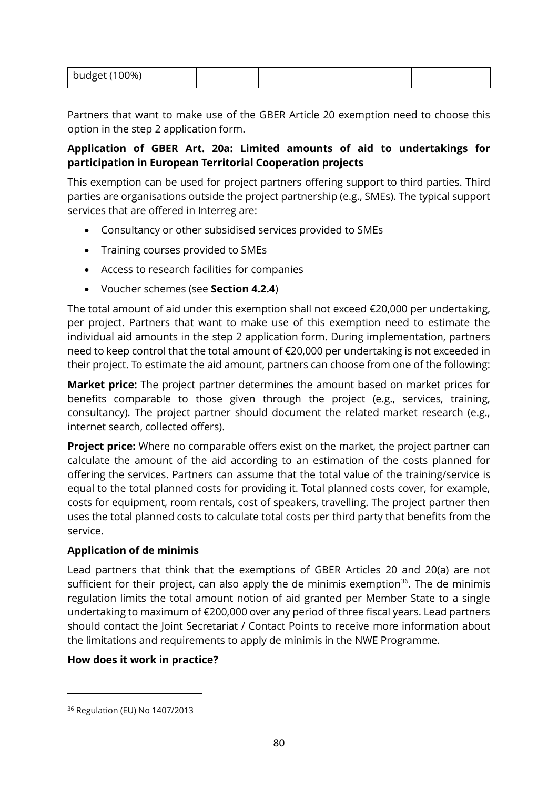| budget (100%) |
|---------------|
|---------------|

Partners that want to make use of the GBER Article 20 exemption need to choose this option in the step 2 application form.

#### **Application of GBER Art. 20a: Limited amounts of aid to undertakings for participation in European Territorial Cooperation projects**

This exemption can be used for project partners offering support to third parties. Third parties are organisations outside the project partnership (e.g., SMEs). The typical support services that are offered in Interreg are:

- Consultancy or other subsidised services provided to SMEs
- Training courses provided to SMEs
- Access to research facilities for companies
- Voucher schemes (see **Section [4.2.4](#page-43-0)**)

The total amount of aid under this exemption shall not exceed €20,000 per undertaking, per project. Partners that want to make use of this exemption need to estimate the individual aid amounts in the step 2 application form. During implementation, partners need to keep control that the total amount of €20,000 per undertaking is not exceeded in their project. To estimate the aid amount, partners can choose from one of the following:

**Market price:** The project partner determines the amount based on market prices for benefits comparable to those given through the project (e.g., services, training, consultancy). The project partner should document the related market research (e.g., internet search, collected offers).

**Project price:** Where no comparable offers exist on the market, the project partner can calculate the amount of the aid according to an estimation of the costs planned for offering the services. Partners can assume that the total value of the training/service is equal to the total planned costs for providing it. Total planned costs cover, for example, costs for equipment, room rentals, cost of speakers, travelling. The project partner then uses the total planned costs to calculate total costs per third party that benefits from the service.

#### **Application of de minimis**

Lead partners that think that the exemptions of GBER Articles 20 and 20(a) are not sufficient for their project, can also apply the de minimis exemption $36$ . The de minimis regulation limits the total amount notion of aid granted per Member State to a single undertaking to maximum of €200,000 over any period of three fiscal years. Lead partners should contact the Joint Secretariat / Contact Points to receive more information about the limitations and requirements to apply de minimis in the NWE Programme.

#### **How does it work in practice?**

<sup>36</sup> Regulation (EU) No 1407/2013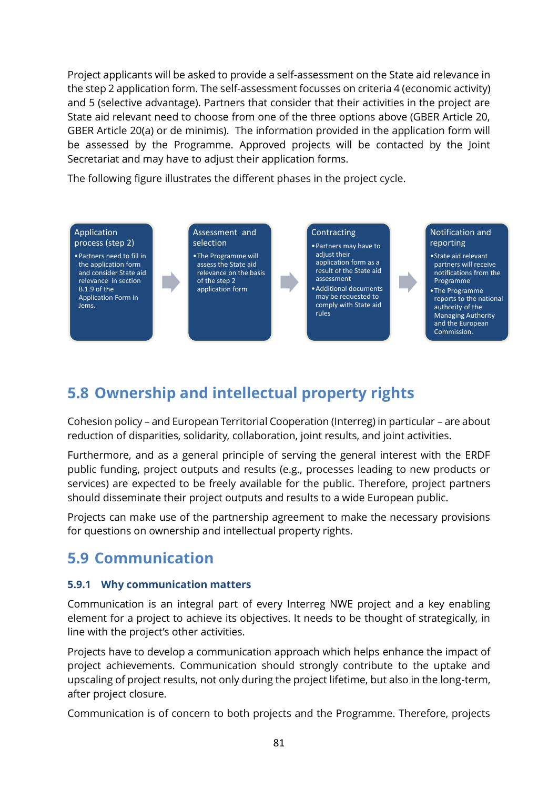Project applicants will be asked to provide a self-assessment on the State aid relevance in the step 2 application form. The self-assessment focusses on criteria 4 (economic activity) and 5 (selective advantage). Partners that consider that their activities in the project are State aid relevant need to choose from one of the three options above (GBER Article 20, GBER Article 20(a) or de minimis). The information provided in the application form will be assessed by the Programme. Approved projects will be contacted by the Joint Secretariat and may have to adjust their application forms.

The following figure illustrates the different phases in the project cycle.



### **5.8 Ownership and intellectual property rights**

Cohesion policy – and European Territorial Cooperation (Interreg) in particular – are about reduction of disparities, solidarity, collaboration, joint results, and joint activities.

Furthermore, and as a general principle of serving the general interest with the ERDF public funding, project outputs and results (e.g., processes leading to new products or services) are expected to be freely available for the public. Therefore, project partners should disseminate their project outputs and results to a wide European public.

Projects can make use of the partnership agreement to make the necessary provisions for questions on ownership and intellectual property rights.

### **5.9 Communication**

#### **5.9.1 Why communication matters**

Communication is an integral part of every Interreg NWE project and a key enabling element for a project to achieve its objectives. It needs to be thought of strategically, in line with the project's other activities.

Projects have to develop a communication approach which helps enhance the impact of project achievements. Communication should strongly contribute to the uptake and upscaling of project results, not only during the project lifetime, but also in the long-term, after project closure.

Communication is of concern to both projects and the Programme. Therefore, projects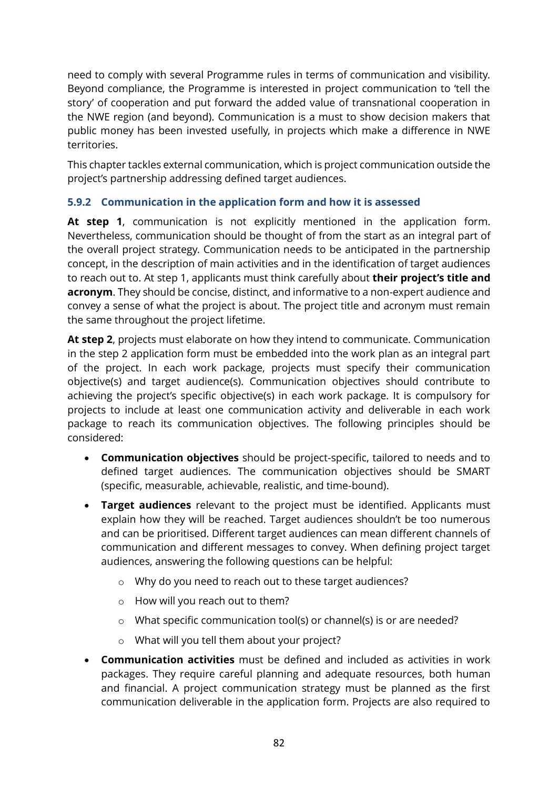need to comply with several Programme rules in terms of communication and visibility. Beyond compliance, the Programme is interested in project communication to 'tell the story' of cooperation and put forward the added value of transnational cooperation in the NWE region (and beyond). Communication is a must to show decision makers that public money has been invested usefully, in projects which make a difference in NWE territories.

This chapter tackles external communication, which is project communication outside the project's partnership addressing defined target audiences.

#### **5.9.2 Communication in the application form and how it is assessed**

**At step 1**, communication is not explicitly mentioned in the application form. Nevertheless, communication should be thought of from the start as an integral part of the overall project strategy. Communication needs to be anticipated in the partnership concept, in the description of main activities and in the identification of target audiences to reach out to. At step 1, applicants must think carefully about **their project's title and acronym**. They should be concise, distinct, and informative to a non-expert audience and convey a sense of what the project is about. The project title and acronym must remain the same throughout the project lifetime.

**At step 2**, projects must elaborate on how they intend to communicate. Communication in the step 2 application form must be embedded into the work plan as an integral part of the project. In each work package, projects must specify their communication objective(s) and target audience(s). Communication objectives should contribute to achieving the project's specific objective(s) in each work package. It is compulsory for projects to include at least one communication activity and deliverable in each work package to reach its communication objectives. The following principles should be considered:

- **Communication objectives** should be project-specific, tailored to needs and to defined target audiences. The communication objectives should be SMART (specific, measurable, achievable, realistic, and time-bound).
- **Target audiences** relevant to the project must be identified. Applicants must explain how they will be reached. Target audiences shouldn't be too numerous and can be prioritised. Different target audiences can mean different channels of communication and different messages to convey. When defining project target audiences, answering the following questions can be helpful:
	- o Why do you need to reach out to these target audiences?
	- o How will you reach out to them?
	- o What specific communication tool(s) or channel(s) is or are needed?
	- o What will you tell them about your project?
- **Communication activities** must be defined and included as activities in work packages. They require careful planning and adequate resources, both human and financial. A project communication strategy must be planned as the first communication deliverable in the application form. Projects are also required to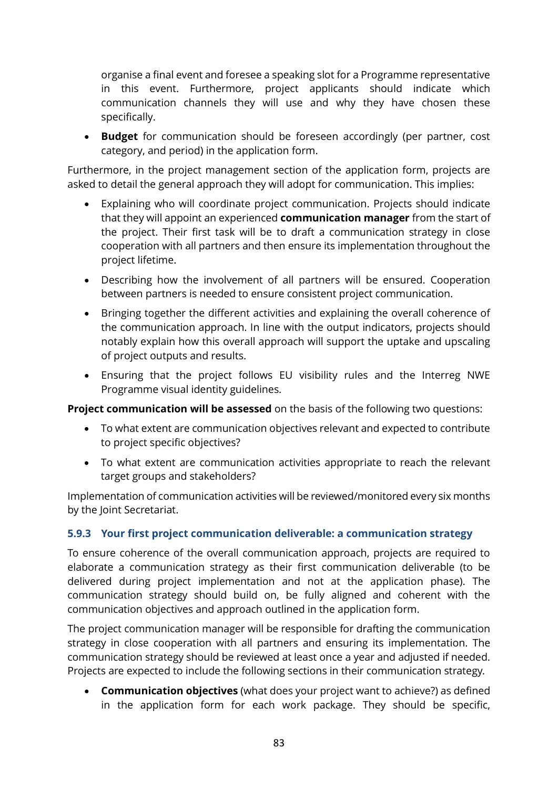organise a final event and foresee a speaking slot for a Programme representative in this event. Furthermore, project applicants should indicate which communication channels they will use and why they have chosen these specifically.

• **Budget** for communication should be foreseen accordingly (per partner, cost category, and period) in the application form.

Furthermore, in the project management section of the application form, projects are asked to detail the general approach they will adopt for communication. This implies:

- Explaining who will coordinate project communication. Projects should indicate that they will appoint an experienced **communication manager** from the start of the project. Their first task will be to draft a communication strategy in close cooperation with all partners and then ensure its implementation throughout the project lifetime.
- Describing how the involvement of all partners will be ensured. Cooperation between partners is needed to ensure consistent project communication.
- Bringing together the different activities and explaining the overall coherence of the communication approach. In line with the output indicators, projects should notably explain how this overall approach will support the uptake and upscaling of project outputs and results.
- Ensuring that the project follows EU visibility rules and the Interreg NWE Programme visual identity guidelines.

**Project communication will be assessed** on the basis of the following two questions:

- To what extent are communication objectives relevant and expected to contribute to project specific objectives?
- To what extent are communication activities appropriate to reach the relevant target groups and stakeholders?

Implementation of communication activities will be reviewed/monitored every six months by the Joint Secretariat.

#### **5.9.3 Your first project communication deliverable: a communication strategy**

To ensure coherence of the overall communication approach, projects are required to elaborate a communication strategy as their first communication deliverable (to be delivered during project implementation and not at the application phase). The communication strategy should build on, be fully aligned and coherent with the communication objectives and approach outlined in the application form.

The project communication manager will be responsible for drafting the communication strategy in close cooperation with all partners and ensuring its implementation. The communication strategy should be reviewed at least once a year and adjusted if needed. Projects are expected to include the following sections in their communication strategy.

• **Communication objectives** (what does your project want to achieve?) as defined in the application form for each work package. They should be specific,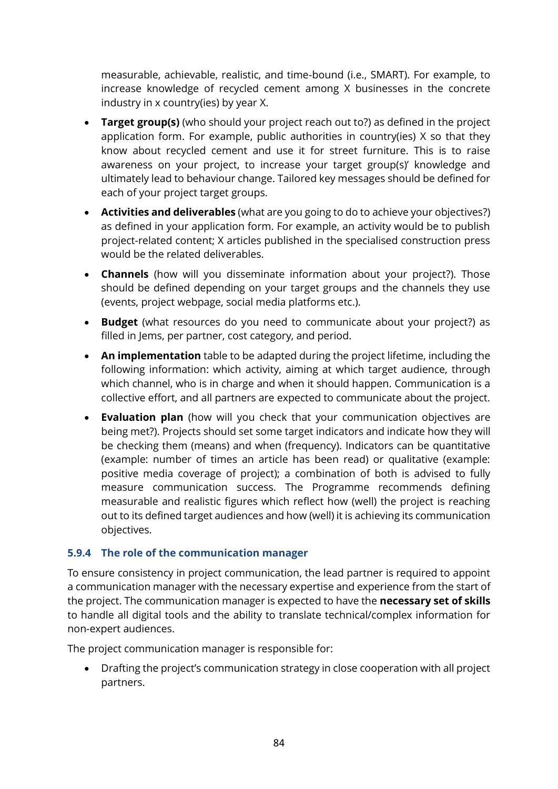measurable, achievable, realistic, and time-bound (i.e., SMART). For example, to increase knowledge of recycled cement among X businesses in the concrete industry in x country(ies) by year X.

- **Target group(s)** (who should your project reach out to?) as defined in the project application form. For example, public authorities in country(ies) X so that they know about recycled cement and use it for street furniture. This is to raise awareness on your project, to increase your target group(s)' knowledge and ultimately lead to behaviour change. Tailored key messages should be defined for each of your project target groups.
- **Activities and deliverables** (what are you going to do to achieve your objectives?) as defined in your application form. For example, an activity would be to publish project-related content; X articles published in the specialised construction press would be the related deliverables.
- **Channels** (how will you disseminate information about your project?). Those should be defined depending on your target groups and the channels they use (events, project webpage, social media platforms etc.).
- **Budget** (what resources do you need to communicate about your project?) as filled in Jems, per partner, cost category, and period.
- **An implementation** table to be adapted during the project lifetime, including the following information: which activity, aiming at which target audience, through which channel, who is in charge and when it should happen. Communication is a collective effort, and all partners are expected to communicate about the project.
- **Evaluation plan** (how will you check that your communication objectives are being met?). Projects should set some target indicators and indicate how they will be checking them (means) and when (frequency). Indicators can be quantitative (example: number of times an article has been read) or qualitative (example: positive media coverage of project); a combination of both is advised to fully measure communication success. The Programme recommends defining measurable and realistic figures which reflect how (well) the project is reaching out to its defined target audiences and how (well) it is achieving its communication objectives.

#### **5.9.4 The role of the communication manager**

To ensure consistency in project communication, the lead partner is required to appoint a communication manager with the necessary expertise and experience from the start of the project. The communication manager is expected to have the **necessary set of skills** to handle all digital tools and the ability to translate technical/complex information for non-expert audiences.

The project communication manager is responsible for:

• Drafting the project's communication strategy in close cooperation with all project partners.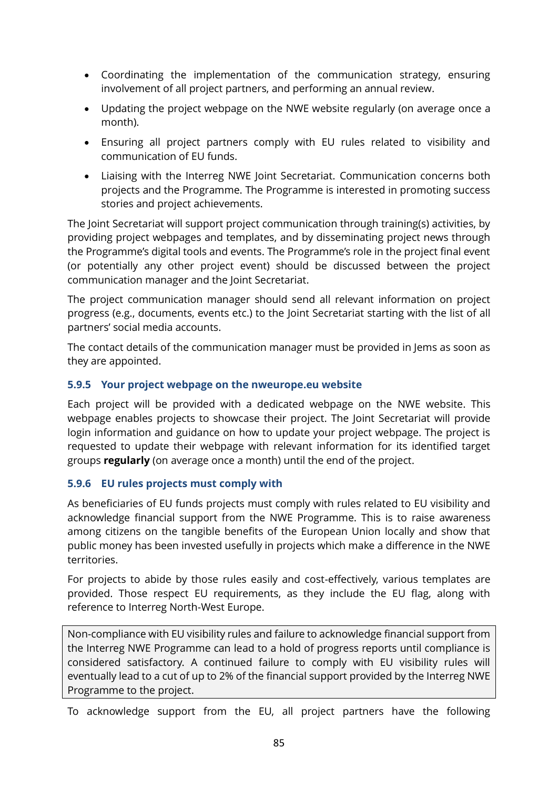- Coordinating the implementation of the communication strategy, ensuring involvement of all project partners, and performing an annual review.
- Updating the project webpage on the NWE website regularly (on average once a month).
- Ensuring all project partners comply with EU rules related to visibility and communication of EU funds.
- Liaising with the Interreg NWE Joint Secretariat. Communication concerns both projects and the Programme. The Programme is interested in promoting success stories and project achievements.

The Joint Secretariat will support project communication through training(s) activities, by providing project webpages and templates, and by disseminating project news through the Programme's digital tools and events. The Programme's role in the project final event (or potentially any other project event) should be discussed between the project communication manager and the Joint Secretariat.

The project communication manager should send all relevant information on project progress (e.g., documents, events etc.) to the Joint Secretariat starting with the list of all partners' social media accounts.

The contact details of the communication manager must be provided in Jems as soon as they are appointed.

#### **5.9.5 Your project webpage on the nweurope.eu website**

Each project will be provided with a dedicated webpage on the NWE website. This webpage enables projects to showcase their project. The Joint Secretariat will provide login information and guidance on how to update your project webpage. The project is requested to update their webpage with relevant information for its identified target groups **regularly** (on average once a month) until the end of the project.

#### **5.9.6 EU rules projects must comply with**

As beneficiaries of EU funds projects must comply with rules related to EU visibility and acknowledge financial support from the NWE Programme. This is to raise awareness among citizens on the tangible benefits of the European Union locally and show that public money has been invested usefully in projects which make a difference in the NWE territories.

For projects to abide by those rules easily and cost-effectively, various templates are provided. Those respect EU requirements, as they include the EU flag, along with reference to Interreg North-West Europe.

Non-compliance with EU visibility rules and failure to acknowledge financial support from the Interreg NWE Programme can lead to a hold of progress reports until compliance is considered satisfactory. A continued failure to comply with EU visibility rules will eventually lead to a cut of up to 2% of the financial support provided by the Interreg NWE Programme to the project.

To acknowledge support from the EU, all project partners have the following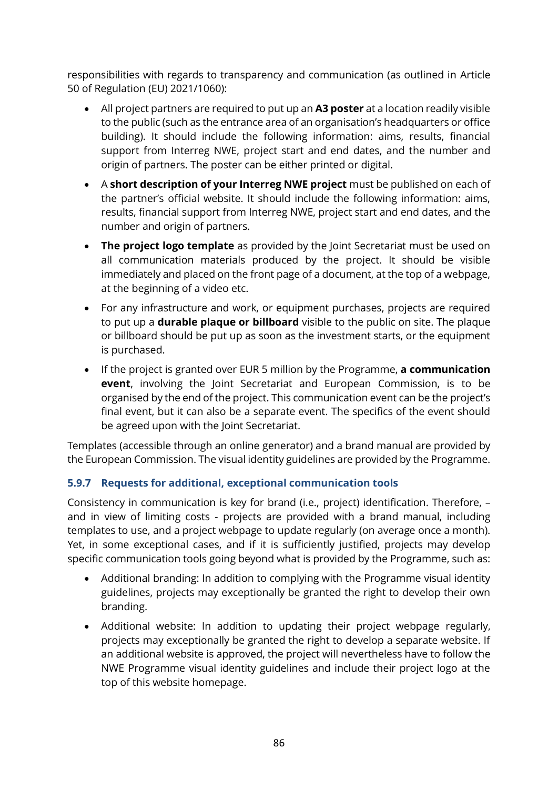responsibilities with regards to transparency and communication (as outlined in Article 50 of Regulation (EU) 2021/1060):

- All project partners are required to put up an **A3 poster** at a location readily visible to the public (such as the entrance area of an organisation's headquarters or office building). It should include the following information: aims, results, financial support from Interreg NWE, project start and end dates, and the number and origin of partners. The poster can be either printed or digital.
- A **short description of your Interreg NWE project** must be published on each of the partner's official website. It should include the following information: aims, results, financial support from Interreg NWE, project start and end dates, and the number and origin of partners.
- **The project logo template** as provided by the Joint Secretariat must be used on all communication materials produced by the project. It should be visible immediately and placed on the front page of a document, at the top of a webpage, at the beginning of a video etc.
- For any infrastructure and work, or equipment purchases, projects are required to put up a **durable plaque or billboard** visible to the public on site. The plaque or billboard should be put up as soon as the investment starts, or the equipment is purchased.
- If the project is granted over EUR 5 million by the Programme, **a communication event**, involving the Joint Secretariat and European Commission, is to be organised by the end of the project. This communication event can be the project's final event, but it can also be a separate event. The specifics of the event should be agreed upon with the Joint Secretariat.

Templates (accessible through an online generator) and a brand manual are provided by the European Commission. The visual identity guidelines are provided by the Programme.

#### **5.9.7 Requests for additional, exceptional communication tools**

Consistency in communication is key for brand (i.e., project) identification. Therefore, – and in view of limiting costs - projects are provided with a brand manual, including templates to use, and a project webpage to update regularly (on average once a month). Yet, in some exceptional cases, and if it is sufficiently justified, projects may develop specific communication tools going beyond what is provided by the Programme, such as:

- Additional branding: In addition to complying with the Programme visual identity guidelines, projects may exceptionally be granted the right to develop their own branding.
- Additional website: In addition to updating their project webpage regularly, projects may exceptionally be granted the right to develop a separate website. If an additional website is approved, the project will nevertheless have to follow the NWE Programme visual identity guidelines and include their project logo at the top of this website homepage.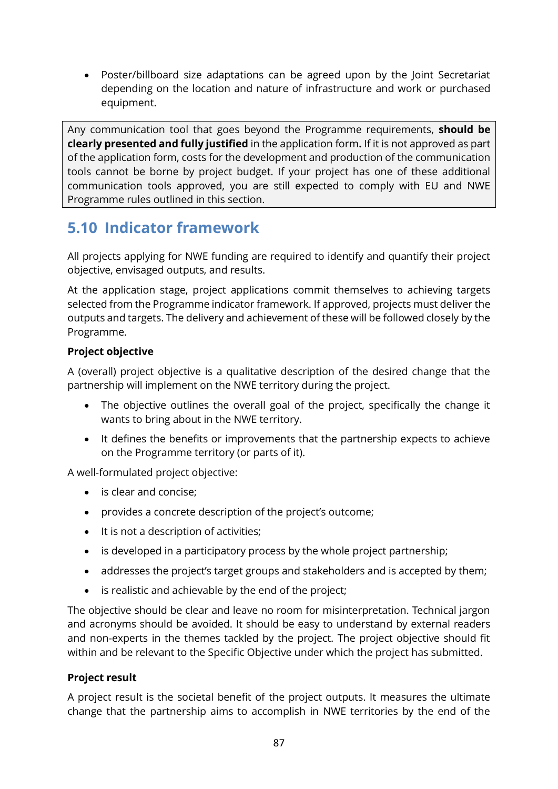• Poster/billboard size adaptations can be agreed upon by the Joint Secretariat depending on the location and nature of infrastructure and work or purchased equipment.

Any communication tool that goes beyond the Programme requirements, **should be clearly presented and fully justified** in the application form**.** If it is not approved as part of the application form, costs for the development and production of the communication tools cannot be borne by project budget. If your project has one of these additional communication tools approved, you are still expected to comply with EU and NWE Programme rules outlined in this section.

### **5.10 Indicator framework**

All projects applying for NWE funding are required to identify and quantify their project objective, envisaged outputs, and results.

At the application stage, project applications commit themselves to achieving targets selected from the Programme indicator framework. If approved, projects must deliver the outputs and targets. The delivery and achievement of these will be followed closely by the Programme.

#### **Project objective**

A (overall) project objective is a qualitative description of the desired change that the partnership will implement on the NWE territory during the project.

- The objective outlines the overall goal of the project, specifically the change it wants to bring about in the NWE territory.
- It defines the benefits or improvements that the partnership expects to achieve on the Programme territory (or parts of it).

A well-formulated project objective:

- is clear and concise;
- provides a concrete description of the project's outcome;
- It is not a description of activities;
- is developed in a participatory process by the whole project partnership;
- addresses the project's target groups and stakeholders and is accepted by them;
- is realistic and achievable by the end of the project;

The objective should be clear and leave no room for misinterpretation. Technical jargon and acronyms should be avoided. It should be easy to understand by external readers and non-experts in the themes tackled by the project. The project objective should fit within and be relevant to the Specific Objective under which the project has submitted.

#### **Project result**

A project result is the societal benefit of the project outputs. It measures the ultimate change that the partnership aims to accomplish in NWE territories by the end of the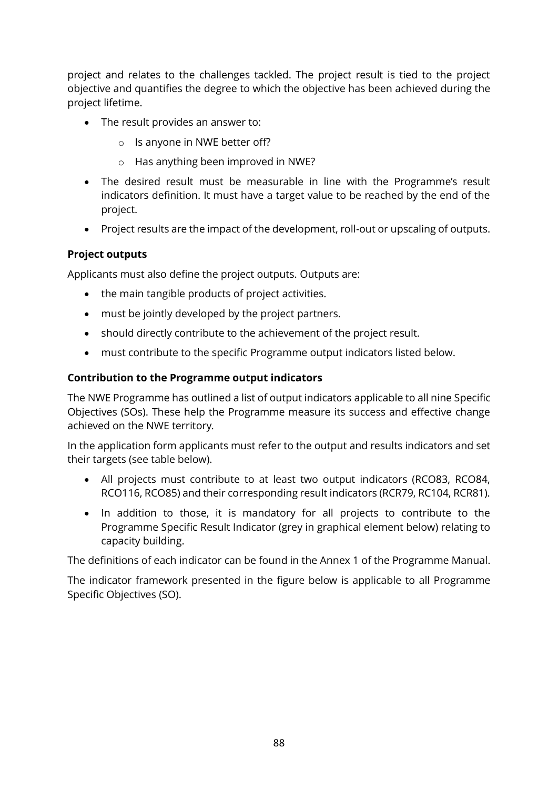project and relates to the challenges tackled. The project result is tied to the project objective and quantifies the degree to which the objective has been achieved during the project lifetime.

- The result provides an answer to:
	- o Is anyone in NWE better off?
	- o Has anything been improved in NWE?
- The desired result must be measurable in line with the Programme's result indicators definition. It must have a target value to be reached by the end of the project.
- Project results are the impact of the development, roll-out or upscaling of outputs.

#### **Project outputs**

Applicants must also define the project outputs. Outputs are:

- the main tangible products of project activities.
- must be jointly developed by the project partners.
- should directly contribute to the achievement of the project result.
- must contribute to the specific Programme output indicators listed below.

#### **Contribution to the Programme output indicators**

The NWE Programme has outlined a list of output indicators applicable to all nine Specific Objectives (SOs). These help the Programme measure its success and effective change achieved on the NWE territory.

In the application form applicants must refer to the output and results indicators and set their targets (see table below).

- All projects must contribute to at least two output indicators (RCO83, RCO84, RCO116, RCO85) and their corresponding result indicators (RCR79, RC104, RCR81).
- In addition to those, it is mandatory for all projects to contribute to the Programme Specific Result Indicator (grey in graphical element below) relating to capacity building.

The definitions of each indicator can be found in the Annex 1 of the Programme Manual.

The indicator framework presented in the figure below is applicable to all Programme Specific Objectives (SO).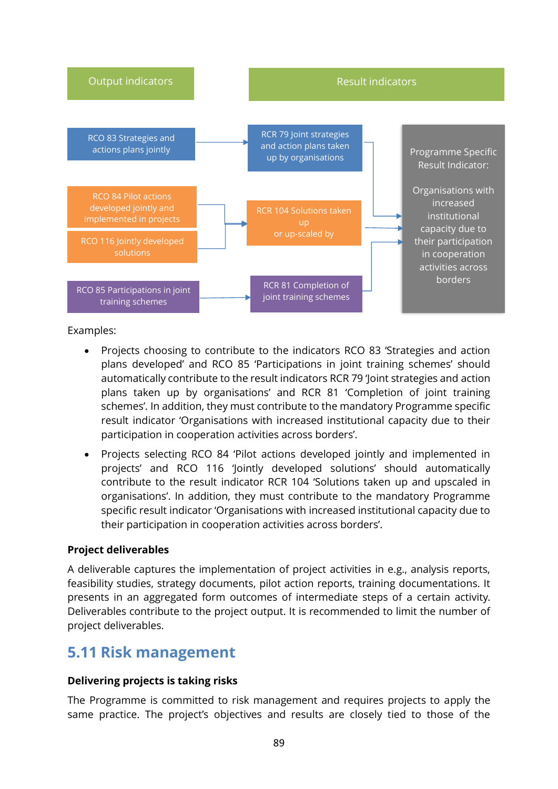

Examples:

- Projects choosing to contribute to the indicators RCO 83 'Strategies and action plans developed' and RCO 85 'Participations in joint training schemes' should automatically contribute to the result indicators RCR 79 'Joint strategies and action plans taken up by organisations' and RCR 81 'Completion of joint training schemes'. In addition, they must contribute to the mandatory Programme specific result indicator 'Organisations with increased institutional capacity due to their participation in cooperation activities across borders'.
- Projects selecting RCO 84 'Pilot actions developed jointly and implemented in projects' and RCO 116 'Jointly developed solutions' should automatically contribute to the result indicator RCR 104 'Solutions taken up and upscaled in organisations'. In addition, they must contribute to the mandatory Programme specific result indicator 'Organisations with increased institutional capacity due to their participation in cooperation activities across borders'.

#### **Project deliverables**

A deliverable captures the implementation of project activities in e.g., analysis reports, feasibility studies, strategy documents, pilot action reports, training documentations. It presents in an aggregated form outcomes of intermediate steps of a certain activity. Deliverables contribute to the project output. It is recommended to limit the number of project deliverables.

### **5.11 Risk management**

#### **Delivering projects is taking risks**

The Programme is committed to risk management and requires projects to apply the same practice. The project's objectives and results are closely tied to those of the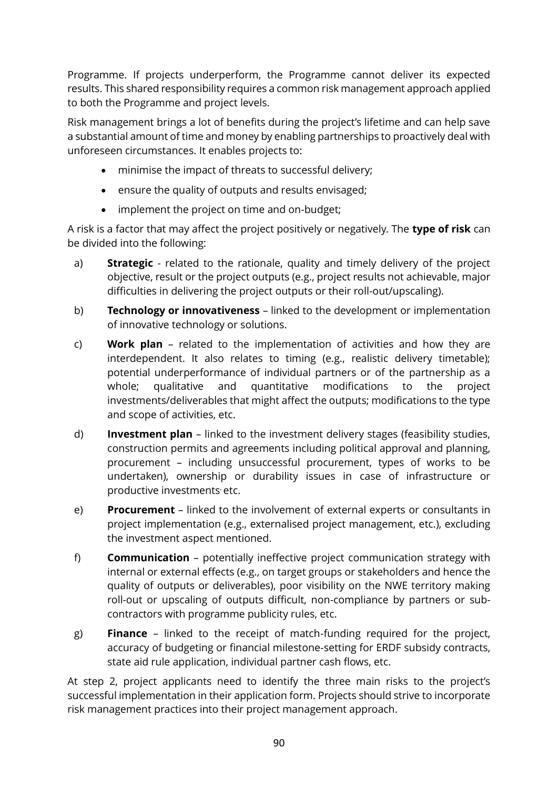Programme. If projects underperform, the Programme cannot deliver its expected results. This shared responsibility requires a common risk management approach applied to both the Programme and project levels.

Risk management brings a lot of benefits during the project's lifetime and can help save a substantial amount of time and money by enabling partnerships to proactively deal with unforeseen circumstances. It enables projects to:

- minimise the impact of threats to successful delivery;
- ensure the quality of outputs and results envisaged;
- implement the project on time and on-budget;

A risk is a factor that may affect the project positively or negatively. The **type of risk** can be divided into the following:

- a) **Strategic** related to the rationale, quality and timely delivery of the project objective, result or the project outputs (e.g., project results not achievable, major difficulties in delivering the project outputs or their roll-out/upscaling).
- b) **Technology or innovativeness** linked to the development or implementation of innovative technology or solutions.
- c) **Work plan** related to the implementation of activities and how they are interdependent. It also relates to timing (e.g., realistic delivery timetable); potential underperformance of individual partners or of the partnership as a whole; qualitative and quantitative modifications to the project investments/deliverables that might affect the outputs; modifications to the type and scope of activities, etc.
- d) **Investment plan** linked to the investment delivery stages (feasibility studies, construction permits and agreements including political approval and planning, procurement – including unsuccessful procurement, types of works to be undertaken), ownership or durability issues in case of infrastructure or productive investments etc.
- e) **Procurement**  linked to the involvement of external experts or consultants in project implementation (e.g., externalised project management, etc.), excluding the investment aspect mentioned.
- f) **Communication** potentially ineffective project communication strategy with internal or external effects (e.g., on target groups or stakeholders and hence the quality of outputs or deliverables), poor visibility on the NWE territory making roll-out or upscaling of outputs difficult, non-compliance by partners or subcontractors with programme publicity rules, etc.
- g) **Finance** linked to the receipt of match-funding required for the project, accuracy of budgeting or financial milestone-setting for ERDF subsidy contracts, state aid rule application, individual partner cash flows, etc.

At step 2, project applicants need to identify the three main risks to the project's successful implementation in their application form. Projects should strive to incorporate risk management practices into their project management approach.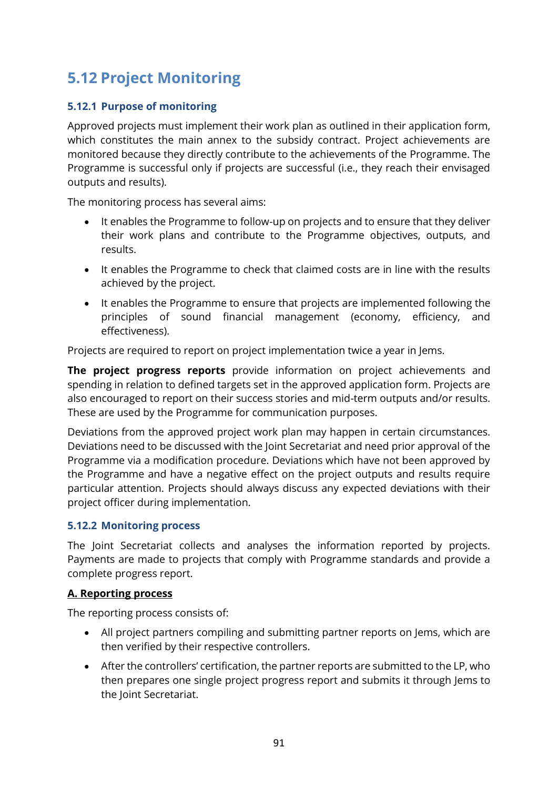### **5.12 Project Monitoring**

#### **5.12.1 Purpose of monitoring**

Approved projects must implement their work plan as outlined in their application form, which constitutes the main annex to the subsidy contract. Project achievements are monitored because they directly contribute to the achievements of the Programme. The Programme is successful only if projects are successful (i.e., they reach their envisaged outputs and results).

The monitoring process has several aims:

- It enables the Programme to follow-up on projects and to ensure that they deliver their work plans and contribute to the Programme objectives, outputs, and results.
- It enables the Programme to check that claimed costs are in line with the results achieved by the project.
- It enables the Programme to ensure that projects are implemented following the principles of sound financial management (economy, efficiency, and effectiveness).

Projects are required to report on project implementation twice a year in Jems.

**The project progress reports** provide information on project achievements and spending in relation to defined targets set in the approved application form. Projects are also encouraged to report on their success stories and mid-term outputs and/or results. These are used by the Programme for communication purposes.

Deviations from the approved project work plan may happen in certain circumstances. Deviations need to be discussed with the Joint Secretariat and need prior approval of the Programme via a modification procedure. Deviations which have not been approved by the Programme and have a negative effect on the project outputs and results require particular attention. Projects should always discuss any expected deviations with their project officer during implementation.

#### **5.12.2 Monitoring process**

The Joint Secretariat collects and analyses the information reported by projects. Payments are made to projects that comply with Programme standards and provide a complete progress report.

#### **A. Reporting process**

The reporting process consists of:

- All project partners compiling and submitting partner reports on Jems, which are then verified by their respective controllers.
- After the controllers' certification, the partner reports are submitted to the LP, who then prepares one single project progress report and submits it through Jems to the Joint Secretariat.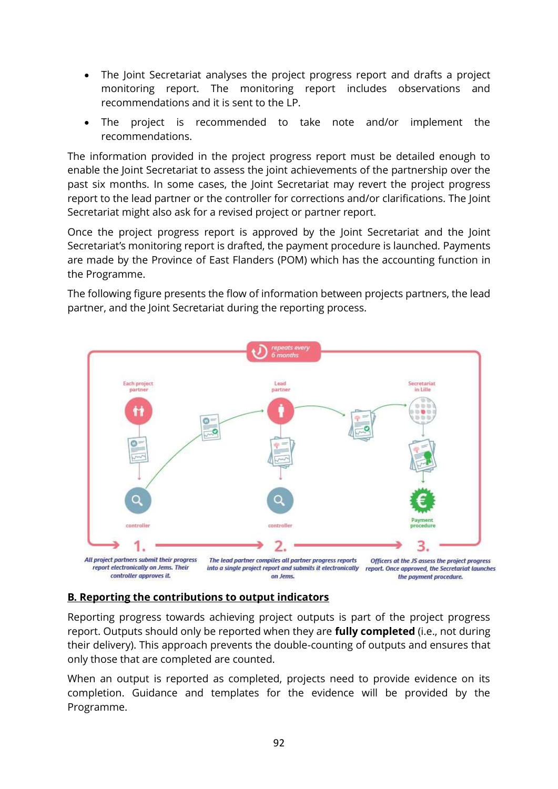- The Joint Secretariat analyses the project progress report and drafts a project monitoring report. The monitoring report includes observations and recommendations and it is sent to the LP.
- The project is recommended to take note and/or implement the recommendations.

The information provided in the project progress report must be detailed enough to enable the Joint Secretariat to assess the joint achievements of the partnership over the past six months. In some cases, the Joint Secretariat may revert the project progress report to the lead partner or the controller for corrections and/or clarifications. The Joint Secretariat might also ask for a revised project or partner report.

Once the project progress report is approved by the Joint Secretariat and the Joint Secretariat's monitoring report is drafted, the payment procedure is launched. Payments are made by the Province of East Flanders (POM) which has the accounting function in the Programme.

The following figure presents the flow of information between projects partners, the lead partner, and the Joint Secretariat during the reporting process.



#### **B. Reporting the contributions to output indicators**

Reporting progress towards achieving project outputs is part of the project progress report. Outputs should only be reported when they are **fully completed** (i.e., not during their delivery). This approach prevents the double-counting of outputs and ensures that only those that are completed are counted.

When an output is reported as completed, projects need to provide evidence on its completion. Guidance and templates for the evidence will be provided by the Programme.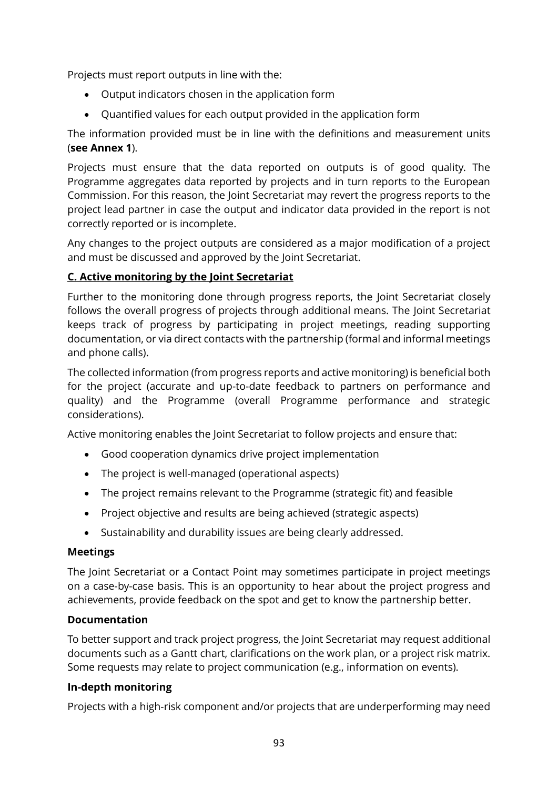Projects must report outputs in line with the:

- Output indicators chosen in the application form
- Quantified values for each output provided in the application form

The information provided must be in line with the definitions and measurement units (**see Annex 1**).

Projects must ensure that the data reported on outputs is of good quality. The Programme aggregates data reported by projects and in turn reports to the European Commission. For this reason, the Joint Secretariat may revert the progress reports to the project lead partner in case the output and indicator data provided in the report is not correctly reported or is incomplete.

Any changes to the project outputs are considered as a major modification of a project and must be discussed and approved by the Joint Secretariat.

#### **C. Active monitoring by the Joint Secretariat**

Further to the monitoring done through progress reports, the Joint Secretariat closely follows the overall progress of projects through additional means. The Joint Secretariat keeps track of progress by participating in project meetings, reading supporting documentation, or via direct contacts with the partnership (formal and informal meetings and phone calls).

The collected information (from progress reports and active monitoring) is beneficial both for the project (accurate and up-to-date feedback to partners on performance and quality) and the Programme (overall Programme performance and strategic considerations).

Active monitoring enables the Joint Secretariat to follow projects and ensure that:

- Good cooperation dynamics drive project implementation
- The project is well-managed (operational aspects)
- The project remains relevant to the Programme (strategic fit) and feasible
- Project objective and results are being achieved (strategic aspects)
- Sustainability and durability issues are being clearly addressed.

#### **Meetings**

The Joint Secretariat or a Contact Point may sometimes participate in project meetings on a case-by-case basis. This is an opportunity to hear about the project progress and achievements, provide feedback on the spot and get to know the partnership better.

#### **Documentation**

To better support and track project progress, the Joint Secretariat may request additional documents such as a Gantt chart, clarifications on the work plan, or a project risk matrix. Some requests may relate to project communication (e.g., information on events).

#### **In-depth monitoring**

Projects with a high-risk component and/or projects that are underperforming may need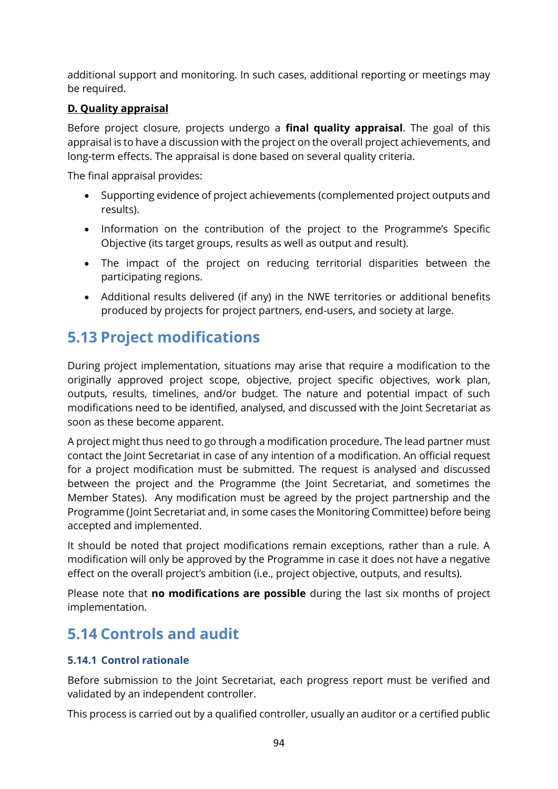additional support and monitoring. In such cases, additional reporting or meetings may be required.

#### **D. Quality appraisal**

Before project closure, projects undergo a **final quality appraisal**. The goal of this appraisal is to have a discussion with the project on the overall project achievements, and long-term effects. The appraisal is done based on several quality criteria.

The final appraisal provides:

- Supporting evidence of project achievements (complemented project outputs and results).
- Information on the contribution of the project to the Programme's Specific Objective (its target groups, results as well as output and result).
- The impact of the project on reducing territorial disparities between the participating regions.
- Additional results delivered (if any) in the NWE territories or additional benefits produced by projects for project partners, end-users, and society at large.

### **5.13 Project modifications**

During project implementation, situations may arise that require a modification to the originally approved project scope, objective, project specific objectives, work plan, outputs, results, timelines, and/or budget. The nature and potential impact of such modifications need to be identified, analysed, and discussed with the Joint Secretariat as soon as these become apparent.

A project might thus need to go through a modification procedure. The lead partner must contact the Joint Secretariat in case of any intention of a modification. An official request for a project modification must be submitted. The request is analysed and discussed between the project and the Programme (the Joint Secretariat, and sometimes the Member States). Any modification must be agreed by the project partnership and the Programme (Joint Secretariat and, in some cases the Monitoring Committee) before being accepted and implemented.

It should be noted that project modifications remain exceptions, rather than a rule. A modification will only be approved by the Programme in case it does not have a negative effect on the overall project's ambition (i.e., project objective, outputs, and results).

Please note that **no modifications are possible** during the last six months of project implementation.

### <span id="page-93-0"></span>**5.14 Controls and audit**

#### **5.14.1 Control rationale**

Before submission to the Joint Secretariat, each progress report must be verified and validated by an independent controller.

This process is carried out by a qualified controller, usually an auditor or a certified public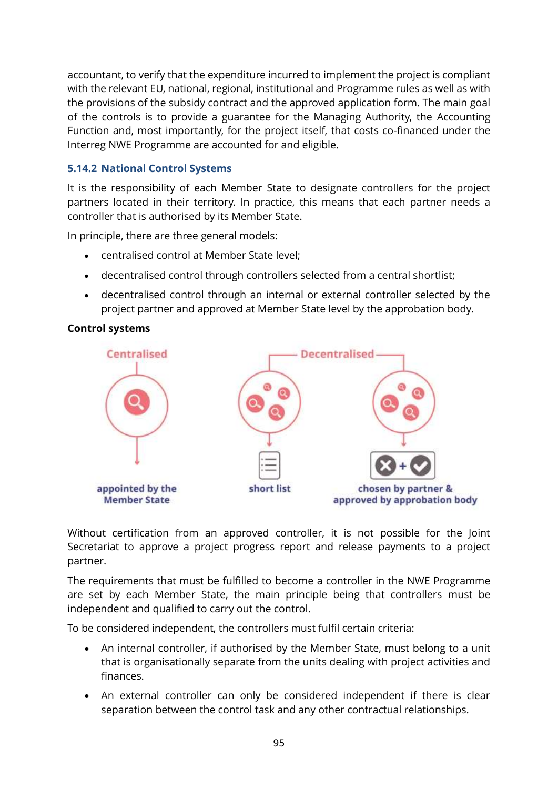accountant, to verify that the expenditure incurred to implement the project is compliant with the relevant EU, national, regional, institutional and Programme rules as well as with the provisions of the subsidy contract and the approved application form. The main goal of the controls is to provide a guarantee for the Managing Authority, the Accounting Function and, most importantly, for the project itself, that costs co-financed under the Interreg NWE Programme are accounted for and eligible.

#### **5.14.2 National Control Systems**

It is the responsibility of each Member State to designate controllers for the project partners located in their territory. In practice, this means that each partner needs a controller that is authorised by its Member State.

In principle, there are three general models:

- centralised control at Member State level;
- decentralised control through controllers selected from a central shortlist;
- decentralised control through an internal or external controller selected by the project partner and approved at Member State level by the approbation body.

#### **Control systems**



Without certification from an approved controller, it is not possible for the Joint Secretariat to approve a project progress report and release payments to a project partner.

The requirements that must be fulfilled to become a controller in the NWE Programme are set by each Member State, the main principle being that controllers must be independent and qualified to carry out the control.

To be considered independent, the controllers must fulfil certain criteria:

- An internal controller, if authorised by the Member State, must belong to a unit that is organisationally separate from the units dealing with project activities and finances.
- An external controller can only be considered independent if there is clear separation between the control task and any other contractual relationships.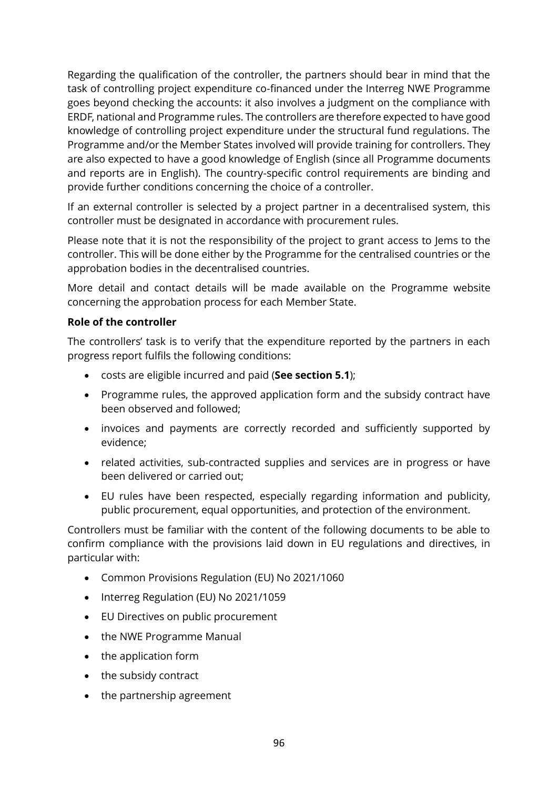Regarding the qualification of the controller, the partners should bear in mind that the task of controlling project expenditure co-financed under the Interreg NWE Programme goes beyond checking the accounts: it also involves a judgment on the compliance with ERDF, national and Programme rules. The controllers are therefore expected to have good knowledge of controlling project expenditure under the structural fund regulations. The Programme and/or the Member States involved will provide training for controllers. They are also expected to have a good knowledge of English (since all Programme documents and reports are in English). The country-specific control requirements are binding and provide further conditions concerning the choice of a controller.

If an external controller is selected by a project partner in a decentralised system, this controller must be designated in accordance with procurement rules.

Please note that it is not the responsibility of the project to grant access to Jems to the controller. This will be done either by the Programme for the centralised countries or the approbation bodies in the decentralised countries.

More detail and contact details will be made available on the [Programme website](http://www.nweurope.eu/help-support/first-level-control/) concerning the approbation process for each Member State.

#### **Role of the controller**

The controllers' task is to verify that the expenditure reported by the partners in each progress report fulfils the following conditions:

- costs are eligible incurred and paid (**See section [5.1](#page-55-0)**);
- Programme rules, the approved application form and the subsidy contract have been observed and followed;
- invoices and payments are correctly recorded and sufficiently supported by evidence;
- related activities, sub-contracted supplies and services are in progress or have been delivered or carried out;
- EU rules have been respected, especially regarding information and publicity, public procurement, equal opportunities, and protection of the environment.

Controllers must be familiar with the content of the following documents to be able to confirm compliance with the provisions laid down in EU regulations and directives, in particular with:

- Common Provisions Regulation (EU) No 2021/1060
- Interreg Regulation (EU) No 2021/1059
- EU Directives on public procurement
- the NWE Programme Manual
- the application form
- the subsidy contract
- the partnership agreement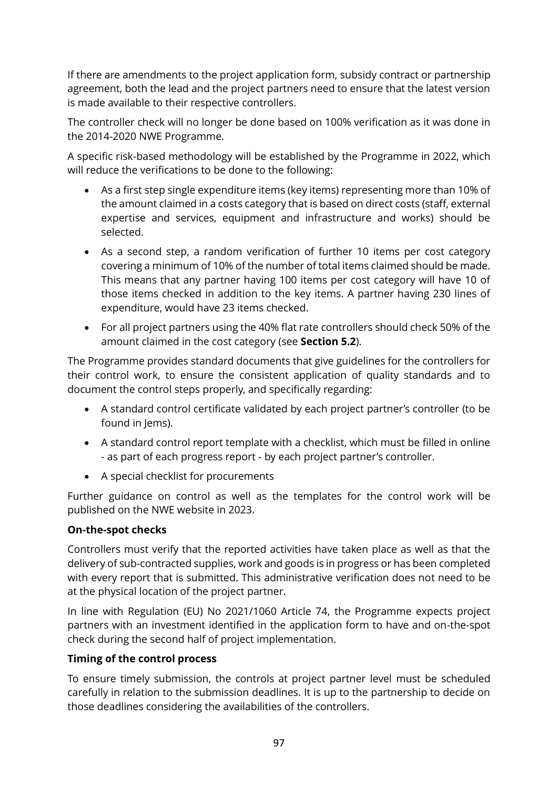If there are amendments to the project application form, subsidy contract or partnership agreement, both the lead and the project partners need to ensure that the latest version is made available to their respective controllers.

The controller check will no longer be done based on 100% verification as it was done in the 2014-2020 NWE Programme.

A specific risk-based methodology will be established by the Programme in 2022, which will reduce the verifications to be done to the following:

- As a first step single expenditure items (key items) representing more than 10% of the amount claimed in a costs category that is based on direct costs (staff, external expertise and services, equipment and infrastructure and works) should be selected.
- As a second step, a random verification of further 10 items per cost category covering a minimum of 10% of the number of total items claimed should be made. This means that any partner having 100 items per cost category will have 10 of those items checked in addition to the key items. A partner having 230 lines of expenditure, would have 23 items checked.
- For all project partners using the 40% flat rate controllers should check 50% of the amount claimed in the cost category (see **Section [5.2](#page-55-1)**).

The Programme provides standard documents that give guidelines for the controllers for their control work, to ensure the consistent application of quality standards and to document the control steps properly, and specifically regarding:

- A standard control certificate validated by each project partner's controller (to be found in lems).
- A standard control report template with a checklist, which must be filled in online - as part of each progress report - by each project partner's controller.
- A special checklist for procurements

Further guidance on control as well as the templates for the control work will be published on the NWE website in 2023.

#### **On-the-spot checks**

Controllers must verify that the reported activities have taken place as well as that the delivery of sub-contracted supplies, work and goods is in progress or has been completed with every report that is submitted. This administrative verification does not need to be at the physical location of the project partner.

In line with Regulation (EU) No 2021/1060 Article 74, the Programme expects project partners with an investment identified in the application form to have and on-the-spot check during the second half of project implementation.

#### **Timing of the control process**

To ensure timely submission, the controls at project partner level must be scheduled carefully in relation to the submission deadlines. It is up to the partnership to decide on those deadlines considering the availabilities of the controllers.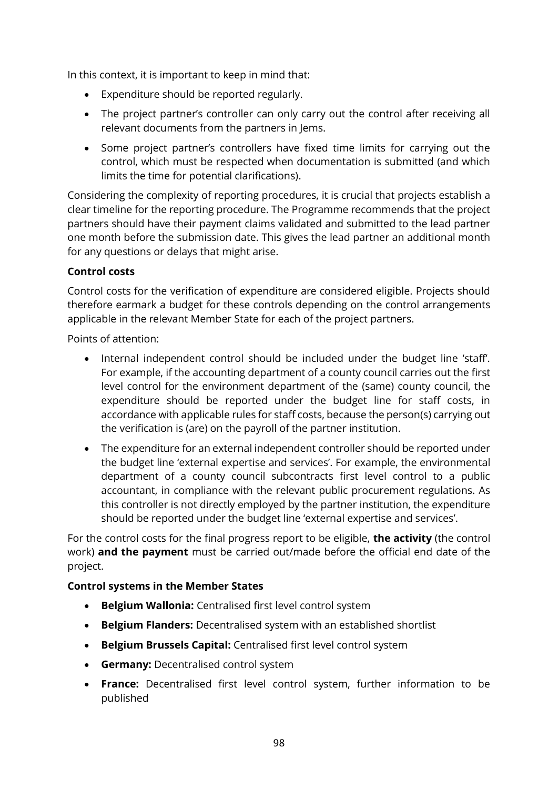In this context, it is important to keep in mind that:

- Expenditure should be reported regularly.
- The project partner's controller can only carry out the control after receiving all relevant documents from the partners in Jems.
- Some project partner's controllers have fixed time limits for carrying out the control, which must be respected when documentation is submitted (and which limits the time for potential clarifications).

Considering the complexity of reporting procedures, it is crucial that projects establish a clear timeline for the reporting procedure. The Programme recommends that the project partners should have their payment claims validated and submitted to the lead partner one month before the submission date. This gives the lead partner an additional month for any questions or delays that might arise.

#### **Control costs**

Control costs for the verification of expenditure are considered eligible. Projects should therefore earmark a budget for these controls depending on the control arrangements applicable in the relevant Member State for each of the project partners.

Points of attention:

- Internal independent control should be included under the budget line 'staff'. For example, if the accounting department of a county council carries out the first level control for the environment department of the (same) county council, the expenditure should be reported under the budget line for staff costs, in accordance with applicable rules for staff costs, because the person(s) carrying out the verification is (are) on the payroll of the partner institution.
- The expenditure for an external independent controller should be reported under the budget line 'external expertise and services'. For example, the environmental department of a county council subcontracts first level control to a public accountant, in compliance with the relevant public procurement regulations. As this controller is not directly employed by the partner institution, the expenditure should be reported under the budget line 'external expertise and services'.

For the control costs for the final progress report to be eligible, **the activity** (the control work) **and the payment** must be carried out/made before the official end date of the project.

#### **Control systems in the Member States**

- **Belgium Wallonia:** Centralised first level control system
- **Belgium Flanders:** Decentralised system with an established shortlist
- **Belgium Brussels Capital:** Centralised first level control system
- **Germany:** Decentralised control system
- **France:** Decentralised first level control system, further information to be published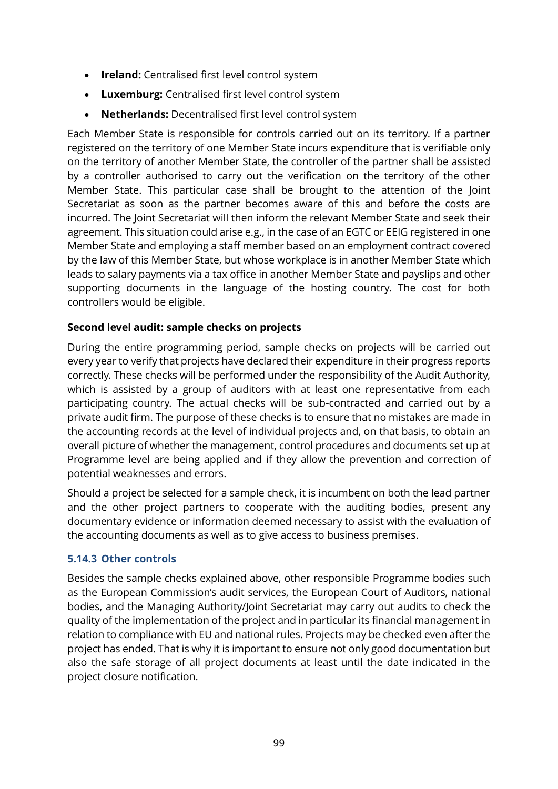- **Ireland:** Centralised first level control system
- **Luxemburg:** Centralised first level control system
- **Netherlands:** Decentralised first level control system

Each Member State is responsible for controls carried out on its territory. If a partner registered on the territory of one Member State incurs expenditure that is verifiable only on the territory of another Member State, the controller of the partner shall be assisted by a controller authorised to carry out the verification on the territory of the other Member State. This particular case shall be brought to the attention of the Joint Secretariat as soon as the partner becomes aware of this and before the costs are incurred. The Joint Secretariat will then inform the relevant Member State and seek their agreement. This situation could arise e.g., in the case of an EGTC or EEIG registered in one Member State and employing a staff member based on an employment contract covered by the law of this Member State, but whose workplace is in another Member State which leads to salary payments via a tax office in another Member State and payslips and other supporting documents in the language of the hosting country. The cost for both controllers would be eligible.

#### **Second level audit: sample checks on projects**

During the entire programming period, sample checks on projects will be carried out every year to verify that projects have declared their expenditure in their progress reports correctly. These checks will be performed under the responsibility of the Audit Authority, which is assisted by a group of auditors with at least one representative from each participating country. The actual checks will be sub-contracted and carried out by a private audit firm. The purpose of these checks is to ensure that no mistakes are made in the accounting records at the level of individual projects and, on that basis, to obtain an overall picture of whether the management, control procedures and documents set up at Programme level are being applied and if they allow the prevention and correction of potential weaknesses and errors.

Should a project be selected for a sample check, it is incumbent on both the lead partner and the other project partners to cooperate with the auditing bodies, present any documentary evidence or information deemed necessary to assist with the evaluation of the accounting documents as well as to give access to business premises.

#### **5.14.3 Other controls**

Besides the sample checks explained above, other responsible Programme bodies such as the European Commission's audit services, the European Court of Auditors, national bodies, and the Managing Authority/Joint Secretariat may carry out audits to check the quality of the implementation of the project and in particular its financial management in relation to compliance with EU and national rules. Projects may be checked even after the project has ended. That is why it is important to ensure not only good documentation but also the safe storage of all project documents at least until the date indicated in the project closure notification.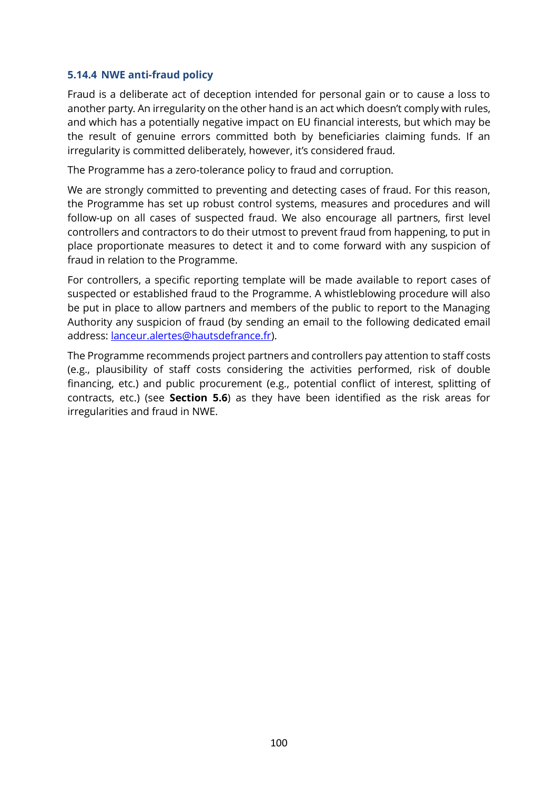#### **5.14.4 NWE anti-fraud policy**

Fraud is a deliberate act of deception intended for personal gain or to cause a loss to another party. An irregularity on the other hand is an act which doesn't comply with rules, and which has a potentially negative impact on EU financial interests, but which may be the result of genuine errors committed both by beneficiaries claiming funds. If an irregularity is committed deliberately, however, it's considered fraud.

The Programme has a zero-tolerance policy to fraud and corruption.

We are strongly committed to preventing and detecting cases of fraud. For this reason, the Programme has set up robust control systems, measures and procedures and will follow-up on all cases of suspected fraud. We also encourage all partners, first level controllers and contractors to do their utmost to prevent fraud from happening, to put in place proportionate measures to detect it and to come forward with any suspicion of fraud in relation to the Programme.

For controllers, a specific reporting template will be made available to report cases of suspected or established fraud to the Programme. A whistleblowing procedure will also be put in place to allow partners and members of the public to report to the Managing Authority any suspicion of fraud (by sending an email to the following dedicated email address: [lanceur.alertes@hautsdefrance.fr\)](mailto:lanceur.alertes@hautsdefrance.fr).

The Programme recommends project partners and controllers pay attention to staff costs (e.g., plausibility of staff costs considering the activities performed, risk of double financing, etc.) and public procurement (e.g., potential conflict of interest, splitting of contracts, etc.) (see **Section [5.6](#page-72-0)**) as they have been identified as the risk areas for irregularities and fraud in NWE.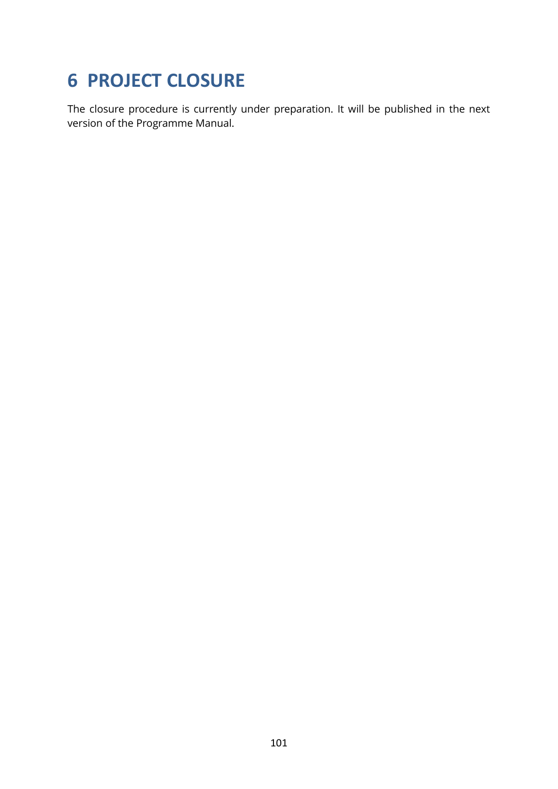## **6 PROJECT CLOSURE**

The closure procedure is currently under preparation. It will be published in the next version of the Programme Manual.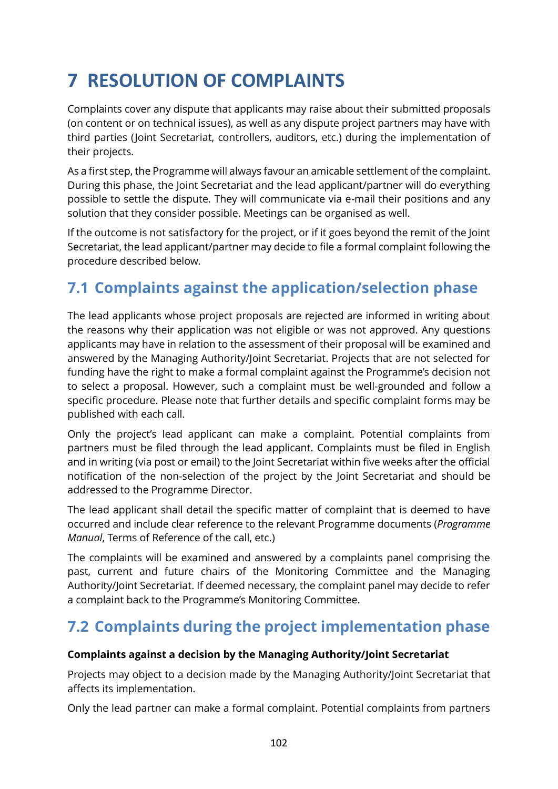# **7 RESOLUTION OF COMPLAINTS**

Complaints cover any dispute that applicants may raise about their submitted proposals (on content or on technical issues), as well as any dispute project partners may have with third parties (Joint Secretariat, controllers, auditors, etc.) during the implementation of their projects.

As a first step, the Programme will always favour an amicable settlement of the complaint. During this phase, the Joint Secretariat and the lead applicant/partner will do everything possible to settle the dispute. They will communicate via e-mail their positions and any solution that they consider possible. Meetings can be organised as well.

If the outcome is not satisfactory for the project, or if it goes beyond the remit of the Joint Secretariat, the lead applicant/partner may decide to file a formal complaint following the procedure described below.

### **7.1 Complaints against the application/selection phase**

The lead applicants whose project proposals are rejected are informed in writing about the reasons why their application was not eligible or was not approved. Any questions applicants may have in relation to the assessment of their proposal will be examined and answered by the Managing Authority/Joint Secretariat. Projects that are not selected for funding have the right to make a formal complaint against the Programme's decision not to select a proposal. However, such a complaint must be well-grounded and follow a specific procedure. Please note that further details and specific complaint forms may be published with each call.

Only the project's lead applicant can make a complaint. Potential complaints from partners must be filed through the lead applicant. Complaints must be filed in English and in writing (via post or email) to the Joint Secretariat within five weeks after the official notification of the non-selection of the project by the Joint Secretariat and should be addressed to the Programme Director.

The lead applicant shall detail the specific matter of complaint that is deemed to have occurred and include clear reference to the relevant Programme documents (*Programme Manual*, Terms of Reference of the call, etc.)

The complaints will be examined and answered by a complaints panel comprising the past, current and future chairs of the Monitoring Committee and the Managing Authority/Joint Secretariat. If deemed necessary, the complaint panel may decide to refer a complaint back to the Programme's Monitoring Committee.

### **7.2 Complaints during the project implementation phase**

#### **Complaints against a decision by the Managing Authority/Joint Secretariat**

Projects may object to a decision made by the Managing Authority/Joint Secretariat that affects its implementation.

Only the lead partner can make a formal complaint. Potential complaints from partners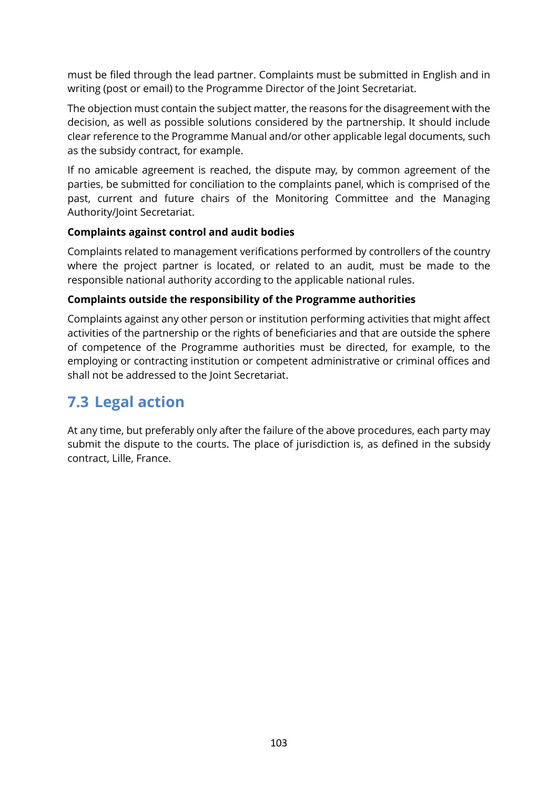must be filed through the lead partner. Complaints must be submitted in English and in writing (post or email) to the Programme Director of the Joint Secretariat.

The objection must contain the subject matter, the reasons for the disagreement with the decision, as well as possible solutions considered by the partnership. It should include clear reference to the Programme Manual and/or other applicable legal documents, such as the subsidy contract, for example.

If no amicable agreement is reached, the dispute may, by common agreement of the parties, be submitted for conciliation to the complaints panel, which is comprised of the past, current and future chairs of the Monitoring Committee and the Managing Authority/Joint Secretariat.

#### **Complaints against control and audit bodies**

Complaints related to management verifications performed by controllers of the country where the project partner is located, or related to an audit, must be made to the responsible national authority according to the applicable national rules.

#### **Complaints outside the responsibility of the Programme authorities**

Complaints against any other person or institution performing activities that might affect activities of the partnership or the rights of beneficiaries and that are outside the sphere of competence of the Programme authorities must be directed, for example, to the employing or contracting institution or competent administrative or criminal offices and shall not be addressed to the Joint Secretariat.

### **7.3 Legal action**

At any time, but preferably only after the failure of the above procedures, each party may submit the dispute to the courts. The place of jurisdiction is, as defined in the subsidy contract, Lille, France.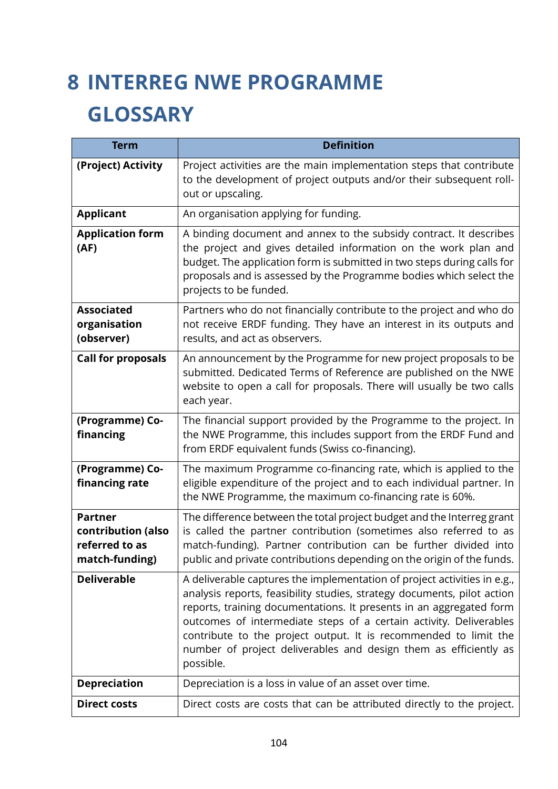# **8 INTERREG NWE PROGRAMME GLOSSARY**

| <b>Term</b>                                                              | <b>Definition</b>                                                                                                                                                                                                                                                                                                                                                                                                                                     |
|--------------------------------------------------------------------------|-------------------------------------------------------------------------------------------------------------------------------------------------------------------------------------------------------------------------------------------------------------------------------------------------------------------------------------------------------------------------------------------------------------------------------------------------------|
| (Project) Activity                                                       | Project activities are the main implementation steps that contribute<br>to the development of project outputs and/or their subsequent roll-<br>out or upscaling.                                                                                                                                                                                                                                                                                      |
| <b>Applicant</b>                                                         | An organisation applying for funding.                                                                                                                                                                                                                                                                                                                                                                                                                 |
| <b>Application form</b><br>(AF)                                          | A binding document and annex to the subsidy contract. It describes<br>the project and gives detailed information on the work plan and<br>budget. The application form is submitted in two steps during calls for<br>proposals and is assessed by the Programme bodies which select the<br>projects to be funded.                                                                                                                                      |
| <b>Associated</b><br>organisation<br>(observer)                          | Partners who do not financially contribute to the project and who do<br>not receive ERDF funding. They have an interest in its outputs and<br>results, and act as observers.                                                                                                                                                                                                                                                                          |
| <b>Call for proposals</b>                                                | An announcement by the Programme for new project proposals to be<br>submitted. Dedicated Terms of Reference are published on the NWE<br>website to open a call for proposals. There will usually be two calls<br>each year.                                                                                                                                                                                                                           |
| (Programme) Co-<br>financing                                             | The financial support provided by the Programme to the project. In<br>the NWE Programme, this includes support from the ERDF Fund and<br>from ERDF equivalent funds (Swiss co-financing).                                                                                                                                                                                                                                                             |
| (Programme) Co-<br>financing rate                                        | The maximum Programme co-financing rate, which is applied to the<br>eligible expenditure of the project and to each individual partner. In<br>the NWE Programme, the maximum co-financing rate is 60%.                                                                                                                                                                                                                                                |
| <b>Partner</b><br>contribution (also<br>referred to as<br>match-funding) | The difference between the total project budget and the Interreg grant<br>is called the partner contribution (sometimes also referred to as<br>match-funding). Partner contribution can be further divided into<br>public and private contributions depending on the origin of the funds.                                                                                                                                                             |
| <b>Deliverable</b>                                                       | A deliverable captures the implementation of project activities in e.g.,<br>analysis reports, feasibility studies, strategy documents, pilot action<br>reports, training documentations. It presents in an aggregated form<br>outcomes of intermediate steps of a certain activity. Deliverables<br>contribute to the project output. It is recommended to limit the<br>number of project deliverables and design them as efficiently as<br>possible. |
| <b>Depreciation</b>                                                      | Depreciation is a loss in value of an asset over time.                                                                                                                                                                                                                                                                                                                                                                                                |
| <b>Direct costs</b>                                                      | Direct costs are costs that can be attributed directly to the project.                                                                                                                                                                                                                                                                                                                                                                                |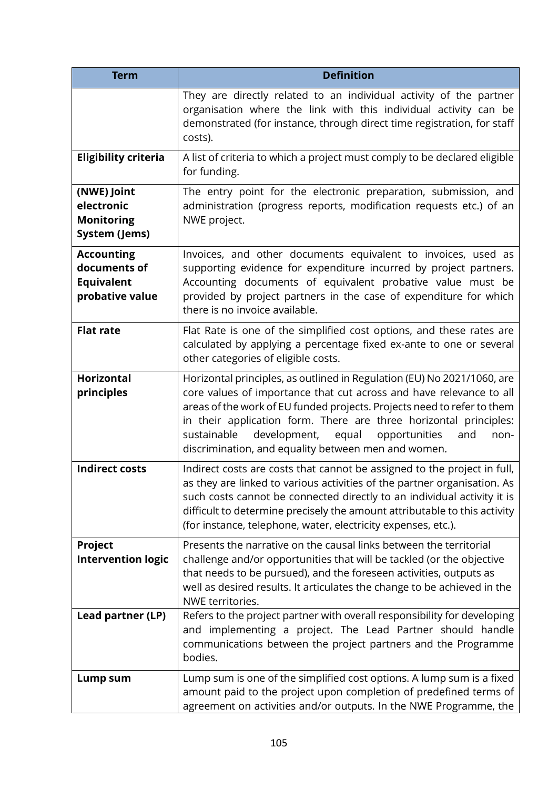| <b>Term</b>                                                               | <b>Definition</b>                                                                                                                                                                                                                                                                                                                                                                                                             |
|---------------------------------------------------------------------------|-------------------------------------------------------------------------------------------------------------------------------------------------------------------------------------------------------------------------------------------------------------------------------------------------------------------------------------------------------------------------------------------------------------------------------|
|                                                                           | They are directly related to an individual activity of the partner<br>organisation where the link with this individual activity can be<br>demonstrated (for instance, through direct time registration, for staff<br>costs).                                                                                                                                                                                                  |
| <b>Eligibility criteria</b>                                               | A list of criteria to which a project must comply to be declared eligible<br>for funding.                                                                                                                                                                                                                                                                                                                                     |
| (NWE) Joint<br>electronic<br><b>Monitoring</b><br>System (Jems)           | The entry point for the electronic preparation, submission, and<br>administration (progress reports, modification requests etc.) of an<br>NWE project.                                                                                                                                                                                                                                                                        |
| <b>Accounting</b><br>documents of<br><b>Equivalent</b><br>probative value | Invoices, and other documents equivalent to invoices, used as<br>supporting evidence for expenditure incurred by project partners.<br>Accounting documents of equivalent probative value must be<br>provided by project partners in the case of expenditure for which<br>there is no invoice available.                                                                                                                       |
| <b>Flat rate</b>                                                          | Flat Rate is one of the simplified cost options, and these rates are<br>calculated by applying a percentage fixed ex-ante to one or several<br>other categories of eligible costs.                                                                                                                                                                                                                                            |
| <b>Horizontal</b><br>principles                                           | Horizontal principles, as outlined in Regulation (EU) No 2021/1060, are<br>core values of importance that cut across and have relevance to all<br>areas of the work of EU funded projects. Projects need to refer to them<br>in their application form. There are three horizontal principles:<br>sustainable<br>development,<br>equal<br>opportunities<br>and<br>non-<br>discrimination, and equality between men and women. |
| <b>Indirect costs</b>                                                     | Indirect costs are costs that cannot be assigned to the project in full,<br>as they are linked to various activities of the partner organisation. As<br>such costs cannot be connected directly to an individual activity it is<br>difficult to determine precisely the amount attributable to this activity<br>(for instance, telephone, water, electricity expenses, etc.).                                                 |
| Project<br><b>Intervention logic</b>                                      | Presents the narrative on the causal links between the territorial<br>challenge and/or opportunities that will be tackled (or the objective<br>that needs to be pursued), and the foreseen activities, outputs as<br>well as desired results. It articulates the change to be achieved in the<br>NWE territories.                                                                                                             |
| Lead partner (LP)                                                         | Refers to the project partner with overall responsibility for developing<br>and implementing a project. The Lead Partner should handle<br>communications between the project partners and the Programme<br>bodies.                                                                                                                                                                                                            |
| Lump sum                                                                  | Lump sum is one of the simplified cost options. A lump sum is a fixed<br>amount paid to the project upon completion of predefined terms of<br>agreement on activities and/or outputs. In the NWE Programme, the                                                                                                                                                                                                               |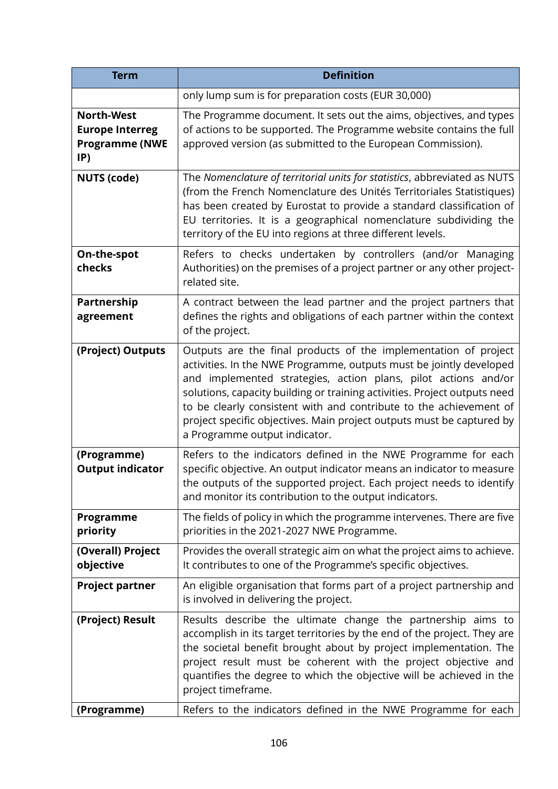| <b>Term</b>                                                                 | <b>Definition</b>                                                                                                                                                                                                                                                                                                                                                                                                                                                     |
|-----------------------------------------------------------------------------|-----------------------------------------------------------------------------------------------------------------------------------------------------------------------------------------------------------------------------------------------------------------------------------------------------------------------------------------------------------------------------------------------------------------------------------------------------------------------|
|                                                                             | only lump sum is for preparation costs (EUR 30,000)                                                                                                                                                                                                                                                                                                                                                                                                                   |
| <b>North-West</b><br><b>Europe Interreg</b><br><b>Programme (NWE</b><br>IP) | The Programme document. It sets out the aims, objectives, and types<br>of actions to be supported. The Programme website contains the full<br>approved version (as submitted to the European Commission).                                                                                                                                                                                                                                                             |
| <b>NUTS (code)</b>                                                          | The Nomenclature of territorial units for statistics, abbreviated as NUTS<br>(from the French Nomenclature des Unités Territoriales Statistiques)<br>has been created by Eurostat to provide a standard classification of<br>EU territories. It is a geographical nomenclature subdividing the<br>territory of the EU into regions at three different levels.                                                                                                         |
| On-the-spot<br>checks                                                       | Refers to checks undertaken by controllers (and/or Managing<br>Authorities) on the premises of a project partner or any other project-<br>related site.                                                                                                                                                                                                                                                                                                               |
| Partnership<br>agreement                                                    | A contract between the lead partner and the project partners that<br>defines the rights and obligations of each partner within the context<br>of the project.                                                                                                                                                                                                                                                                                                         |
| (Project) Outputs                                                           | Outputs are the final products of the implementation of project<br>activities. In the NWE Programme, outputs must be jointly developed<br>and implemented strategies, action plans, pilot actions and/or<br>solutions, capacity building or training activities. Project outputs need<br>to be clearly consistent with and contribute to the achievement of<br>project specific objectives. Main project outputs must be captured by<br>a Programme output indicator. |
| (Programme)<br><b>Output indicator</b>                                      | Refers to the indicators defined in the NWE Programme for each<br>specific objective. An output indicator means an indicator to measure<br>the outputs of the supported project. Each project needs to identify<br>and monitor its contribution to the output indicators.                                                                                                                                                                                             |
| Programme<br>priority                                                       | The fields of policy in which the programme intervenes. There are five<br>priorities in the 2021-2027 NWE Programme.                                                                                                                                                                                                                                                                                                                                                  |
| (Overall) Project<br>objective                                              | Provides the overall strategic aim on what the project aims to achieve.<br>It contributes to one of the Programme's specific objectives.                                                                                                                                                                                                                                                                                                                              |
| <b>Project partner</b>                                                      | An eligible organisation that forms part of a project partnership and<br>is involved in delivering the project.                                                                                                                                                                                                                                                                                                                                                       |
| (Project) Result                                                            | Results describe the ultimate change the partnership aims to<br>accomplish in its target territories by the end of the project. They are<br>the societal benefit brought about by project implementation. The<br>project result must be coherent with the project objective and<br>quantifies the degree to which the objective will be achieved in the<br>project timeframe.                                                                                         |
| (Programme)                                                                 | Refers to the indicators defined in the NWE Programme for each                                                                                                                                                                                                                                                                                                                                                                                                        |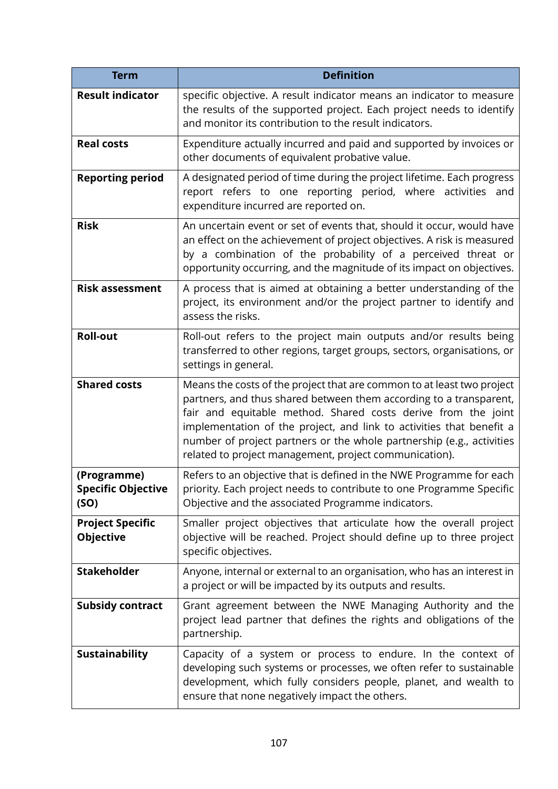| <b>Term</b>                                      | <b>Definition</b>                                                                                                                                                                                                                                                                                                                                                                                                        |
|--------------------------------------------------|--------------------------------------------------------------------------------------------------------------------------------------------------------------------------------------------------------------------------------------------------------------------------------------------------------------------------------------------------------------------------------------------------------------------------|
| <b>Result indicator</b>                          | specific objective. A result indicator means an indicator to measure<br>the results of the supported project. Each project needs to identify<br>and monitor its contribution to the result indicators.                                                                                                                                                                                                                   |
| <b>Real costs</b>                                | Expenditure actually incurred and paid and supported by invoices or<br>other documents of equivalent probative value.                                                                                                                                                                                                                                                                                                    |
| <b>Reporting period</b>                          | A designated period of time during the project lifetime. Each progress<br>report refers to one reporting period, where activities and<br>expenditure incurred are reported on.                                                                                                                                                                                                                                           |
| <b>Risk</b>                                      | An uncertain event or set of events that, should it occur, would have<br>an effect on the achievement of project objectives. A risk is measured<br>by a combination of the probability of a perceived threat or<br>opportunity occurring, and the magnitude of its impact on objectives.                                                                                                                                 |
| <b>Risk assessment</b>                           | A process that is aimed at obtaining a better understanding of the<br>project, its environment and/or the project partner to identify and<br>assess the risks.                                                                                                                                                                                                                                                           |
| <b>Roll-out</b>                                  | Roll-out refers to the project main outputs and/or results being<br>transferred to other regions, target groups, sectors, organisations, or<br>settings in general.                                                                                                                                                                                                                                                      |
| <b>Shared costs</b>                              | Means the costs of the project that are common to at least two project<br>partners, and thus shared between them according to a transparent,<br>fair and equitable method. Shared costs derive from the joint<br>implementation of the project, and link to activities that benefit a<br>number of project partners or the whole partnership (e.g., activities<br>related to project management, project communication). |
| (Programme)<br><b>Specific Objective</b><br>(SO) | Refers to an objective that is defined in the NWE Programme for each<br>priority. Each project needs to contribute to one Programme Specific<br>Objective and the associated Programme indicators.                                                                                                                                                                                                                       |
| <b>Project Specific</b><br><b>Objective</b>      | Smaller project objectives that articulate how the overall project<br>objective will be reached. Project should define up to three project<br>specific objectives.                                                                                                                                                                                                                                                       |
| <b>Stakeholder</b>                               | Anyone, internal or external to an organisation, who has an interest in<br>a project or will be impacted by its outputs and results.                                                                                                                                                                                                                                                                                     |
| <b>Subsidy contract</b>                          | Grant agreement between the NWE Managing Authority and the<br>project lead partner that defines the rights and obligations of the<br>partnership.                                                                                                                                                                                                                                                                        |
| <b>Sustainability</b>                            | Capacity of a system or process to endure. In the context of<br>developing such systems or processes, we often refer to sustainable<br>development, which fully considers people, planet, and wealth to<br>ensure that none negatively impact the others.                                                                                                                                                                |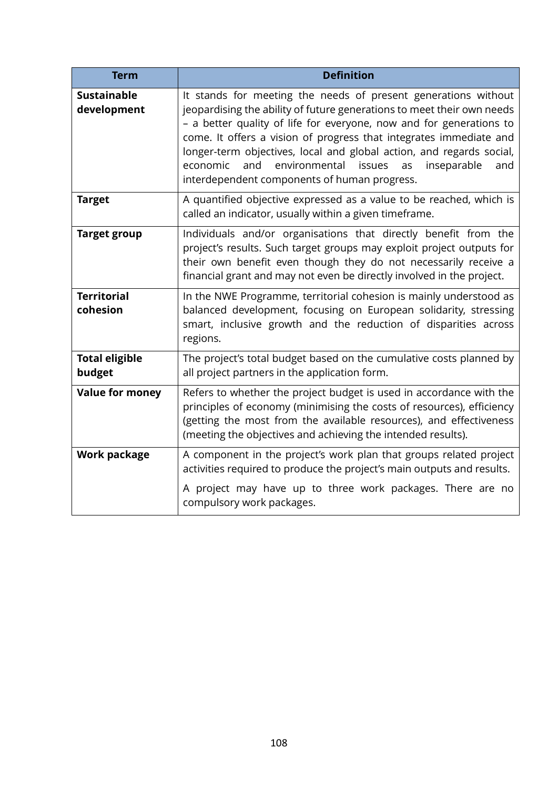| <b>Term</b>                       | <b>Definition</b>                                                                                                                                                                                                                                                                                                                                                                                                                                                                       |
|-----------------------------------|-----------------------------------------------------------------------------------------------------------------------------------------------------------------------------------------------------------------------------------------------------------------------------------------------------------------------------------------------------------------------------------------------------------------------------------------------------------------------------------------|
| <b>Sustainable</b><br>development | It stands for meeting the needs of present generations without<br>jeopardising the ability of future generations to meet their own needs<br>- a better quality of life for everyone, now and for generations to<br>come. It offers a vision of progress that integrates immediate and<br>longer-term objectives, local and global action, and regards social,<br>and<br>environmental<br>economic<br>issues<br>inseparable<br>as<br>and<br>interdependent components of human progress. |
| <b>Target</b>                     | A quantified objective expressed as a value to be reached, which is<br>called an indicator, usually within a given timeframe.                                                                                                                                                                                                                                                                                                                                                           |
| <b>Target group</b>               | Individuals and/or organisations that directly benefit from the<br>project's results. Such target groups may exploit project outputs for<br>their own benefit even though they do not necessarily receive a<br>financial grant and may not even be directly involved in the project.                                                                                                                                                                                                    |
| <b>Territorial</b><br>cohesion    | In the NWE Programme, territorial cohesion is mainly understood as<br>balanced development, focusing on European solidarity, stressing<br>smart, inclusive growth and the reduction of disparities across<br>regions.                                                                                                                                                                                                                                                                   |
| <b>Total eligible</b><br>budget   | The project's total budget based on the cumulative costs planned by<br>all project partners in the application form.                                                                                                                                                                                                                                                                                                                                                                    |
| <b>Value for money</b>            | Refers to whether the project budget is used in accordance with the<br>principles of economy (minimising the costs of resources), efficiency<br>(getting the most from the available resources), and effectiveness<br>(meeting the objectives and achieving the intended results).                                                                                                                                                                                                      |
| <b>Work package</b>               | A component in the project's work plan that groups related project<br>activities required to produce the project's main outputs and results.                                                                                                                                                                                                                                                                                                                                            |
|                                   | A project may have up to three work packages. There are no<br>compulsory work packages.                                                                                                                                                                                                                                                                                                                                                                                                 |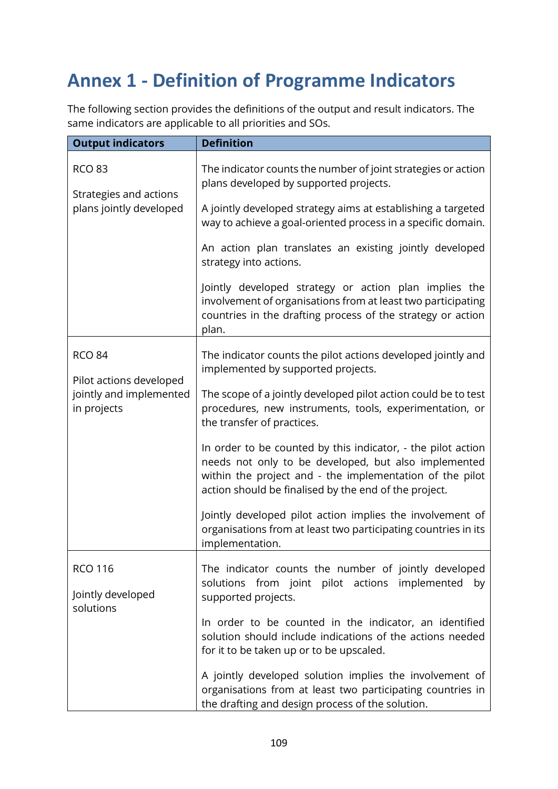## **Annex 1 - Definition of Programme Indicators**

The following section provides the definitions of the output and result indicators. The same indicators are applicable to all priorities and SOs.

| <b>Output indicators</b>                                           | <b>Definition</b>                                                                                                                                                                                                                         |
|--------------------------------------------------------------------|-------------------------------------------------------------------------------------------------------------------------------------------------------------------------------------------------------------------------------------------|
| <b>RCO 83</b><br>Strategies and actions<br>plans jointly developed | The indicator counts the number of joint strategies or action<br>plans developed by supported projects.                                                                                                                                   |
|                                                                    | A jointly developed strategy aims at establishing a targeted<br>way to achieve a goal-oriented process in a specific domain.                                                                                                              |
|                                                                    | An action plan translates an existing jointly developed<br>strategy into actions.                                                                                                                                                         |
|                                                                    | Jointly developed strategy or action plan implies the<br>involvement of organisations from at least two participating<br>countries in the drafting process of the strategy or action<br>plan.                                             |
| <b>RCO 84</b><br>Pilot actions developed                           | The indicator counts the pilot actions developed jointly and<br>implemented by supported projects.                                                                                                                                        |
| jointly and implemented<br>in projects                             | The scope of a jointly developed pilot action could be to test<br>procedures, new instruments, tools, experimentation, or<br>the transfer of practices.                                                                                   |
|                                                                    | In order to be counted by this indicator, - the pilot action<br>needs not only to be developed, but also implemented<br>within the project and - the implementation of the pilot<br>action should be finalised by the end of the project. |
|                                                                    | Jointly developed pilot action implies the involvement of<br>organisations from at least two participating countries in its<br>implementation.                                                                                            |
| <b>RCO 116</b><br>Jointly developed                                | The indicator counts the number of jointly developed<br>solutions from joint pilot actions implemented<br>by                                                                                                                              |
| solutions                                                          | supported projects.                                                                                                                                                                                                                       |
|                                                                    | In order to be counted in the indicator, an identified<br>solution should include indications of the actions needed<br>for it to be taken up or to be upscaled.                                                                           |
|                                                                    | A jointly developed solution implies the involvement of<br>organisations from at least two participating countries in<br>the drafting and design process of the solution.                                                                 |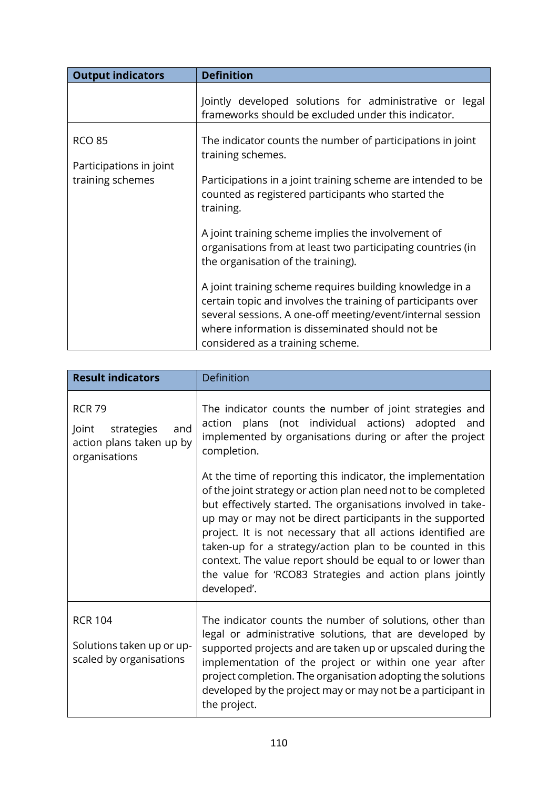| <b>Output indicators</b>                                     | <b>Definition</b>                                                                                                                                                                                                                                                             |
|--------------------------------------------------------------|-------------------------------------------------------------------------------------------------------------------------------------------------------------------------------------------------------------------------------------------------------------------------------|
|                                                              | Jointly developed solutions for administrative or legal<br>frameworks should be excluded under this indicator.                                                                                                                                                                |
| <b>RCO 85</b><br>Participations in joint<br>training schemes | The indicator counts the number of participations in joint<br>training schemes.<br>Participations in a joint training scheme are intended to be<br>counted as registered participants who started the<br>training.                                                            |
|                                                              | A joint training scheme implies the involvement of<br>organisations from at least two participating countries (in<br>the organisation of the training).                                                                                                                       |
|                                                              | A joint training scheme requires building knowledge in a<br>certain topic and involves the training of participants over<br>several sessions. A one-off meeting/event/internal session<br>where information is disseminated should not be<br>considered as a training scheme. |

| <b>Result indicators</b>                                                                 | Definition                                                                                                                                                                                                                                                                                                                                                                                                                                                                                                                      |
|------------------------------------------------------------------------------------------|---------------------------------------------------------------------------------------------------------------------------------------------------------------------------------------------------------------------------------------------------------------------------------------------------------------------------------------------------------------------------------------------------------------------------------------------------------------------------------------------------------------------------------|
| <b>RCR 79</b><br>Joint<br>strategies<br>and<br>action plans taken up by<br>organisations | The indicator counts the number of joint strategies and<br>action plans (not individual actions) adopted<br>and<br>implemented by organisations during or after the project<br>completion.                                                                                                                                                                                                                                                                                                                                      |
|                                                                                          | At the time of reporting this indicator, the implementation<br>of the joint strategy or action plan need not to be completed<br>but effectively started. The organisations involved in take-<br>up may or may not be direct participants in the supported<br>project. It is not necessary that all actions identified are<br>taken-up for a strategy/action plan to be counted in this<br>context. The value report should be equal to or lower than<br>the value for 'RCO83 Strategies and action plans jointly<br>developed'. |
| <b>RCR 104</b><br>Solutions taken up or up-<br>scaled by organisations                   | The indicator counts the number of solutions, other than<br>legal or administrative solutions, that are developed by<br>supported projects and are taken up or upscaled during the<br>implementation of the project or within one year after<br>project completion. The organisation adopting the solutions<br>developed by the project may or may not be a participant in<br>the project.                                                                                                                                      |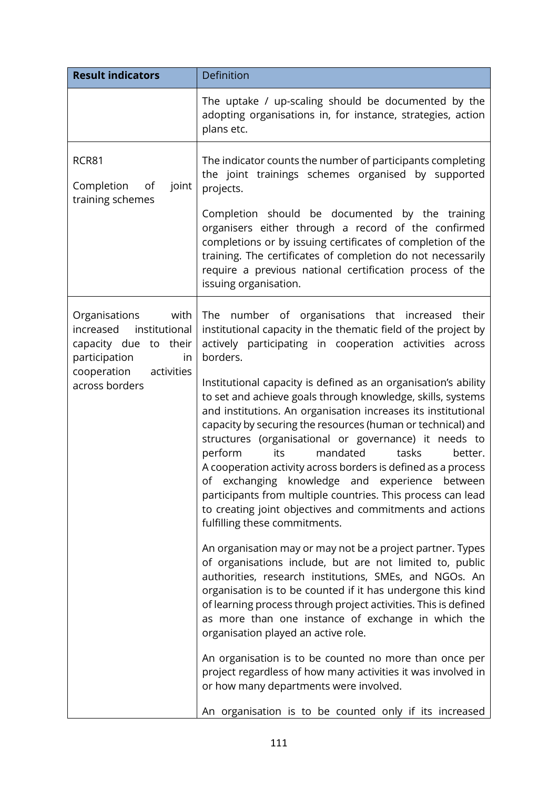| <b>Result indicators</b>                                                                                                                           | Definition                                                                                                                                                                                                                                                                                                                                                                                                                                                                                                                                                                                                                                                                                                                                                                                                                                                                                                                                                                                                                                                                                                                                                                                                                                                                       |
|----------------------------------------------------------------------------------------------------------------------------------------------------|----------------------------------------------------------------------------------------------------------------------------------------------------------------------------------------------------------------------------------------------------------------------------------------------------------------------------------------------------------------------------------------------------------------------------------------------------------------------------------------------------------------------------------------------------------------------------------------------------------------------------------------------------------------------------------------------------------------------------------------------------------------------------------------------------------------------------------------------------------------------------------------------------------------------------------------------------------------------------------------------------------------------------------------------------------------------------------------------------------------------------------------------------------------------------------------------------------------------------------------------------------------------------------|
|                                                                                                                                                    | The uptake / up-scaling should be documented by the<br>adopting organisations in, for instance, strategies, action<br>plans etc.                                                                                                                                                                                                                                                                                                                                                                                                                                                                                                                                                                                                                                                                                                                                                                                                                                                                                                                                                                                                                                                                                                                                                 |
| RCR81<br>joint<br>Completion<br>of<br>training schemes                                                                                             | The indicator counts the number of participants completing<br>the joint trainings schemes organised by supported<br>projects.                                                                                                                                                                                                                                                                                                                                                                                                                                                                                                                                                                                                                                                                                                                                                                                                                                                                                                                                                                                                                                                                                                                                                    |
|                                                                                                                                                    | Completion should be documented by the training<br>organisers either through a record of the confirmed<br>completions or by issuing certificates of completion of the<br>training. The certificates of completion do not necessarily<br>require a previous national certification process of the<br>issuing organisation.                                                                                                                                                                                                                                                                                                                                                                                                                                                                                                                                                                                                                                                                                                                                                                                                                                                                                                                                                        |
| Organisations<br>with<br>institutional<br>increased<br>capacity due to their<br>participation<br>in<br>cooperation<br>activities<br>across borders | number of organisations that increased<br>their<br>The<br>institutional capacity in the thematic field of the project by<br>actively participating in cooperation activities<br>across<br>borders.<br>Institutional capacity is defined as an organisation's ability<br>to set and achieve goals through knowledge, skills, systems<br>and institutions. An organisation increases its institutional<br>capacity by securing the resources (human or technical) and<br>structures (organisational or governance) it needs to<br>mandated<br>tasks<br>perform<br>its<br>better.<br>A cooperation activity across borders is defined as a process<br>of exchanging knowledge and experience between<br>participants from multiple countries. This process can lead<br>to creating joint objectives and commitments and actions<br>fulfilling these commitments.<br>An organisation may or may not be a project partner. Types<br>of organisations include, but are not limited to, public<br>authorities, research institutions, SMEs, and NGOs. An<br>organisation is to be counted if it has undergone this kind<br>of learning process through project activities. This is defined<br>as more than one instance of exchange in which the<br>organisation played an active role. |
|                                                                                                                                                    | An organisation is to be counted no more than once per<br>project regardless of how many activities it was involved in<br>or how many departments were involved.<br>An organisation is to be counted only if its increased                                                                                                                                                                                                                                                                                                                                                                                                                                                                                                                                                                                                                                                                                                                                                                                                                                                                                                                                                                                                                                                       |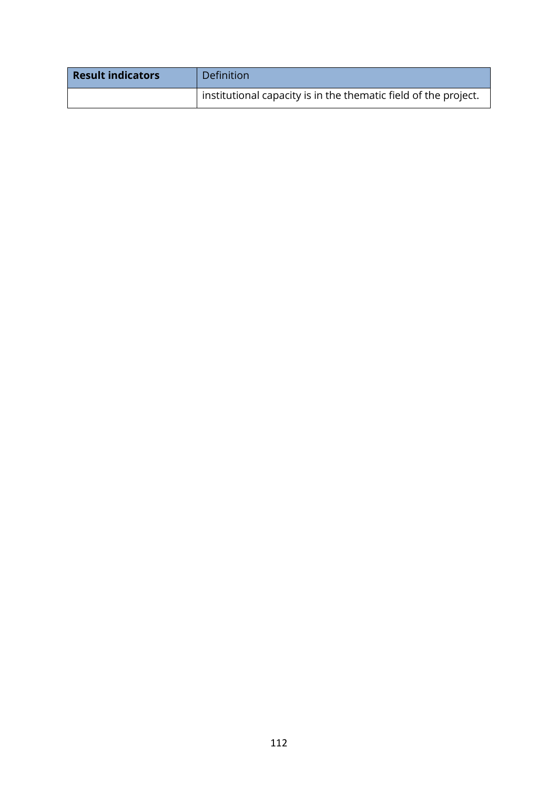| <b>Result indicators</b> | Definition                                                            |
|--------------------------|-----------------------------------------------------------------------|
|                          | $\pm$ institutional capacity is in the thematic field of the project. |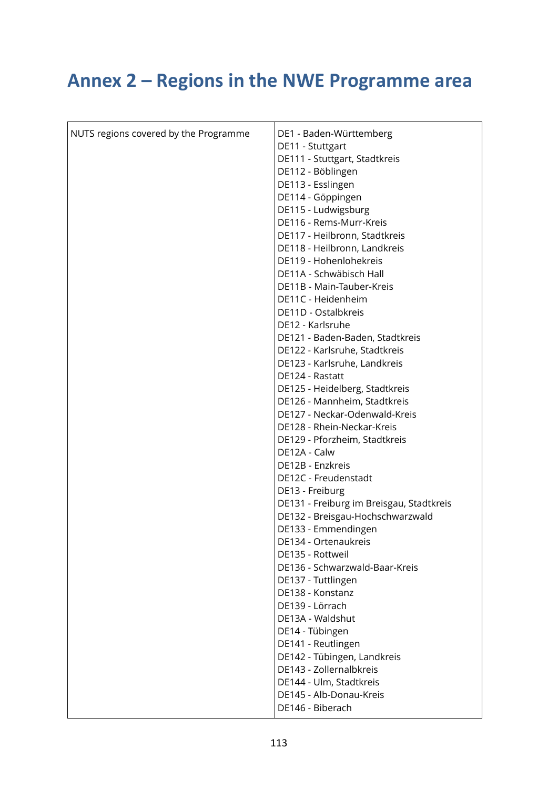## **Annex 2 – Regions in the NWE Programme area**

| NUTS regions covered by the Programme | DE1 - Baden-Württemberg                  |
|---------------------------------------|------------------------------------------|
|                                       | DE11 - Stuttgart                         |
|                                       | DE111 - Stuttgart, Stadtkreis            |
|                                       | DE112 - Böblingen                        |
|                                       | DE113 - Esslingen                        |
|                                       | DE114 - Göppingen                        |
|                                       | DE115 - Ludwigsburg                      |
|                                       | DE116 - Rems-Murr-Kreis                  |
|                                       | DE117 - Heilbronn, Stadtkreis            |
|                                       | DE118 - Heilbronn, Landkreis             |
|                                       | DE119 - Hohenlohekreis                   |
|                                       | DE11A - Schwäbisch Hall                  |
|                                       | DE11B - Main-Tauber-Kreis                |
|                                       | DE11C - Heidenheim                       |
|                                       | DE11D - Ostalbkreis                      |
|                                       | DE12 - Karlsruhe                         |
|                                       | DE121 - Baden-Baden, Stadtkreis          |
|                                       | DE122 - Karlsruhe, Stadtkreis            |
|                                       | DE123 - Karlsruhe, Landkreis             |
|                                       | DE124 - Rastatt                          |
|                                       | DE125 - Heidelberg, Stadtkreis           |
|                                       | DE126 - Mannheim, Stadtkreis             |
|                                       | DE127 - Neckar-Odenwald-Kreis            |
|                                       | DE128 - Rhein-Neckar-Kreis               |
|                                       | DE129 - Pforzheim, Stadtkreis            |
|                                       | DE12A - Calw                             |
|                                       | DE12B - Enzkreis                         |
|                                       | DE12C - Freudenstadt                     |
|                                       | DE13 - Freiburg                          |
|                                       | DE131 - Freiburg im Breisgau, Stadtkreis |
|                                       | DE132 - Breisgau-Hochschwarzwald         |
|                                       | DE133 - Emmendingen                      |
|                                       | DE134 - Ortenaukreis                     |
|                                       | DE135 - Rottweil                         |
|                                       | DE136 - Schwarzwald-Baar-Kreis           |
|                                       | DE137 - Tuttlingen                       |
|                                       | DE138 - Konstanz                         |
|                                       | DE139 - Lörrach                          |
|                                       | DE13A - Waldshut                         |
|                                       | DE14 - Tübingen                          |
|                                       | DE141 - Reutlingen                       |
|                                       | DE142 - Tübingen, Landkreis              |
|                                       | DE143 - Zollernalbkreis                  |
|                                       | DE144 - Ulm, Stadtkreis                  |
|                                       | DE145 - Alb-Donau-Kreis                  |
|                                       | DE146 - Biberach                         |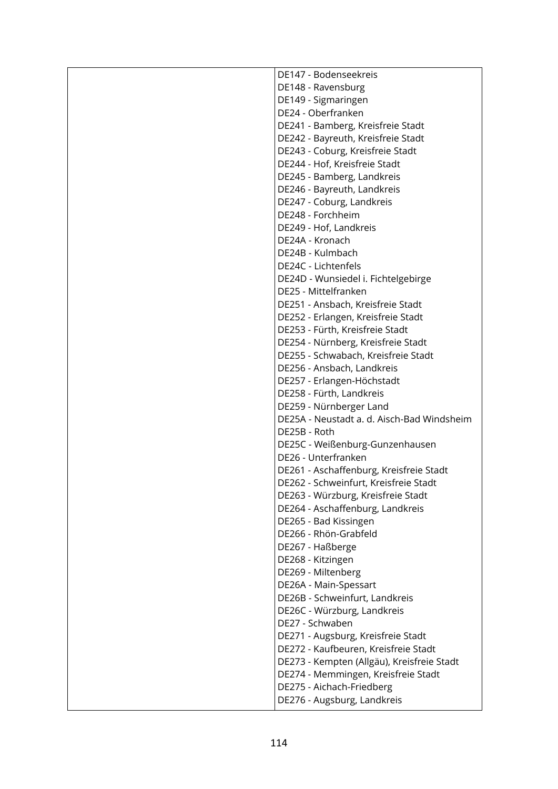| DE147 - Bodenseekreis                      |
|--------------------------------------------|
| DE148 - Ravensburg                         |
| DE149 - Sigmaringen                        |
| DE24 - Oberfranken                         |
| DE241 - Bamberg, Kreisfreie Stadt          |
| DE242 - Bayreuth, Kreisfreie Stadt         |
| DE243 - Coburg, Kreisfreie Stadt           |
| DE244 - Hof, Kreisfreie Stadt              |
| DE245 - Bamberg, Landkreis                 |
| DE246 - Bayreuth, Landkreis                |
| DE247 - Coburg, Landkreis                  |
| DE248 - Forchheim                          |
| DE249 - Hof, Landkreis                     |
| DE24A - Kronach                            |
| DE24B - Kulmbach                           |
| DE24C - Lichtenfels                        |
| DE24D - Wunsiedel i. Fichtelgebirge        |
| DE25 - Mittelfranken                       |
| DE251 - Ansbach, Kreisfreie Stadt          |
| DE252 - Erlangen, Kreisfreie Stadt         |
| DE253 - Fürth, Kreisfreie Stadt            |
| DE254 - Nürnberg, Kreisfreie Stadt         |
| DE255 - Schwabach, Kreisfreie Stadt        |
| DE256 - Ansbach, Landkreis                 |
| DE257 - Erlangen-Höchstadt                 |
| DE258 - Fürth, Landkreis                   |
| DE259 - Nürnberger Land                    |
| DE25A - Neustadt a. d. Aisch-Bad Windsheim |
| DE25B - Roth                               |
| DE25C - Weißenburg-Gunzenhausen            |
| DE26 - Unterfranken                        |
| DE261 - Aschaffenburg, Kreisfreie Stadt    |
| DE262 - Schweinfurt, Kreisfreie Stadt      |
| DE263 - Würzburg, Kreisfreie Stadt         |
| DE264 - Aschaffenburg, Landkreis           |
| DE265 - Bad Kissingen                      |
| DE266 - Rhön-Grabfeld                      |
| DE267 - Haßberge                           |
| DE268 - Kitzingen                          |
| DE269 - Miltenberg                         |
| DE26A - Main-Spessart                      |
| DE26B - Schweinfurt, Landkreis             |
| DE26C - Würzburg, Landkreis                |
| DE27 - Schwaben                            |
| DE271 - Augsburg, Kreisfreie Stadt         |
| DE272 - Kaufbeuren, Kreisfreie Stadt       |
| DE273 - Kempten (Allgäu), Kreisfreie Stadt |
| DE274 - Memmingen, Kreisfreie Stadt        |
| DE275 - Aichach-Friedberg                  |
| DE276 - Augsburg, Landkreis                |
|                                            |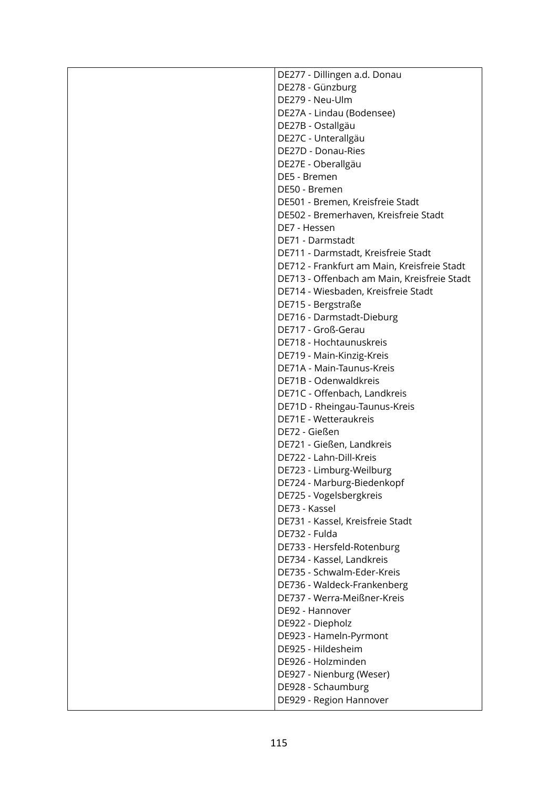| DE277 - Dillingen a.d. Donau                |
|---------------------------------------------|
| DE278 - Günzburg                            |
| DE279 - Neu-Ulm                             |
| DE27A - Lindau (Bodensee)                   |
| DE27B - Ostallgäu                           |
| DE27C - Unterallgäu                         |
| DE27D - Donau-Ries                          |
| DE27E - Oberallgäu                          |
| DE5 - Bremen                                |
| DE50 - Bremen                               |
| DE501 - Bremen, Kreisfreie Stadt            |
| DE502 - Bremerhaven, Kreisfreie Stadt       |
| DE7 - Hessen                                |
| DE71 - Darmstadt                            |
| DE711 - Darmstadt, Kreisfreie Stadt         |
|                                             |
| DE712 - Frankfurt am Main, Kreisfreie Stadt |
| DE713 - Offenbach am Main, Kreisfreie Stadt |
| DE714 - Wiesbaden, Kreisfreie Stadt         |
| DE715 - Bergstraße                          |
| DE716 - Darmstadt-Dieburg                   |
| DE717 - Groß-Gerau                          |
| DE718 - Hochtaunuskreis                     |
| DE719 - Main-Kinzig-Kreis                   |
| DE71A - Main-Taunus-Kreis                   |
| DE71B - Odenwaldkreis                       |
| DE71C - Offenbach, Landkreis                |
| DE71D - Rheingau-Taunus-Kreis               |
| DE71E - Wetteraukreis                       |
| DE72 - Gießen                               |
| DE721 - Gießen, Landkreis                   |
| DE722 - Lahn-Dill-Kreis                     |
| DE723 - Limburg-Weilburg                    |
| DE724 - Marburg-Biedenkopf                  |
| DE725 - Vogelsbergkreis                     |
| DE73 - Kassel                               |
| DE731 - Kassel, Kreisfreie Stadt            |
| DE732 - Fulda                               |
| DE733 - Hersfeld-Rotenburg                  |
| DE734 - Kassel, Landkreis                   |
| DE735 - Schwalm-Eder-Kreis                  |
| DE736 - Waldeck-Frankenberg                 |
| DE737 - Werra-Meißner-Kreis                 |
| DE92 - Hannover                             |
| DE922 - Diepholz                            |
| DE923 - Hameln-Pyrmont                      |
| DE925 - Hildesheim                          |
| DE926 - Holzminden                          |
| DE927 - Nienburg (Weser)                    |
| DE928 - Schaumburg                          |
| DE929 - Region Hannover                     |
|                                             |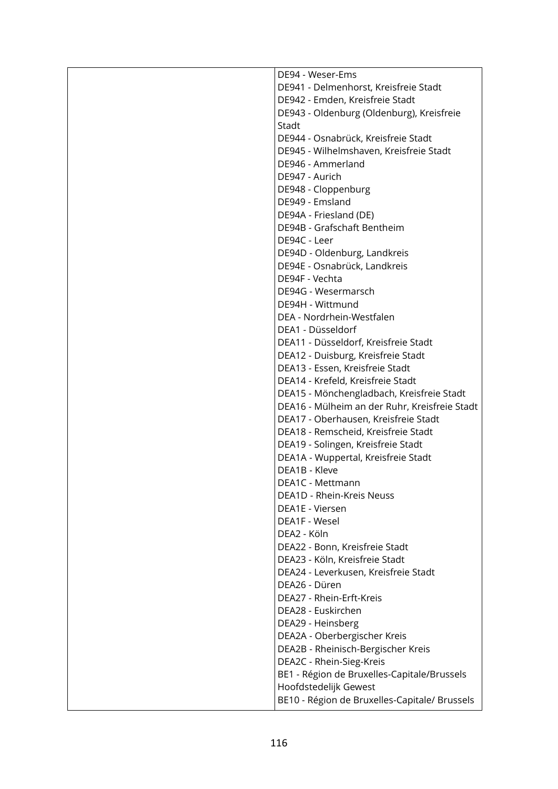| DE94 - Weser-Ems                              |
|-----------------------------------------------|
| DE941 - Delmenhorst, Kreisfreie Stadt         |
| DE942 - Emden, Kreisfreie Stadt               |
| DE943 - Oldenburg (Oldenburg), Kreisfreie     |
| Stadt                                         |
| DE944 - Osnabrück, Kreisfreie Stadt           |
| DE945 - Wilhelmshaven, Kreisfreie Stadt       |
| DE946 - Ammerland                             |
| DE947 - Aurich                                |
| DE948 - Cloppenburg                           |
| DE949 - Emsland                               |
| DE94A - Friesland (DE)                        |
| DE94B - Grafschaft Bentheim                   |
| DE94C - Leer                                  |
| DE94D - Oldenburg, Landkreis                  |
| DE94E - Osnabrück, Landkreis                  |
| DE94F - Vechta                                |
| DE94G - Wesermarsch                           |
| DE94H - Wittmund                              |
| DEA - Nordrhein-Westfalen                     |
| DEA1 - Düsseldorf                             |
| DEA11 - Düsseldorf, Kreisfreie Stadt          |
| DEA12 - Duisburg, Kreisfreie Stadt            |
| DEA13 - Essen, Kreisfreie Stadt               |
| DEA14 - Krefeld, Kreisfreie Stadt             |
| DEA15 - Mönchengladbach, Kreisfreie Stadt     |
| DEA16 - Mülheim an der Ruhr, Kreisfreie Stadt |
| DEA17 - Oberhausen, Kreisfreie Stadt          |
| DEA18 - Remscheid, Kreisfreie Stadt           |
| DEA19 - Solingen, Kreisfreie Stadt            |
| DEA1A - Wuppertal, Kreisfreie Stadt           |
| DEA1B - Kleve                                 |
| DEA1C - Mettmann                              |
| DEA1D - Rhein-Kreis Neuss                     |
| DEA1E - Viersen                               |
| DEA1F - Wesel                                 |
| DEA2 - Köln                                   |
| DEA22 - Bonn, Kreisfreie Stadt                |
| DEA23 - Köln, Kreisfreie Stadt                |
| DEA24 - Leverkusen, Kreisfreie Stadt          |
| DEA26 - Düren                                 |
| DEA27 - Rhein-Erft-Kreis                      |
| DEA28 - Euskirchen                            |
| DEA29 - Heinsberg                             |
| DEA2A - Oberbergischer Kreis                  |
| DEA2B - Rheinisch-Bergischer Kreis            |
| DEA2C - Rhein-Sieg-Kreis                      |
| BE1 - Région de Bruxelles-Capitale/Brussels   |
| Hoofdstedelijk Gewest                         |
| BE10 - Région de Bruxelles-Capitale/ Brussels |
|                                               |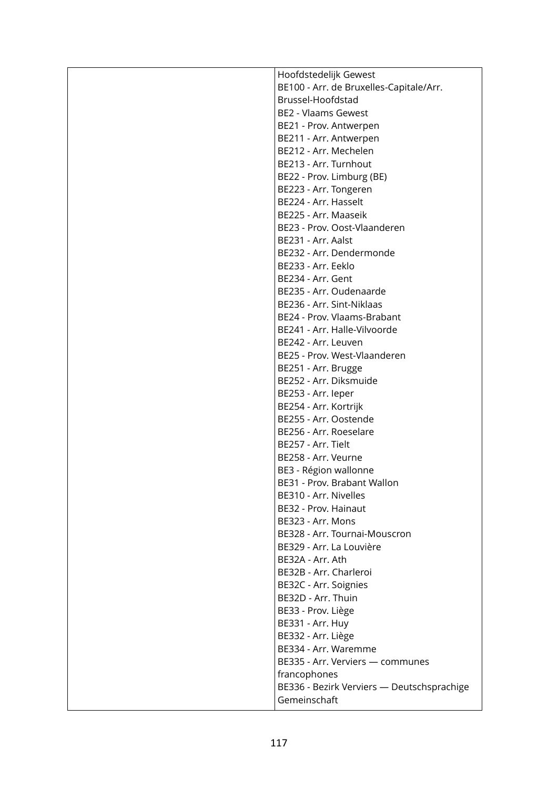| BE100 - Arr. de Bruxelles-Capitale/Arr.<br>Brussel-Hoofdstad<br><b>BE2 - Vlaams Gewest</b><br>BE21 - Prov. Antwerpen<br>BE211 - Arr. Antwerpen<br>BE212 - Arr. Mechelen<br>BE213 - Arr. Turnhout<br>BE22 - Prov. Limburg (BE)<br>BE223 - Arr. Tongeren<br>BE224 - Arr. Hasselt<br>BE225 - Arr. Maaseik<br>BE23 - Prov. Oost-Vlaanderen<br>BE231 - Arr. Aalst<br>BE232 - Arr. Dendermonde<br>BE233 - Arr. Eeklo<br>BE234 - Arr. Gent<br>BE235 - Arr. Oudenaarde<br>BE236 - Arr. Sint-Niklaas<br>BE24 - Prov. Vlaams-Brabant<br>BE241 - Arr. Halle-Vilvoorde<br>BE242 - Arr. Leuven<br>BE25 - Prov. West-Vlaanderen<br>BE251 - Arr. Brugge<br>BE252 - Arr. Diksmuide<br>BE253 - Arr. leper<br>BE254 - Arr. Kortrijk<br>BE255 - Arr. Oostende<br>BE256 - Arr. Roeselare<br>BE257 - Arr. Tielt<br>BE258 - Arr. Veurne<br>BE3 - Région wallonne<br>BE31 - Prov. Brabant Wallon<br>BE310 - Arr. Nivelles<br>BE32 - Prov. Hainaut |
|----------------------------------------------------------------------------------------------------------------------------------------------------------------------------------------------------------------------------------------------------------------------------------------------------------------------------------------------------------------------------------------------------------------------------------------------------------------------------------------------------------------------------------------------------------------------------------------------------------------------------------------------------------------------------------------------------------------------------------------------------------------------------------------------------------------------------------------------------------------------------------------------------------------------------|
|                                                                                                                                                                                                                                                                                                                                                                                                                                                                                                                                                                                                                                                                                                                                                                                                                                                                                                                            |
|                                                                                                                                                                                                                                                                                                                                                                                                                                                                                                                                                                                                                                                                                                                                                                                                                                                                                                                            |
|                                                                                                                                                                                                                                                                                                                                                                                                                                                                                                                                                                                                                                                                                                                                                                                                                                                                                                                            |
|                                                                                                                                                                                                                                                                                                                                                                                                                                                                                                                                                                                                                                                                                                                                                                                                                                                                                                                            |
|                                                                                                                                                                                                                                                                                                                                                                                                                                                                                                                                                                                                                                                                                                                                                                                                                                                                                                                            |
|                                                                                                                                                                                                                                                                                                                                                                                                                                                                                                                                                                                                                                                                                                                                                                                                                                                                                                                            |
|                                                                                                                                                                                                                                                                                                                                                                                                                                                                                                                                                                                                                                                                                                                                                                                                                                                                                                                            |
|                                                                                                                                                                                                                                                                                                                                                                                                                                                                                                                                                                                                                                                                                                                                                                                                                                                                                                                            |
|                                                                                                                                                                                                                                                                                                                                                                                                                                                                                                                                                                                                                                                                                                                                                                                                                                                                                                                            |
|                                                                                                                                                                                                                                                                                                                                                                                                                                                                                                                                                                                                                                                                                                                                                                                                                                                                                                                            |
|                                                                                                                                                                                                                                                                                                                                                                                                                                                                                                                                                                                                                                                                                                                                                                                                                                                                                                                            |
|                                                                                                                                                                                                                                                                                                                                                                                                                                                                                                                                                                                                                                                                                                                                                                                                                                                                                                                            |
|                                                                                                                                                                                                                                                                                                                                                                                                                                                                                                                                                                                                                                                                                                                                                                                                                                                                                                                            |
|                                                                                                                                                                                                                                                                                                                                                                                                                                                                                                                                                                                                                                                                                                                                                                                                                                                                                                                            |
|                                                                                                                                                                                                                                                                                                                                                                                                                                                                                                                                                                                                                                                                                                                                                                                                                                                                                                                            |
|                                                                                                                                                                                                                                                                                                                                                                                                                                                                                                                                                                                                                                                                                                                                                                                                                                                                                                                            |
|                                                                                                                                                                                                                                                                                                                                                                                                                                                                                                                                                                                                                                                                                                                                                                                                                                                                                                                            |
|                                                                                                                                                                                                                                                                                                                                                                                                                                                                                                                                                                                                                                                                                                                                                                                                                                                                                                                            |
|                                                                                                                                                                                                                                                                                                                                                                                                                                                                                                                                                                                                                                                                                                                                                                                                                                                                                                                            |
|                                                                                                                                                                                                                                                                                                                                                                                                                                                                                                                                                                                                                                                                                                                                                                                                                                                                                                                            |
|                                                                                                                                                                                                                                                                                                                                                                                                                                                                                                                                                                                                                                                                                                                                                                                                                                                                                                                            |
|                                                                                                                                                                                                                                                                                                                                                                                                                                                                                                                                                                                                                                                                                                                                                                                                                                                                                                                            |
|                                                                                                                                                                                                                                                                                                                                                                                                                                                                                                                                                                                                                                                                                                                                                                                                                                                                                                                            |
|                                                                                                                                                                                                                                                                                                                                                                                                                                                                                                                                                                                                                                                                                                                                                                                                                                                                                                                            |
|                                                                                                                                                                                                                                                                                                                                                                                                                                                                                                                                                                                                                                                                                                                                                                                                                                                                                                                            |
|                                                                                                                                                                                                                                                                                                                                                                                                                                                                                                                                                                                                                                                                                                                                                                                                                                                                                                                            |
|                                                                                                                                                                                                                                                                                                                                                                                                                                                                                                                                                                                                                                                                                                                                                                                                                                                                                                                            |
|                                                                                                                                                                                                                                                                                                                                                                                                                                                                                                                                                                                                                                                                                                                                                                                                                                                                                                                            |
|                                                                                                                                                                                                                                                                                                                                                                                                                                                                                                                                                                                                                                                                                                                                                                                                                                                                                                                            |
|                                                                                                                                                                                                                                                                                                                                                                                                                                                                                                                                                                                                                                                                                                                                                                                                                                                                                                                            |
|                                                                                                                                                                                                                                                                                                                                                                                                                                                                                                                                                                                                                                                                                                                                                                                                                                                                                                                            |
|                                                                                                                                                                                                                                                                                                                                                                                                                                                                                                                                                                                                                                                                                                                                                                                                                                                                                                                            |
|                                                                                                                                                                                                                                                                                                                                                                                                                                                                                                                                                                                                                                                                                                                                                                                                                                                                                                                            |
|                                                                                                                                                                                                                                                                                                                                                                                                                                                                                                                                                                                                                                                                                                                                                                                                                                                                                                                            |
|                                                                                                                                                                                                                                                                                                                                                                                                                                                                                                                                                                                                                                                                                                                                                                                                                                                                                                                            |
| BE323 - Arr. Mons                                                                                                                                                                                                                                                                                                                                                                                                                                                                                                                                                                                                                                                                                                                                                                                                                                                                                                          |
| BE328 - Arr. Tournai-Mouscron                                                                                                                                                                                                                                                                                                                                                                                                                                                                                                                                                                                                                                                                                                                                                                                                                                                                                              |
| BE329 - Arr. La Louvière                                                                                                                                                                                                                                                                                                                                                                                                                                                                                                                                                                                                                                                                                                                                                                                                                                                                                                   |
| BE32A - Arr. Ath                                                                                                                                                                                                                                                                                                                                                                                                                                                                                                                                                                                                                                                                                                                                                                                                                                                                                                           |
| BE32B - Arr. Charleroi                                                                                                                                                                                                                                                                                                                                                                                                                                                                                                                                                                                                                                                                                                                                                                                                                                                                                                     |
| BE32C - Arr. Soignies                                                                                                                                                                                                                                                                                                                                                                                                                                                                                                                                                                                                                                                                                                                                                                                                                                                                                                      |
| BE32D - Arr. Thuin                                                                                                                                                                                                                                                                                                                                                                                                                                                                                                                                                                                                                                                                                                                                                                                                                                                                                                         |
| BE33 - Prov. Liège                                                                                                                                                                                                                                                                                                                                                                                                                                                                                                                                                                                                                                                                                                                                                                                                                                                                                                         |
| BE331 - Arr. Huy                                                                                                                                                                                                                                                                                                                                                                                                                                                                                                                                                                                                                                                                                                                                                                                                                                                                                                           |
| BE332 - Arr. Liège                                                                                                                                                                                                                                                                                                                                                                                                                                                                                                                                                                                                                                                                                                                                                                                                                                                                                                         |
| BE334 - Arr. Waremme                                                                                                                                                                                                                                                                                                                                                                                                                                                                                                                                                                                                                                                                                                                                                                                                                                                                                                       |
| BE335 - Arr. Verviers - communes                                                                                                                                                                                                                                                                                                                                                                                                                                                                                                                                                                                                                                                                                                                                                                                                                                                                                           |
| francophones                                                                                                                                                                                                                                                                                                                                                                                                                                                                                                                                                                                                                                                                                                                                                                                                                                                                                                               |
| BE336 - Bezirk Verviers - Deutschsprachige                                                                                                                                                                                                                                                                                                                                                                                                                                                                                                                                                                                                                                                                                                                                                                                                                                                                                 |
| Gemeinschaft                                                                                                                                                                                                                                                                                                                                                                                                                                                                                                                                                                                                                                                                                                                                                                                                                                                                                                               |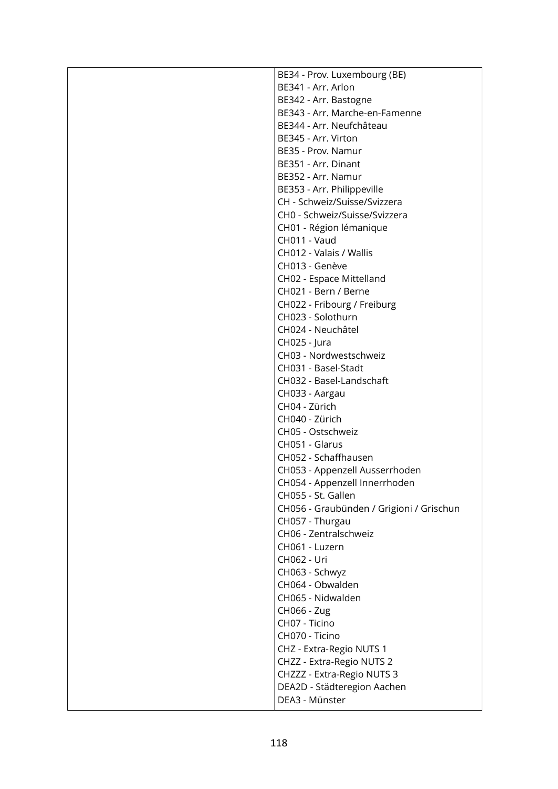| BE34 - Prov. Luxembourg (BE)             |
|------------------------------------------|
| BE341 - Arr. Arlon                       |
| BE342 - Arr. Bastogne                    |
| BE343 - Arr. Marche-en-Famenne           |
| BE344 - Arr. Neufchâteau                 |
| BE345 - Arr. Virton                      |
| BE35 - Prov. Namur                       |
| BE351 - Arr. Dinant                      |
| BE352 - Arr. Namur                       |
| BE353 - Arr. Philippeville               |
| CH - Schweiz/Suisse/Svizzera             |
| CH0 - Schweiz/Suisse/Svizzera            |
| CH01 - Région lémanique                  |
| CH011 - Vaud                             |
| CH012 - Valais / Wallis                  |
| CH013 - Genève                           |
| CH02 - Espace Mittelland                 |
| CH021 - Bern / Berne                     |
| CH022 - Fribourg / Freiburg              |
| CH023 - Solothurn                        |
| CH024 - Neuchâtel                        |
| CH025 - Jura                             |
| CH03 - Nordwestschweiz                   |
| CH031 - Basel-Stadt                      |
| CH032 - Basel-Landschaft                 |
| CH033 - Aargau                           |
| CH04 - Zürich                            |
| CH040 - Zürich                           |
| CH05 - Ostschweiz                        |
| CH051 - Glarus                           |
| CH052 - Schaffhausen                     |
| CH053 - Appenzell Ausserrhoden           |
| CH054 - Appenzell Innerrhoden            |
| CH055 - St. Gallen                       |
| CH056 - Graubünden / Grigioni / Grischun |
| CH057 - Thurgau                          |
| CH06 - Zentralschweiz                    |
| CH061 - Luzern                           |
| CH062 - Uri                              |
| CH063 - Schwyz                           |
| CH064 - Obwalden                         |
| CH065 - Nidwalden                        |
| CH066 - Zug                              |
| CH07 - Ticino                            |
| CH070 - Ticino                           |
| CHZ - Extra-Regio NUTS 1                 |
| CHZZ - Extra-Regio NUTS 2                |
| CHZZZ - Extra-Regio NUTS 3               |
| DEA2D - Städteregion Aachen              |
| DEA3 - Münster                           |
|                                          |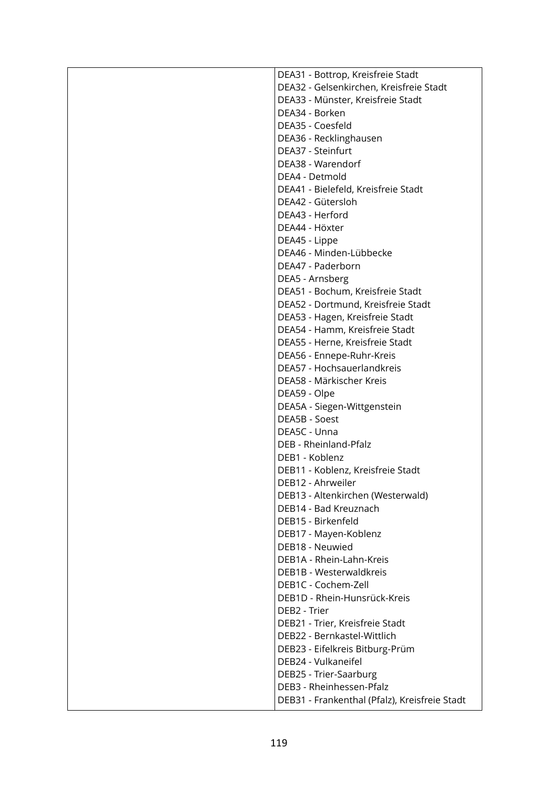| DEA31 - Bottrop, Kreisfreie Stadt             |
|-----------------------------------------------|
| DEA32 - Gelsenkirchen, Kreisfreie Stadt       |
| DEA33 - Münster, Kreisfreie Stadt             |
| DEA34 - Borken                                |
| DEA35 - Coesfeld                              |
| DEA36 - Recklinghausen                        |
| DEA37 - Steinfurt                             |
| DEA38 - Warendorf                             |
| DEA4 - Detmold                                |
| DEA41 - Bielefeld, Kreisfreie Stadt           |
| DEA42 - Gütersloh                             |
| DEA43 - Herford                               |
| DEA44 - Höxter                                |
| DEA45 - Lippe                                 |
| DEA46 - Minden-Lübbecke                       |
| DEA47 - Paderborn                             |
| DEA5 - Arnsberg                               |
| DEA51 - Bochum, Kreisfreie Stadt              |
| DEA52 - Dortmund, Kreisfreie Stadt            |
| DEA53 - Hagen, Kreisfreie Stadt               |
| DEA54 - Hamm, Kreisfreie Stadt                |
| DEA55 - Herne, Kreisfreie Stadt               |
| DEA56 - Ennepe-Ruhr-Kreis                     |
| DEA57 - Hochsauerlandkreis                    |
| DEA58 - Märkischer Kreis                      |
| DEA59 - Olpe                                  |
| DEA5A - Siegen-Wittgenstein                   |
| DEA5B - Soest                                 |
| DEA5C - Unna                                  |
| DEB - Rheinland-Pfalz                         |
| DEB1 - Koblenz                                |
| DEB11 - Koblenz, Kreisfreie Stadt             |
| DEB12 - Ahrweiler                             |
| DEB13 - Altenkirchen (Westerwald)             |
| DEB14 - Bad Kreuznach                         |
| DEB15 - Birkenfeld                            |
| DEB17 - Mayen-Koblenz                         |
| DEB18 - Neuwied                               |
| DEB1A - Rhein-Lahn-Kreis                      |
| DEB1B - Westerwaldkreis                       |
| DEB1C - Cochem-Zell                           |
| DEB1D - Rhein-Hunsrück-Kreis                  |
| DEB2 - Trier                                  |
| DEB21 - Trier, Kreisfreie Stadt               |
| DEB22 - Bernkastel-Wittlich                   |
| DEB23 - Eifelkreis Bitburg-Prüm               |
| DEB24 - Vulkaneifel                           |
| DEB25 - Trier-Saarburg                        |
| DEB3 - Rheinhessen-Pfalz                      |
| DEB31 - Frankenthal (Pfalz), Kreisfreie Stadt |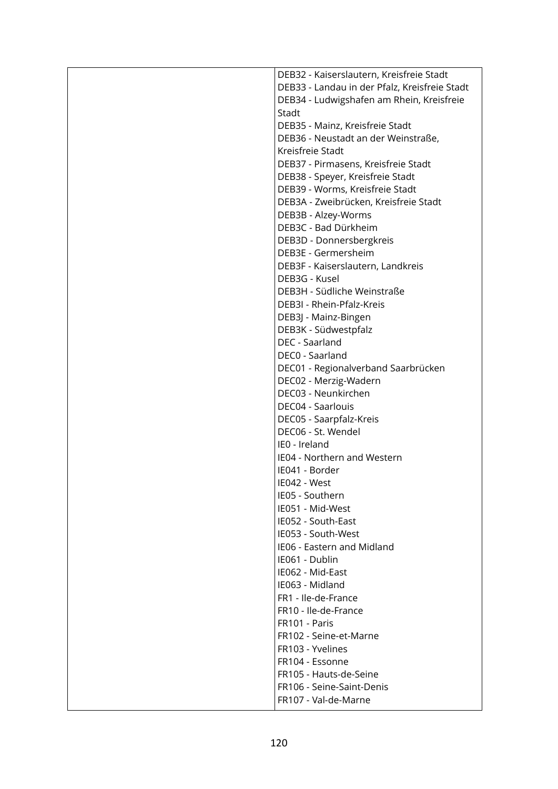| DEB32 - Kaiserslautern, Kreisfreie Stadt      |  |
|-----------------------------------------------|--|
| DEB33 - Landau in der Pfalz, Kreisfreie Stadt |  |
| DEB34 - Ludwigshafen am Rhein, Kreisfreie     |  |
| Stadt                                         |  |
| DEB35 - Mainz, Kreisfreie Stadt               |  |
| DEB36 - Neustadt an der Weinstraße,           |  |
| Kreisfreie Stadt                              |  |
| DEB37 - Pirmasens, Kreisfreie Stadt           |  |
| DEB38 - Speyer, Kreisfreie Stadt              |  |
| DEB39 - Worms, Kreisfreie Stadt               |  |
| DEB3A - Zweibrücken, Kreisfreie Stadt         |  |
| DEB3B - Alzey-Worms                           |  |
| DEB3C - Bad Dürkheim                          |  |
| DEB3D - Donnersbergkreis                      |  |
| DEB3E - Germersheim                           |  |
| DEB3F - Kaiserslautern, Landkreis             |  |
| DEB3G - Kusel                                 |  |
| DEB3H - Südliche Weinstraße                   |  |
| DEB3I - Rhein-Pfalz-Kreis                     |  |
| DEB3J - Mainz-Bingen                          |  |
| DEB3K - Südwestpfalz                          |  |
| DEC - Saarland                                |  |
| DEC0 - Saarland                               |  |
| DEC01 - Regionalverband Saarbrücken           |  |
| DEC02 - Merzig-Wadern                         |  |
| DEC03 - Neunkirchen                           |  |
| DEC04 - Saarlouis                             |  |
| DEC05 - Saarpfalz-Kreis                       |  |
| DEC06 - St. Wendel                            |  |
| IEO - Ireland                                 |  |
| IE04 - Northern and Western                   |  |
| IE041 - Border                                |  |
| IE042 - West                                  |  |
| IE05 - Southern                               |  |
| IE051 - Mid-West                              |  |
| IE052 - South-East                            |  |
| IE053 - South-West                            |  |
| IE06 - Eastern and Midland                    |  |
| IE061 - Dublin                                |  |
| IE062 - Mid-East                              |  |
| IE063 - Midland                               |  |
| FR1 - Ile-de-France                           |  |
| FR10 - Ile-de-France                          |  |
| FR101 - Paris                                 |  |
| FR102 - Seine-et-Marne                        |  |
| FR103 - Yvelines                              |  |
| FR104 - Essonne                               |  |
| FR105 - Hauts-de-Seine                        |  |
| FR106 - Seine-Saint-Denis                     |  |
| FR107 - Val-de-Marne                          |  |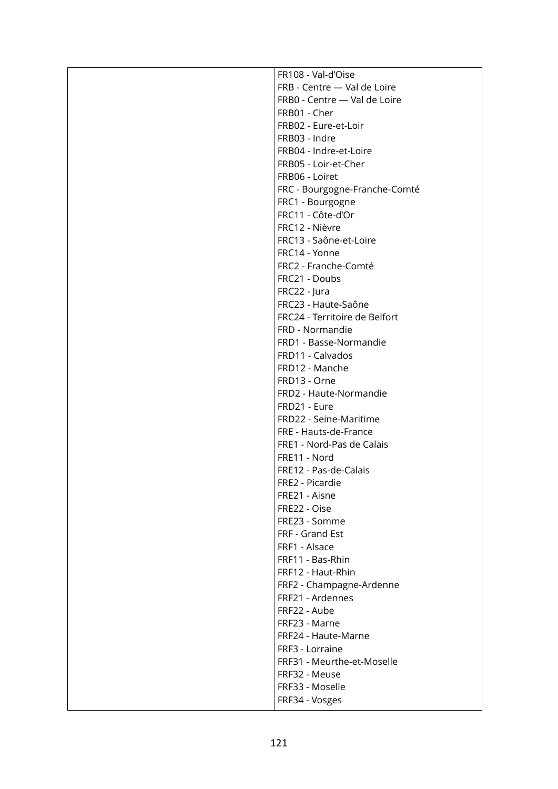| FR108 - Val-d'Oise            |
|-------------------------------|
| FRB - Centre - Val de Loire   |
| FRB0 - Centre - Val de Loire  |
| FRB01 - Cher                  |
| FRB02 - Eure-et-Loir          |
| FRB03 - Indre                 |
| FRB04 - Indre-et-Loire        |
| FRB05 - Loir-et-Cher          |
| FRB06 - Loiret                |
| FRC - Bourgogne-Franche-Comté |
| FRC1 - Bourgogne              |
| FRC11 - Côte-d'Or             |
| FRC12 - Nièvre                |
| FRC13 - Saône-et-Loire        |
| FRC14 - Yonne                 |
| FRC2 - Franche-Comté          |
| FRC21 - Doubs                 |
| FRC22 - Jura                  |
| FRC23 - Haute-Saône           |
| FRC24 - Territoire de Belfort |
| FRD - Normandie               |
| FRD1 - Basse-Normandie        |
| FRD11 - Calvados              |
| FRD12 - Manche                |
| FRD13 - Orne                  |
| FRD2 - Haute-Normandie        |
| FRD21 - Eure                  |
| FRD22 - Seine-Maritime        |
| FRE - Hauts-de-France         |
| FRE1 - Nord-Pas de Calais     |
| FRE11 - Nord                  |
| FRE12 - Pas-de-Calais         |
| FRE2 - Picardie               |
|                               |
| FRE21 - Aisne<br>FRE22 - Oise |
|                               |
| FRE23 - Somme                 |
| FRF - Grand Est               |
| FRF1 - Alsace                 |
| FRF11 - Bas-Rhin              |
| FRF12 - Haut-Rhin             |
| FRF2 - Champagne-Ardenne      |
| FRF21 - Ardennes              |
| FRF22 - Aube                  |
| FRF23 - Marne                 |
| FRF24 - Haute-Marne           |
| FRF3 - Lorraine               |
| FRF31 - Meurthe-et-Moselle    |
| FRF32 - Meuse                 |
| FRF33 - Moselle               |
| FRF34 - Vosges                |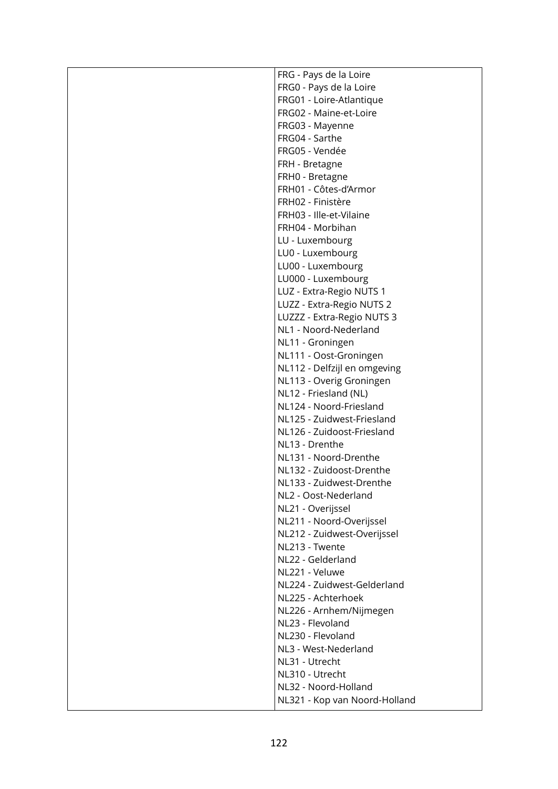| FRG - Pays de la Loire        |
|-------------------------------|
| FRG0 - Pays de la Loire       |
| FRG01 - Loire-Atlantique      |
| FRG02 - Maine-et-Loire        |
| FRG03 - Mayenne               |
| FRG04 - Sarthe                |
| FRG05 - Vendée                |
| FRH - Bretagne                |
| FRH0 - Bretagne               |
| FRH01 - Côtes-d'Armor         |
| FRH02 - Finistère             |
| FRH03 - Ille-et-Vilaine       |
| FRH04 - Morbihan              |
| LU - Luxembourg               |
| LU0 - Luxembourg              |
| LU00 - Luxembourg             |
| LU000 - Luxembourg            |
| LUZ - Extra-Regio NUTS 1      |
| LUZZ - Extra-Regio NUTS 2     |
| LUZZZ - Extra-Regio NUTS 3    |
| NL1 - Noord-Nederland         |
| NL11 - Groningen              |
| NL111 - Oost-Groningen        |
| NL112 - Delfzijl en omgeving  |
| NL113 - Overig Groningen      |
| NL12 - Friesland (NL)         |
| NL124 - Noord-Friesland       |
| NL125 - Zuidwest-Friesland    |
| NL126 - Zuidoost-Friesland    |
| NL13 - Drenthe                |
| NL131 - Noord-Drenthe         |
| NL132 - Zuidoost-Drenthe      |
| NL133 - Zuidwest-Drenthe      |
| NL2 - Oost-Nederland          |
| NL21 - Overijssel             |
| NL211 - Noord-Overijssel      |
| NL212 - Zuidwest-Overijssel   |
| NL213 - Twente                |
| NL22 - Gelderland             |
| NL221 - Veluwe                |
| NL224 - Zuidwest-Gelderland   |
| NL225 - Achterhoek            |
| NL226 - Arnhem/Nijmegen       |
| NL23 - Flevoland              |
| NL230 - Flevoland             |
| NL3 - West-Nederland          |
| NL31 - Utrecht                |
| NL310 - Utrecht               |
| NL32 - Noord-Holland          |
| NL321 - Kop van Noord-Holland |
|                               |